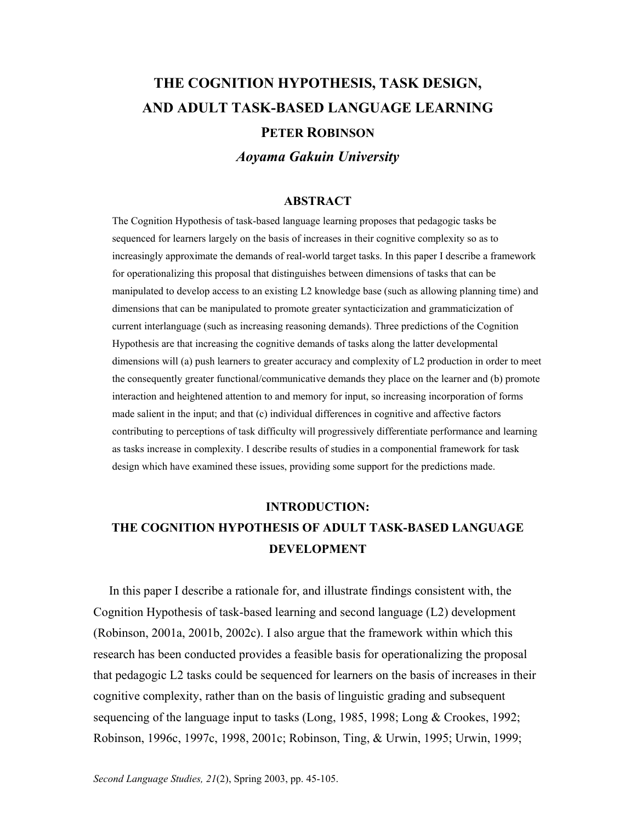# **THE COGNITION HYPOTHESIS, TASK DESIGN, AND ADULT TASK-BASED LANGUAGE LEARNING PETER ROBINSON**

*Aoyama Gakuin University* 

#### **ABSTRACT**

The Cognition Hypothesis of task-based language learning proposes that pedagogic tasks be sequenced for learners largely on the basis of increases in their cognitive complexity so as to increasingly approximate the demands of real-world target tasks. In this paper I describe a framework for operationalizing this proposal that distinguishes between dimensions of tasks that can be manipulated to develop access to an existing L2 knowledge base (such as allowing planning time) and dimensions that can be manipulated to promote greater syntacticization and grammaticization of current interlanguage (such as increasing reasoning demands). Three predictions of the Cognition Hypothesis are that increasing the cognitive demands of tasks along the latter developmental dimensions will (a) push learners to greater accuracy and complexity of L2 production in order to meet the consequently greater functional/communicative demands they place on the learner and (b) promote interaction and heightened attention to and memory for input, so increasing incorporation of forms made salient in the input; and that (c) individual differences in cognitive and affective factors contributing to perceptions of task difficulty will progressively differentiate performance and learning as tasks increase in complexity. I describe results of studies in a componential framework for task design which have examined these issues, providing some support for the predictions made.

#### **INTRODUCTION:**

## **THE COGNITION HYPOTHESIS OF ADULT TASK-BASED LANGUAGE DEVELOPMENT**

 In this paper I describe a rationale for, and illustrate findings consistent with, the Cognition Hypothesis of task-based learning and second language (L2) development (Robinson, 2001a, 2001b, 2002c). I also argue that the framework within which this research has been conducted provides a feasible basis for operationalizing the proposal that pedagogic L2 tasks could be sequenced for learners on the basis of increases in their cognitive complexity, rather than on the basis of linguistic grading and subsequent sequencing of the language input to tasks (Long, 1985, 1998; Long & Crookes, 1992; Robinson, 1996c, 1997c, 1998, 2001c; Robinson, Ting, & Urwin, 1995; Urwin, 1999;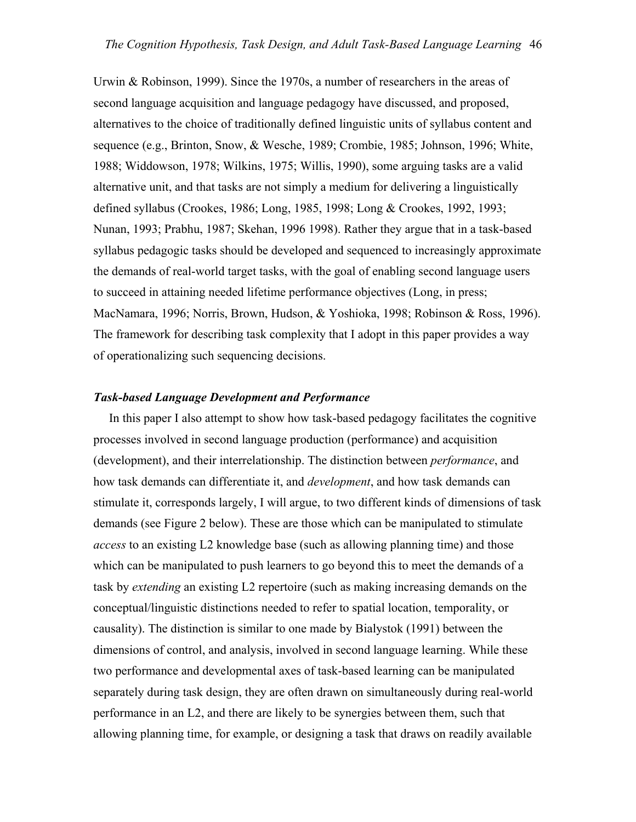Urwin & Robinson, 1999). Since the 1970s, a number of researchers in the areas of second language acquisition and language pedagogy have discussed, and proposed, alternatives to the choice of traditionally defined linguistic units of syllabus content and sequence (e.g., Brinton, Snow, & Wesche, 1989; Crombie, 1985; Johnson, 1996; White, 1988; Widdowson, 1978; Wilkins, 1975; Willis, 1990), some arguing tasks are a valid alternative unit, and that tasks are not simply a medium for delivering a linguistically defined syllabus (Crookes, 1986; Long, 1985, 1998; Long & Crookes, 1992, 1993; Nunan, 1993; Prabhu, 1987; Skehan, 1996 1998). Rather they argue that in a task-based syllabus pedagogic tasks should be developed and sequenced to increasingly approximate the demands of real-world target tasks, with the goal of enabling second language users to succeed in attaining needed lifetime performance objectives (Long, in press; MacNamara, 1996; Norris, Brown, Hudson, & Yoshioka, 1998; Robinson & Ross, 1996). The framework for describing task complexity that I adopt in this paper provides a way of operationalizing such sequencing decisions.

#### *Task-based Language Development and Performance*

 In this paper I also attempt to show how task-based pedagogy facilitates the cognitive processes involved in second language production (performance) and acquisition (development), and their interrelationship. The distinction between *performance*, and how task demands can differentiate it, and *development*, and how task demands can stimulate it, corresponds largely, I will argue, to two different kinds of dimensions of task demands (see Figure 2 below). These are those which can be manipulated to stimulate *access* to an existing L2 knowledge base (such as allowing planning time) and those which can be manipulated to push learners to go beyond this to meet the demands of a task by *extending* an existing L2 repertoire (such as making increasing demands on the conceptual/linguistic distinctions needed to refer to spatial location, temporality, or causality). The distinction is similar to one made by Bialystok (1991) between the dimensions of control, and analysis, involved in second language learning. While these two performance and developmental axes of task-based learning can be manipulated separately during task design, they are often drawn on simultaneously during real-world performance in an L2, and there are likely to be synergies between them, such that allowing planning time, for example, or designing a task that draws on readily available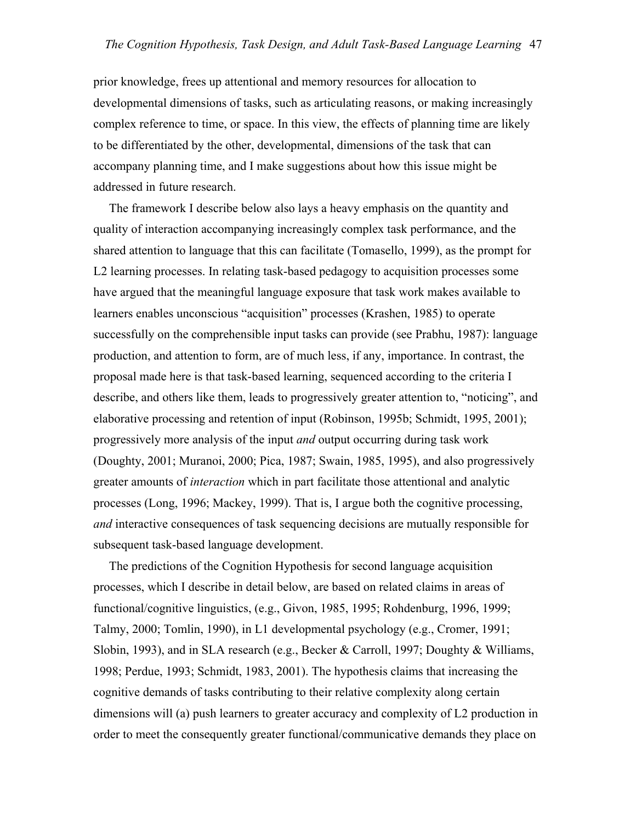prior knowledge, frees up attentional and memory resources for allocation to developmental dimensions of tasks, such as articulating reasons, or making increasingly complex reference to time, or space. In this view, the effects of planning time are likely to be differentiated by the other, developmental, dimensions of the task that can accompany planning time, and I make suggestions about how this issue might be addressed in future research.

 The framework I describe below also lays a heavy emphasis on the quantity and quality of interaction accompanying increasingly complex task performance, and the shared attention to language that this can facilitate (Tomasello, 1999), as the prompt for L2 learning processes. In relating task-based pedagogy to acquisition processes some have argued that the meaningful language exposure that task work makes available to learners enables unconscious "acquisition" processes (Krashen, 1985) to operate successfully on the comprehensible input tasks can provide (see Prabhu, 1987): language production, and attention to form, are of much less, if any, importance. In contrast, the proposal made here is that task-based learning, sequenced according to the criteria I describe, and others like them, leads to progressively greater attention to, "noticing", and elaborative processing and retention of input (Robinson, 1995b; Schmidt, 1995, 2001); progressively more analysis of the input *and* output occurring during task work (Doughty, 2001; Muranoi, 2000; Pica, 1987; Swain, 1985, 1995), and also progressively greater amounts of *interaction* which in part facilitate those attentional and analytic processes (Long, 1996; Mackey, 1999). That is, I argue both the cognitive processing, *and* interactive consequences of task sequencing decisions are mutually responsible for subsequent task-based language development.

 The predictions of the Cognition Hypothesis for second language acquisition processes, which I describe in detail below, are based on related claims in areas of functional/cognitive linguistics, (e.g., Givon, 1985, 1995; Rohdenburg, 1996, 1999; Talmy, 2000; Tomlin, 1990), in L1 developmental psychology (e.g., Cromer, 1991; Slobin, 1993), and in SLA research (e.g., Becker & Carroll, 1997; Doughty & Williams, 1998; Perdue, 1993; Schmidt, 1983, 2001). The hypothesis claims that increasing the cognitive demands of tasks contributing to their relative complexity along certain dimensions will (a) push learners to greater accuracy and complexity of L2 production in order to meet the consequently greater functional/communicative demands they place on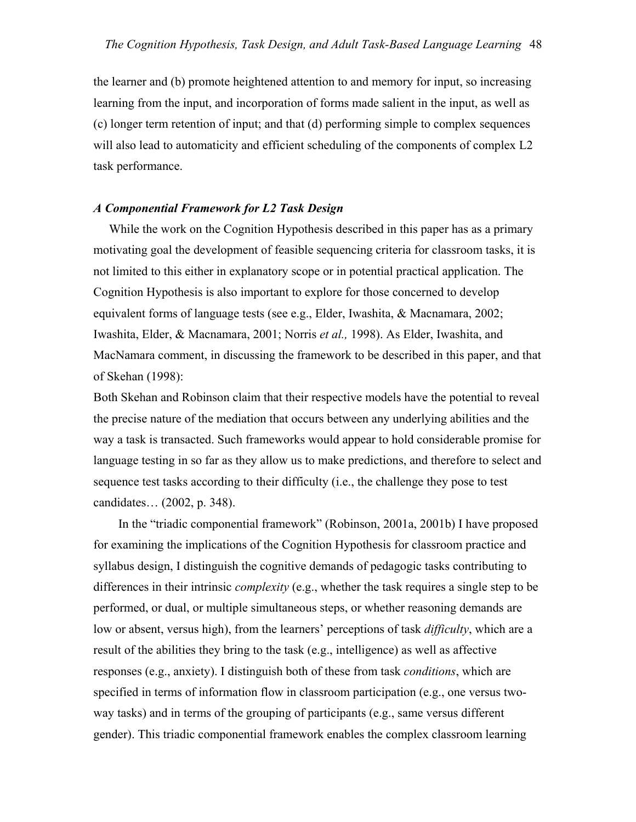the learner and (b) promote heightened attention to and memory for input, so increasing learning from the input, and incorporation of forms made salient in the input, as well as (c) longer term retention of input; and that (d) performing simple to complex sequences will also lead to automaticity and efficient scheduling of the components of complex L2 task performance.

### *A Componential Framework for L2 Task Design*

While the work on the Cognition Hypothesis described in this paper has as a primary motivating goal the development of feasible sequencing criteria for classroom tasks, it is not limited to this either in explanatory scope or in potential practical application. The Cognition Hypothesis is also important to explore for those concerned to develop equivalent forms of language tests (see e.g., Elder, Iwashita, & Macnamara, 2002; Iwashita, Elder, & Macnamara, 2001; Norris *et al.,* 1998). As Elder, Iwashita, and MacNamara comment, in discussing the framework to be described in this paper, and that of Skehan (1998):

Both Skehan and Robinson claim that their respective models have the potential to reveal the precise nature of the mediation that occurs between any underlying abilities and the way a task is transacted. Such frameworks would appear to hold considerable promise for language testing in so far as they allow us to make predictions, and therefore to select and sequence test tasks according to their difficulty (i.e., the challenge they pose to test candidates… (2002, p. 348).

 In the "triadic componential framework" (Robinson, 2001a, 2001b) I have proposed for examining the implications of the Cognition Hypothesis for classroom practice and syllabus design, I distinguish the cognitive demands of pedagogic tasks contributing to differences in their intrinsic *complexity* (e.g., whether the task requires a single step to be performed, or dual, or multiple simultaneous steps, or whether reasoning demands are low or absent, versus high), from the learners' perceptions of task *difficulty*, which are a result of the abilities they bring to the task (e.g., intelligence) as well as affective responses (e.g., anxiety). I distinguish both of these from task *conditions*, which are specified in terms of information flow in classroom participation (e.g., one versus twoway tasks) and in terms of the grouping of participants (e.g., same versus different gender). This triadic componential framework enables the complex classroom learning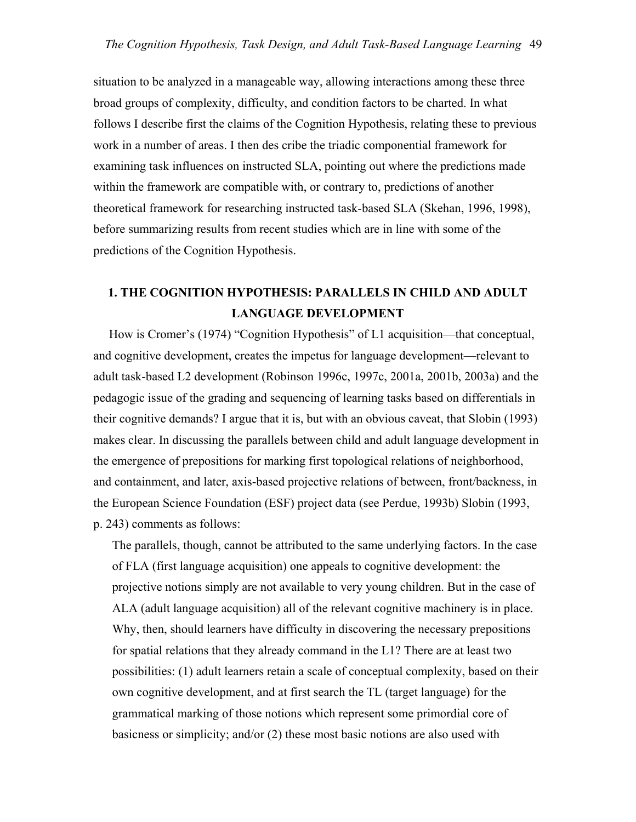situation to be analyzed in a manageable way, allowing interactions among these three broad groups of complexity, difficulty, and condition factors to be charted. In what follows I describe first the claims of the Cognition Hypothesis, relating these to previous work in a number of areas. I then des cribe the triadic componential framework for examining task influences on instructed SLA, pointing out where the predictions made within the framework are compatible with, or contrary to, predictions of another theoretical framework for researching instructed task-based SLA (Skehan, 1996, 1998), before summarizing results from recent studies which are in line with some of the predictions of the Cognition Hypothesis.

### **1. THE COGNITION HYPOTHESIS: PARALLELS IN CHILD AND ADULT LANGUAGE DEVELOPMENT**

 How is Cromer's (1974) "Cognition Hypothesis" of L1 acquisition—that conceptual, and cognitive development, creates the impetus for language development—relevant to adult task-based L2 development (Robinson 1996c, 1997c, 2001a, 2001b, 2003a) and the pedagogic issue of the grading and sequencing of learning tasks based on differentials in their cognitive demands? I argue that it is, but with an obvious caveat, that Slobin (1993) makes clear. In discussing the parallels between child and adult language development in the emergence of prepositions for marking first topological relations of neighborhood, and containment, and later, axis-based projective relations of between, front/backness, in the European Science Foundation (ESF) project data (see Perdue, 1993b) Slobin (1993, p. 243) comments as follows:

The parallels, though, cannot be attributed to the same underlying factors. In the case of FLA (first language acquisition) one appeals to cognitive development: the projective notions simply are not available to very young children. But in the case of ALA (adult language acquisition) all of the relevant cognitive machinery is in place. Why, then, should learners have difficulty in discovering the necessary prepositions for spatial relations that they already command in the L1? There are at least two possibilities: (1) adult learners retain a scale of conceptual complexity, based on their own cognitive development, and at first search the TL (target language) for the grammatical marking of those notions which represent some primordial core of basicness or simplicity; and/or (2) these most basic notions are also used with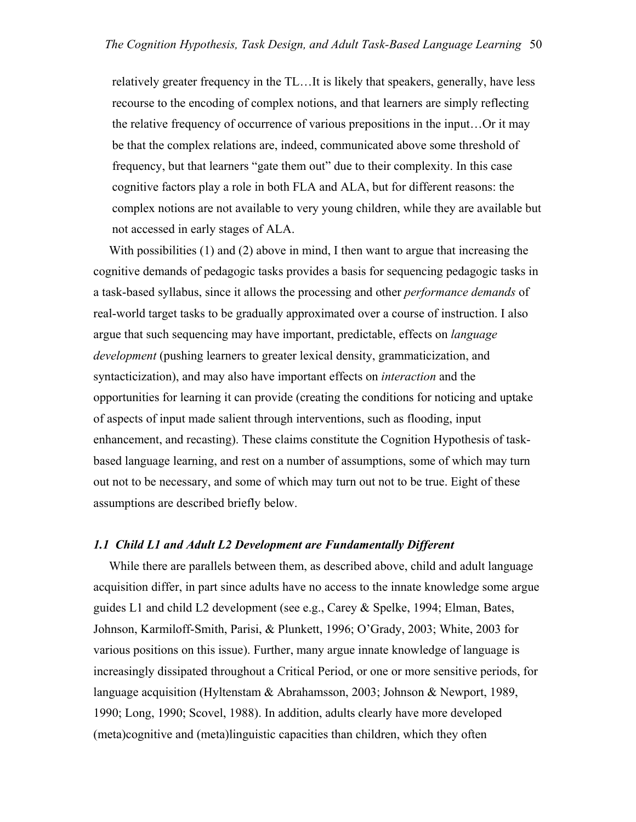relatively greater frequency in the TL…It is likely that speakers, generally, have less recourse to the encoding of complex notions, and that learners are simply reflecting the relative frequency of occurrence of various prepositions in the input…Or it may be that the complex relations are, indeed, communicated above some threshold of frequency, but that learners "gate them out" due to their complexity. In this case cognitive factors play a role in both FLA and ALA, but for different reasons: the complex notions are not available to very young children, while they are available but not accessed in early stages of ALA.

With possibilities (1) and (2) above in mind, I then want to argue that increasing the cognitive demands of pedagogic tasks provides a basis for sequencing pedagogic tasks in a task-based syllabus, since it allows the processing and other *performance demands* of real-world target tasks to be gradually approximated over a course of instruction. I also argue that such sequencing may have important, predictable, effects on *language development* (pushing learners to greater lexical density, grammaticization, and syntacticization), and may also have important effects on *interaction* and the opportunities for learning it can provide (creating the conditions for noticing and uptake of aspects of input made salient through interventions, such as flooding, input enhancement, and recasting). These claims constitute the Cognition Hypothesis of taskbased language learning, and rest on a number of assumptions, some of which may turn out not to be necessary, and some of which may turn out not to be true. Eight of these assumptions are described briefly below.

#### *1.1 Child L1 and Adult L2 Development are Fundamentally Different*

While there are parallels between them, as described above, child and adult language acquisition differ, in part since adults have no access to the innate knowledge some argue guides L1 and child L2 development (see e.g., Carey & Spelke, 1994; Elman, Bates, Johnson, Karmiloff-Smith, Parisi, & Plunkett, 1996; O'Grady, 2003; White, 2003 for various positions on this issue). Further, many argue innate knowledge of language is increasingly dissipated throughout a Critical Period, or one or more sensitive periods, for language acquisition (Hyltenstam & Abrahamsson, 2003; Johnson & Newport, 1989, 1990; Long, 1990; Scovel, 1988). In addition, adults clearly have more developed (meta)cognitive and (meta)linguistic capacities than children, which they often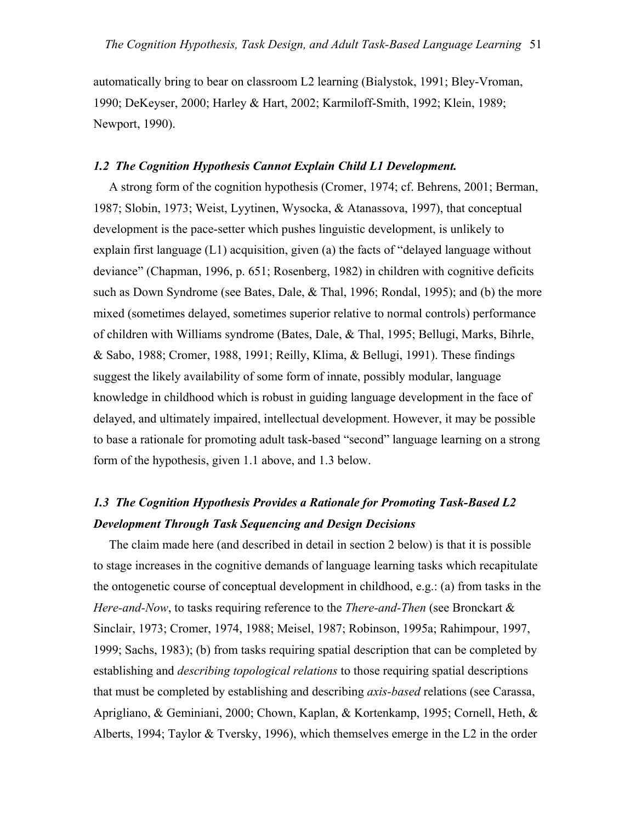automatically bring to bear on classroom L2 learning (Bialystok, 1991; Bley-Vroman, 1990; DeKeyser, 2000; Harley & Hart, 2002; Karmiloff-Smith, 1992; Klein, 1989; Newport, 1990).

### *1.2 The Cognition Hypothesis Cannot Explain Child L1 Development.*

 A strong form of the cognition hypothesis (Cromer, 1974; cf. Behrens, 2001; Berman, 1987; Slobin, 1973; Weist, Lyytinen, Wysocka, & Atanassova, 1997), that conceptual development is the pace-setter which pushes linguistic development, is unlikely to explain first language  $(L1)$  acquisition, given (a) the facts of "delayed language without deviance" (Chapman, 1996, p. 651; Rosenberg, 1982) in children with cognitive deficits such as Down Syndrome (see Bates, Dale, & Thal, 1996; Rondal, 1995); and (b) the more mixed (sometimes delayed, sometimes superior relative to normal controls) performance of children with Williams syndrome (Bates, Dale, & Thal, 1995; Bellugi, Marks, Bihrle, & Sabo, 1988; Cromer, 1988, 1991; Reilly, Klima, & Bellugi, 1991). These findings suggest the likely availability of some form of innate, possibly modular, language knowledge in childhood which is robust in guiding language development in the face of delayed, and ultimately impaired, intellectual development. However, it may be possible to base a rationale for promoting adult task-based "second" language learning on a strong form of the hypothesis, given 1.1 above, and 1.3 below.

## *1.3 The Cognition Hypothesis Provides a Rationale for Promoting Task-Based L2 Development Through Task Sequencing and Design Decisions*

 The claim made here (and described in detail in section 2 below) is that it is possible to stage increases in the cognitive demands of language learning tasks which recapitulate the ontogenetic course of conceptual development in childhood, e.g.: (a) from tasks in the *Here-and-Now*, to tasks requiring reference to the *There-and-Then* (see Bronckart & Sinclair, 1973; Cromer, 1974, 1988; Meisel, 1987; Robinson, 1995a; Rahimpour, 1997, 1999; Sachs, 1983); (b) from tasks requiring spatial description that can be completed by establishing and *describing topological relations* to those requiring spatial descriptions that must be completed by establishing and describing *axis-based* relations (see Carassa, Aprigliano, & Geminiani, 2000; Chown, Kaplan, & Kortenkamp, 1995; Cornell, Heth, & Alberts, 1994; Taylor & Tversky, 1996), which themselves emerge in the L2 in the order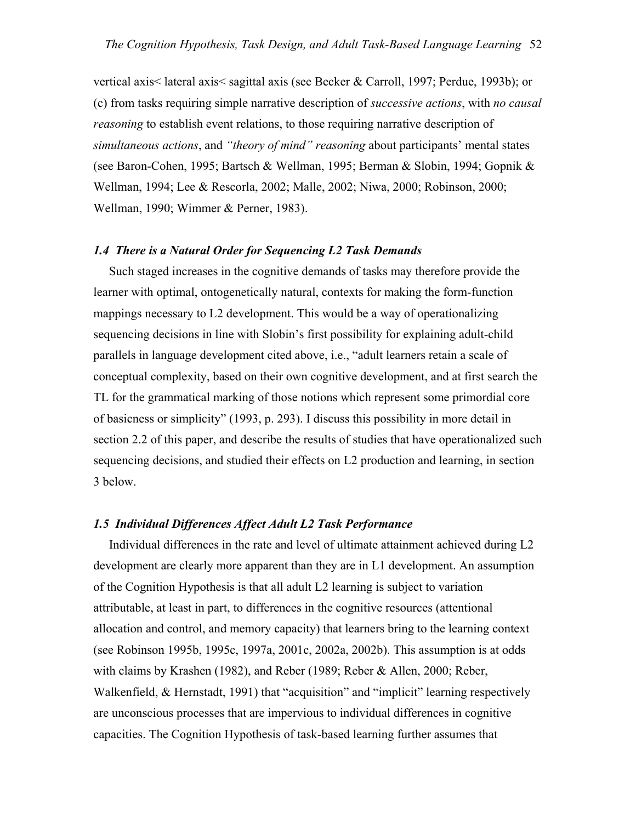vertical axis< lateral axis< sagittal axis (see Becker & Carroll, 1997; Perdue, 1993b); or (c) from tasks requiring simple narrative description of *successive actions*, with *no causal reasoning* to establish event relations, to those requiring narrative description of *simultaneous actions*, and *"theory of mind" reasoning* about participants' mental states (see Baron-Cohen, 1995; Bartsch & Wellman, 1995; Berman & Slobin, 1994; Gopnik & Wellman, 1994; Lee & Rescorla, 2002; Malle, 2002; Niwa, 2000; Robinson, 2000; Wellman, 1990; Wimmer & Perner, 1983).

### *1.4 There is a Natural Order for Sequencing L2 Task Demands*

Such staged increases in the cognitive demands of tasks may therefore provide the learner with optimal, ontogenetically natural, contexts for making the form-function mappings necessary to L2 development. This would be a way of operationalizing sequencing decisions in line with Slobin's first possibility for explaining adult-child parallels in language development cited above, i.e., "adult learners retain a scale of conceptual complexity, based on their own cognitive development, and at first search the TL for the grammatical marking of those notions which represent some primordial core of basicness or simplicity" (1993, p. 293). I discuss this possibility in more detail in section 2.2 of this paper, and describe the results of studies that have operationalized such sequencing decisions, and studied their effects on L2 production and learning, in section 3 below.

#### *1.5 Individual Differences Affect Adult L2 Task Performance*

 Individual differences in the rate and level of ultimate attainment achieved during L2 development are clearly more apparent than they are in L1 development. An assumption of the Cognition Hypothesis is that all adult L2 learning is subject to variation attributable, at least in part, to differences in the cognitive resources (attentional allocation and control, and memory capacity) that learners bring to the learning context (see Robinson 1995b, 1995c, 1997a, 2001c, 2002a, 2002b). This assumption is at odds with claims by Krashen (1982), and Reber (1989; Reber & Allen, 2000; Reber, Walkenfield, & Hernstadt, 1991) that "acquisition" and "implicit" learning respectively are unconscious processes that are impervious to individual differences in cognitive capacities. The Cognition Hypothesis of task-based learning further assumes that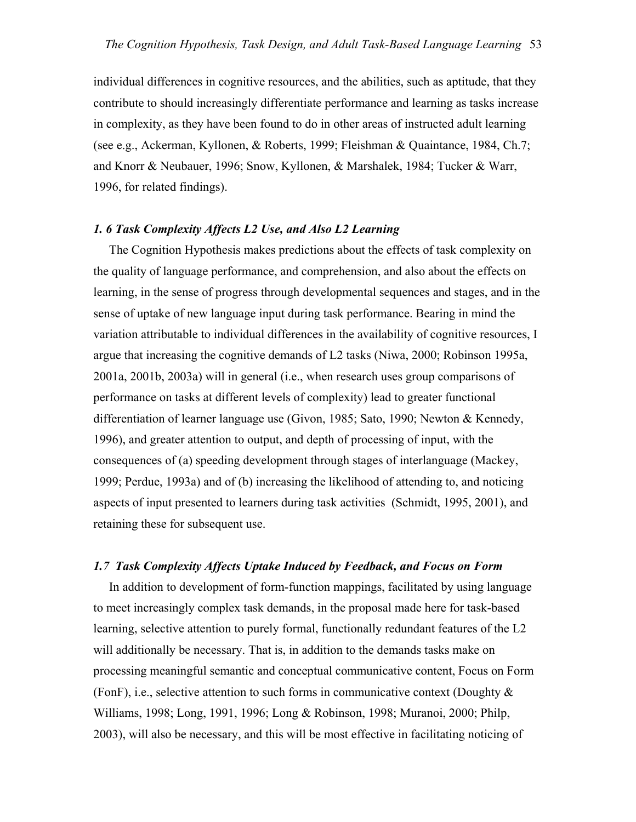individual differences in cognitive resources, and the abilities, such as aptitude, that they contribute to should increasingly differentiate performance and learning as tasks increase in complexity, as they have been found to do in other areas of instructed adult learning (see e.g., Ackerman, Kyllonen, & Roberts, 1999; Fleishman & Quaintance, 1984, Ch.7; and Knorr & Neubauer, 1996; Snow, Kyllonen, & Marshalek, 1984; Tucker & Warr, 1996, for related findings).

### *1. 6 Task Complexity Affects L2 Use, and Also L2 Learning*

 The Cognition Hypothesis makes predictions about the effects of task complexity on the quality of language performance, and comprehension, and also about the effects on learning, in the sense of progress through developmental sequences and stages, and in the sense of uptake of new language input during task performance. Bearing in mind the variation attributable to individual differences in the availability of cognitive resources, I argue that increasing the cognitive demands of L2 tasks (Niwa, 2000; Robinson 1995a, 2001a, 2001b, 2003a) will in general (i.e., when research uses group comparisons of performance on tasks at different levels of complexity) lead to greater functional differentiation of learner language use (Givon, 1985; Sato, 1990; Newton & Kennedy, 1996), and greater attention to output, and depth of processing of input, with the consequences of (a) speeding development through stages of interlanguage (Mackey, 1999; Perdue, 1993a) and of (b) increasing the likelihood of attending to, and noticing aspects of input presented to learners during task activities (Schmidt, 1995, 2001), and retaining these for subsequent use.

### *1.7 Task Complexity Affects Uptake Induced by Feedback, and Focus on Form*

 In addition to development of form-function mappings, facilitated by using language to meet increasingly complex task demands, in the proposal made here for task-based learning, selective attention to purely formal, functionally redundant features of the L2 will additionally be necessary. That is, in addition to the demands tasks make on processing meaningful semantic and conceptual communicative content, Focus on Form (FonF), i.e., selective attention to such forms in communicative context (Doughty  $\&$ Williams, 1998; Long, 1991, 1996; Long & Robinson, 1998; Muranoi, 2000; Philp, 2003), will also be necessary, and this will be most effective in facilitating noticing of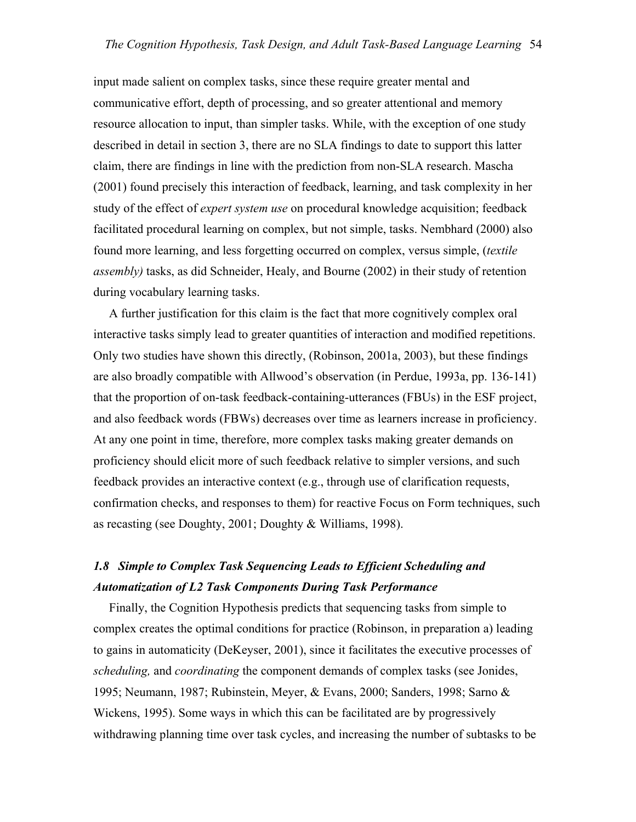input made salient on complex tasks, since these require greater mental and communicative effort, depth of processing, and so greater attentional and memory resource allocation to input, than simpler tasks. While, with the exception of one study described in detail in section 3, there are no SLA findings to date to support this latter claim, there are findings in line with the prediction from non-SLA research. Mascha (2001) found precisely this interaction of feedback, learning, and task complexity in her study of the effect of *expert system use* on procedural knowledge acquisition; feedback facilitated procedural learning on complex, but not simple, tasks. Nembhard (2000) also found more learning, and less forgetting occurred on complex, versus simple, (*textile assembly)* tasks, as did Schneider, Healy, and Bourne (2002) in their study of retention during vocabulary learning tasks.

 A further justification for this claim is the fact that more cognitively complex oral interactive tasks simply lead to greater quantities of interaction and modified repetitions. Only two studies have shown this directly, (Robinson, 2001a, 2003), but these findings are also broadly compatible with Allwood's observation (in Perdue, 1993a, pp. 136-141) that the proportion of on-task feedback-containing-utterances (FBUs) in the ESF project, and also feedback words (FBWs) decreases over time as learners increase in proficiency. At any one point in time, therefore, more complex tasks making greater demands on proficiency should elicit more of such feedback relative to simpler versions, and such feedback provides an interactive context (e.g., through use of clarification requests, confirmation checks, and responses to them) for reactive Focus on Form techniques, such as recasting (see Doughty, 2001; Doughty & Williams, 1998).

## *1.8 Simple to Complex Task Sequencing Leads to Efficient Scheduling and Automatization of L2 Task Components During Task Performance*

 Finally, the Cognition Hypothesis predicts that sequencing tasks from simple to complex creates the optimal conditions for practice (Robinson, in preparation a) leading to gains in automaticity (DeKeyser, 2001), since it facilitates the executive processes of *scheduling,* and *coordinating* the component demands of complex tasks (see Jonides, 1995; Neumann, 1987; Rubinstein, Meyer, & Evans, 2000; Sanders, 1998; Sarno & Wickens, 1995). Some ways in which this can be facilitated are by progressively withdrawing planning time over task cycles, and increasing the number of subtasks to be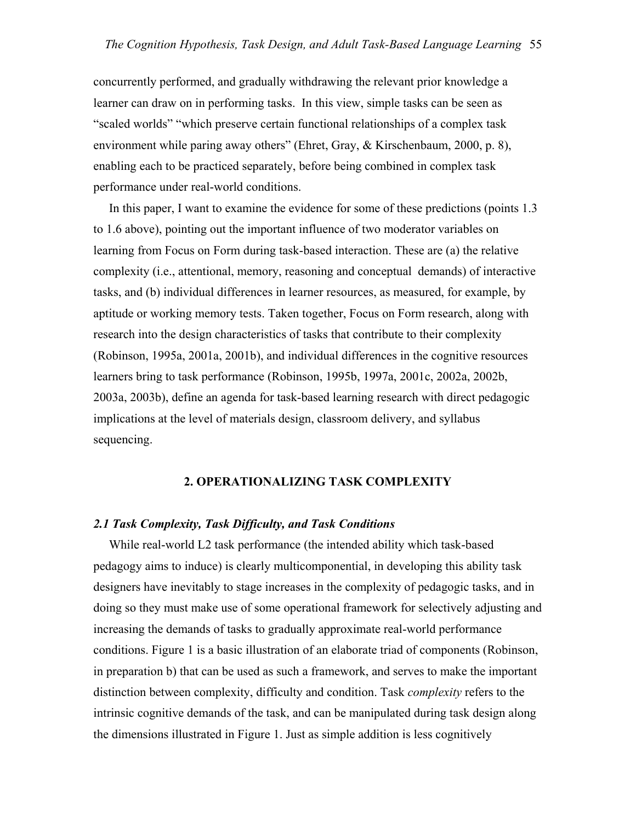concurrently performed, and gradually withdrawing the relevant prior knowledge a learner can draw on in performing tasks. In this view, simple tasks can be seen as "scaled worlds" "which preserve certain functional relationships of a complex task environment while paring away others" (Ehret, Gray, & Kirschenbaum, 2000, p. 8), enabling each to be practiced separately, before being combined in complex task performance under real-world conditions.

 In this paper, I want to examine the evidence for some of these predictions (points 1.3 to 1.6 above), pointing out the important influence of two moderator variables on learning from Focus on Form during task-based interaction. These are (a) the relative complexity (i.e., attentional, memory, reasoning and conceptual demands) of interactive tasks, and (b) individual differences in learner resources, as measured, for example, by aptitude or working memory tests. Taken together, Focus on Form research, along with research into the design characteristics of tasks that contribute to their complexity (Robinson, 1995a, 2001a, 2001b), and individual differences in the cognitive resources learners bring to task performance (Robinson, 1995b, 1997a, 2001c, 2002a, 2002b, 2003a, 2003b), define an agenda for task-based learning research with direct pedagogic implications at the level of materials design, classroom delivery, and syllabus sequencing.

### **2. OPERATIONALIZING TASK COMPLEXITY**

#### *2.1 Task Complexity, Task Difficulty, and Task Conditions*

 While real-world L2 task performance (the intended ability which task-based pedagogy aims to induce) is clearly multicomponential, in developing this ability task designers have inevitably to stage increases in the complexity of pedagogic tasks, and in doing so they must make use of some operational framework for selectively adjusting and increasing the demands of tasks to gradually approximate real-world performance conditions. Figure 1 is a basic illustration of an elaborate triad of components (Robinson, in preparation b) that can be used as such a framework, and serves to make the important distinction between complexity, difficulty and condition. Task *complexity* refers to the intrinsic cognitive demands of the task, and can be manipulated during task design along the dimensions illustrated in Figure 1. Just as simple addition is less cognitively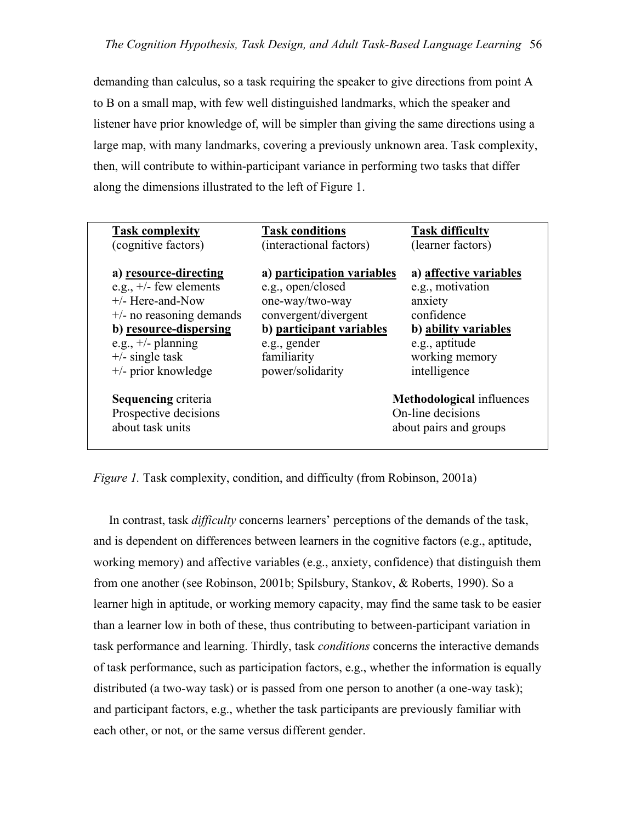demanding than calculus, so a task requiring the speaker to give directions from point A to B on a small map, with few well distinguished landmarks, which the speaker and listener have prior knowledge of, will be simpler than giving the same directions using a large map, with many landmarks, covering a previously unknown area. Task complexity, then, will contribute to within-participant variance in performing two tasks that differ along the dimensions illustrated to the left of Figure 1.

| <b>Task complexity</b>      | <b>Task conditions</b>     | <b>Task difficulty</b>           |
|-----------------------------|----------------------------|----------------------------------|
| (cognitive factors)         | (interactional factors)    | (learner factors)                |
| a) resource-directing       | a) participation variables | a) affective variables           |
| e.g., $+/-$ few elements    | e.g., open/closed          | e.g., motivation                 |
| $+/-$ Here-and-Now          | one-way/two-way            | anxiety                          |
| $+/-$ no reasoning demands  | convergent/divergent       | confidence                       |
| b) resource-dispersing      | b) participant variables   | b) ability variables             |
| e.g., $+/-$ planning        | e.g., gender               | e.g., aptitude                   |
| $+/-$ single task           | familiarity                | working memory                   |
| $+\prime$ - prior knowledge | power/solidarity           | intelligence                     |
| <b>Sequencing criteria</b>  |                            | <b>Methodological</b> influences |
| Prospective decisions       |                            | On-line decisions                |
| about task units            |                            | about pairs and groups           |
|                             |                            |                                  |
|                             |                            |                                  |

*Figure 1.* Task complexity, condition, and difficulty (from Robinson, 2001a)

 In contrast, task *difficulty* concerns learners' perceptions of the demands of the task, and is dependent on differences between learners in the cognitive factors (e.g., aptitude, working memory) and affective variables (e.g., anxiety, confidence) that distinguish them from one another (see Robinson, 2001b; Spilsbury, Stankov, & Roberts, 1990). So a learner high in aptitude, or working memory capacity, may find the same task to be easier than a learner low in both of these, thus contributing to between-participant variation in task performance and learning. Thirdly, task *conditions* concerns the interactive demands of task performance, such as participation factors, e.g., whether the information is equally distributed (a two-way task) or is passed from one person to another (a one-way task); and participant factors, e.g., whether the task participants are previously familiar with each other, or not, or the same versus different gender.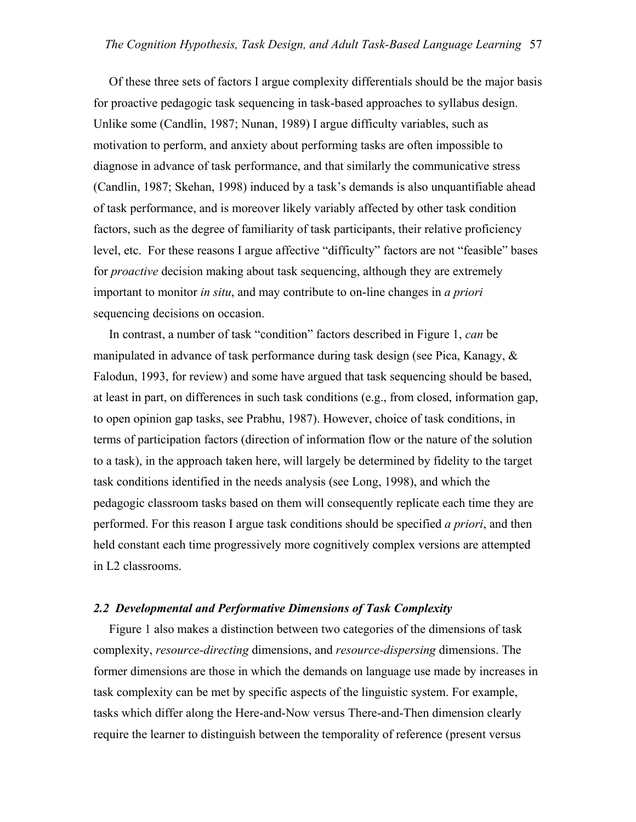Of these three sets of factors I argue complexity differentials should be the major basis for proactive pedagogic task sequencing in task-based approaches to syllabus design. Unlike some (Candlin, 1987; Nunan, 1989) I argue difficulty variables, such as motivation to perform, and anxiety about performing tasks are often impossible to diagnose in advance of task performance, and that similarly the communicative stress (Candlin, 1987; Skehan, 1998) induced by a task's demands is also unquantifiable ahead of task performance, and is moreover likely variably affected by other task condition factors, such as the degree of familiarity of task participants, their relative proficiency level, etc. For these reasons I argue affective "difficulty" factors are not "feasible" bases for *proactive* decision making about task sequencing, although they are extremely important to monitor *in situ*, and may contribute to on-line changes in *a priori* sequencing decisions on occasion.

 In contrast, a number of task "condition" factors described in Figure 1, *can* be manipulated in advance of task performance during task design (see Pica, Kanagy,  $\&$ Falodun, 1993, for review) and some have argued that task sequencing should be based, at least in part, on differences in such task conditions (e.g., from closed, information gap, to open opinion gap tasks, see Prabhu, 1987). However, choice of task conditions, in terms of participation factors (direction of information flow or the nature of the solution to a task), in the approach taken here, will largely be determined by fidelity to the target task conditions identified in the needs analysis (see Long, 1998), and which the pedagogic classroom tasks based on them will consequently replicate each time they are performed. For this reason I argue task conditions should be specified *a priori*, and then held constant each time progressively more cognitively complex versions are attempted in L2 classrooms.

### *2.2 Developmental and Performative Dimensions of Task Complexity*

 Figure 1 also makes a distinction between two categories of the dimensions of task complexity, *resource-directing* dimensions, and *resource-dispersing* dimensions. The former dimensions are those in which the demands on language use made by increases in task complexity can be met by specific aspects of the linguistic system. For example, tasks which differ along the Here-and-Now versus There-and-Then dimension clearly require the learner to distinguish between the temporality of reference (present versus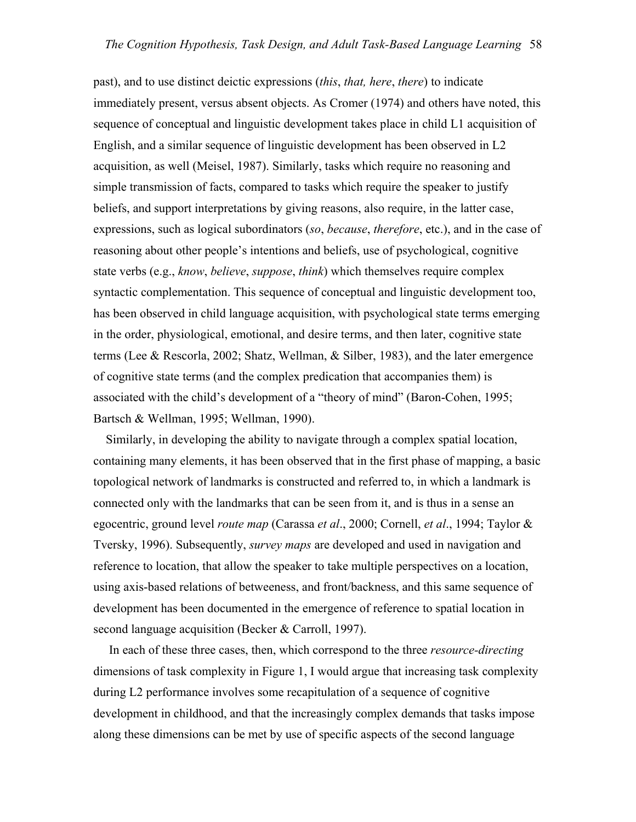past), and to use distinct deictic expressions (*this*, *that, here*, *there*) to indicate immediately present, versus absent objects. As Cromer (1974) and others have noted, this sequence of conceptual and linguistic development takes place in child L1 acquisition of English, and a similar sequence of linguistic development has been observed in L2 acquisition, as well (Meisel, 1987). Similarly, tasks which require no reasoning and simple transmission of facts, compared to tasks which require the speaker to justify beliefs, and support interpretations by giving reasons, also require, in the latter case, expressions, such as logical subordinators (*so*, *because*, *therefore*, etc.), and in the case of reasoning about other people's intentions and beliefs, use of psychological, cognitive state verbs (e.g., *know*, *believe*, *suppose*, *think*) which themselves require complex syntactic complementation. This sequence of conceptual and linguistic development too, has been observed in child language acquisition, with psychological state terms emerging in the order, physiological, emotional, and desire terms, and then later, cognitive state terms (Lee & Rescorla, 2002; Shatz, Wellman, & Silber, 1983), and the later emergence of cognitive state terms (and the complex predication that accompanies them) is associated with the child's development of a "theory of mind" (Baron-Cohen, 1995; Bartsch & Wellman, 1995; Wellman, 1990).

 Similarly, in developing the ability to navigate through a complex spatial location, containing many elements, it has been observed that in the first phase of mapping, a basic topological network of landmarks is constructed and referred to, in which a landmark is connected only with the landmarks that can be seen from it, and is thus in a sense an egocentric, ground level *route map* (Carassa *et al*., 2000; Cornell, *et al*., 1994; Taylor & Tversky, 1996). Subsequently, *survey maps* are developed and used in navigation and reference to location, that allow the speaker to take multiple perspectives on a location, using axis-based relations of betweeness, and front/backness, and this same sequence of development has been documented in the emergence of reference to spatial location in second language acquisition (Becker & Carroll, 1997).

 In each of these three cases, then, which correspond to the three *resource-directing* dimensions of task complexity in Figure 1, I would argue that increasing task complexity during L2 performance involves some recapitulation of a sequence of cognitive development in childhood, and that the increasingly complex demands that tasks impose along these dimensions can be met by use of specific aspects of the second language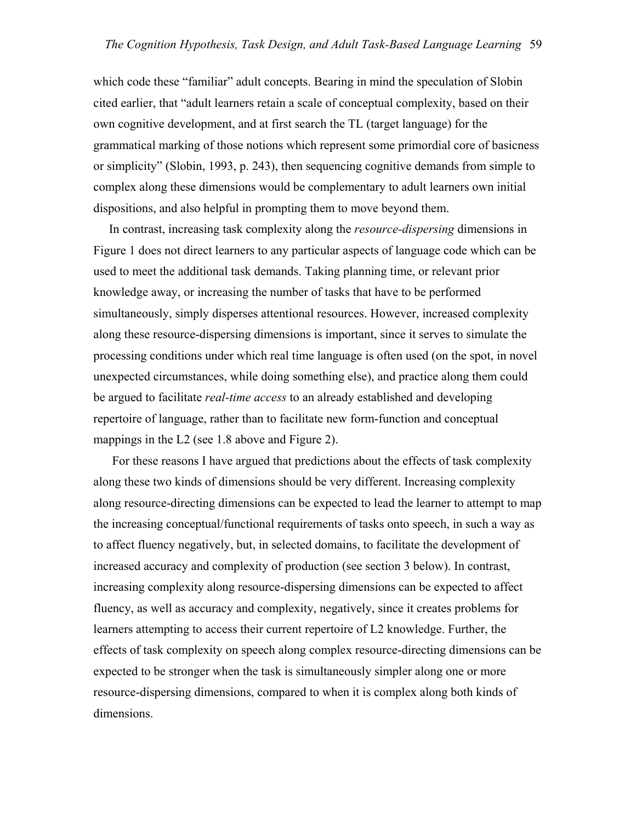which code these "familiar" adult concepts. Bearing in mind the speculation of Slobin cited earlier, that "adult learners retain a scale of conceptual complexity, based on their own cognitive development, and at first search the TL (target language) for the grammatical marking of those notions which represent some primordial core of basicness or simplicity" (Slobin, 1993, p. 243), then sequencing cognitive demands from simple to complex along these dimensions would be complementary to adult learners own initial dispositions, and also helpful in prompting them to move beyond them.

 In contrast, increasing task complexity along the *resource-dispersing* dimensions in Figure 1 does not direct learners to any particular aspects of language code which can be used to meet the additional task demands. Taking planning time, or relevant prior knowledge away, or increasing the number of tasks that have to be performed simultaneously, simply disperses attentional resources. However, increased complexity along these resource-dispersing dimensions is important, since it serves to simulate the processing conditions under which real time language is often used (on the spot, in novel unexpected circumstances, while doing something else), and practice along them could be argued to facilitate *real-time access* to an already established and developing repertoire of language, rather than to facilitate new form-function and conceptual mappings in the L2 (see 1.8 above and Figure 2).

 For these reasons I have argued that predictions about the effects of task complexity along these two kinds of dimensions should be very different. Increasing complexity along resource-directing dimensions can be expected to lead the learner to attempt to map the increasing conceptual/functional requirements of tasks onto speech, in such a way as to affect fluency negatively, but, in selected domains, to facilitate the development of increased accuracy and complexity of production (see section 3 below). In contrast, increasing complexity along resource-dispersing dimensions can be expected to affect fluency, as well as accuracy and complexity, negatively, since it creates problems for learners attempting to access their current repertoire of L2 knowledge. Further, the effects of task complexity on speech along complex resource-directing dimensions can be expected to be stronger when the task is simultaneously simpler along one or more resource-dispersing dimensions, compared to when it is complex along both kinds of dimensions.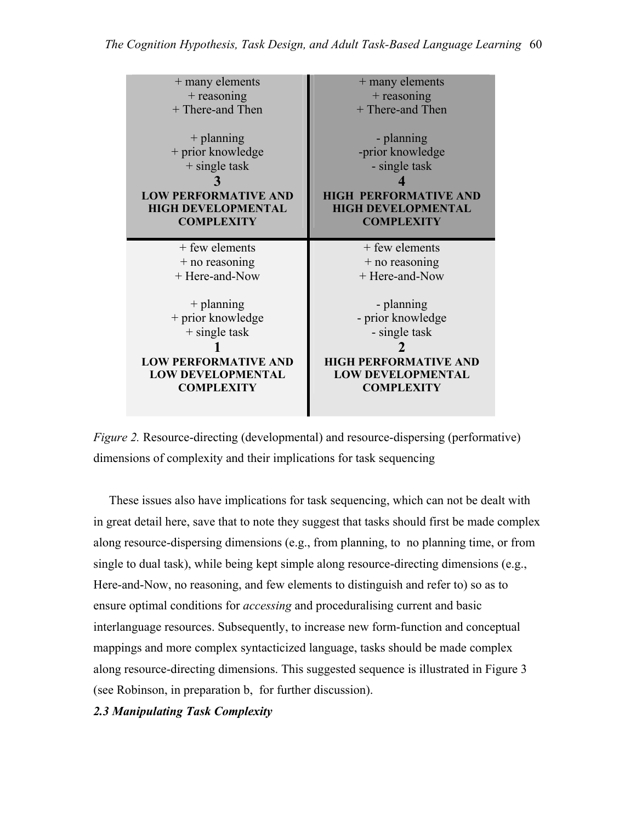| + many elements             | + many elements              |
|-----------------------------|------------------------------|
| $+$ reasoning               | $+$ reasoning                |
| + There-and Then            | + There-and Then             |
| $+$ planning                | - planning                   |
| + prior knowledge           | -prior knowledge             |
| $+$ single task             | - single task                |
| <b>LOW PERFORMATIVE AND</b> | <b>HIGH PERFORMATIVE AND</b> |
| <b>HIGH DEVELOPMENTAL</b>   | <b>HIGH DEVELOPMENTAL</b>    |
| <b>COMPLEXITY</b>           | <b>COMPLEXITY</b>            |
|                             |                              |
| + few elements              | $+$ few elements             |
| $+$ no reasoning            | $+$ no reasoning             |
| + Here-and-Now              | + Here-and-Now               |



 These issues also have implications for task sequencing, which can not be dealt with in great detail here, save that to note they suggest that tasks should first be made complex along resource-dispersing dimensions (e.g., from planning, to no planning time, or from single to dual task), while being kept simple along resource-directing dimensions (e.g., Here-and-Now, no reasoning, and few elements to distinguish and refer to) so as to ensure optimal conditions for *accessing* and proceduralising current and basic interlanguage resources. Subsequently, to increase new form-function and conceptual mappings and more complex syntacticized language, tasks should be made complex along resource-directing dimensions. This suggested sequence is illustrated in Figure 3 (see Robinson, in preparation b, for further discussion).

*2.3 Manipulating Task Complexity*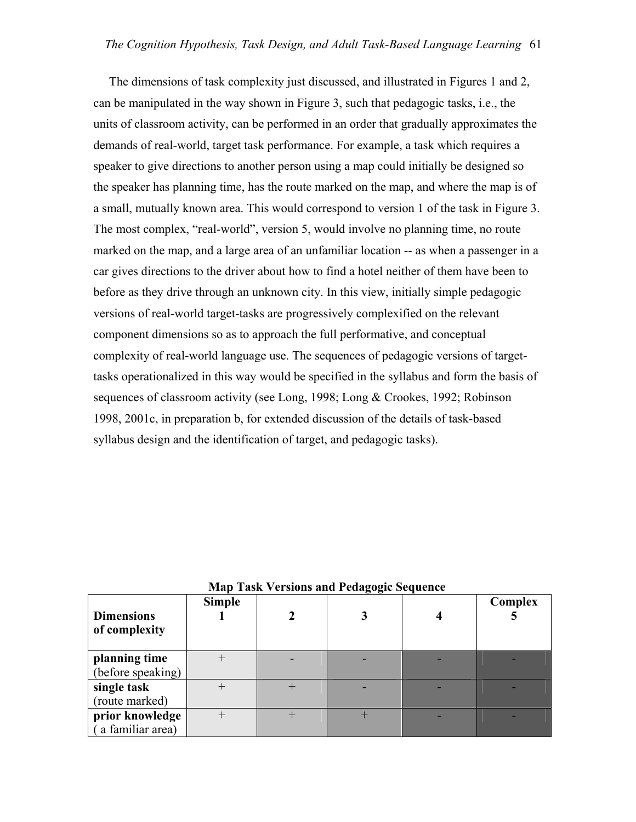The dimensions of task complexity just discussed, and illustrated in Figures 1 and 2, can be manipulated in the way shown in Figure 3, such that pedagogic tasks, i.e., the units of classroom activity, can be performed in an order that gradually approximates the demands of real-world, target task performance. For example, a task which requires a speaker to give directions to another person using a map could initially be designed so the speaker has planning time, has the route marked on the map, and where the map is of a small, mutually known area. This would correspond to version 1 of the task in Figure 3. The most complex, "real-world", version 5, would involve no planning time, no route marked on the map, and a large area of an unfamiliar location -- as when a passenger in a car gives directions to the driver about how to find a hotel neither of them have been to before as they drive through an unknown city. In this view, initially simple pedagogic versions of real-world target-tasks are progressively complexified on the relevant component dimensions so as to approach the full performative, and conceptual complexity of real-world language use. The sequences of pedagogic versions of targettasks operationalized in this way would be specified in the syllabus and form the basis of sequences of classroom activity (see Long, 1998; Long & Crookes, 1992; Robinson 1998, 2001c, in preparation b, for extended discussion of the details of task-based syllabus design and the identification of target, and pedagogic tasks).

| <b>Niap Task versions and Fedagogic Sequence</b> |               |  |  |  |         |  |  |  |  |
|--------------------------------------------------|---------------|--|--|--|---------|--|--|--|--|
| <b>Dimensions</b><br>of complexity               | <b>Simple</b> |  |  |  | Complex |  |  |  |  |
| planning time<br>(before speaking)               |               |  |  |  |         |  |  |  |  |
| single task<br>(route marked)                    |               |  |  |  |         |  |  |  |  |
| prior knowledge<br>(a familiar area)             | $^+$          |  |  |  |         |  |  |  |  |

### **Map Task Versions and Pedagogic Sequence**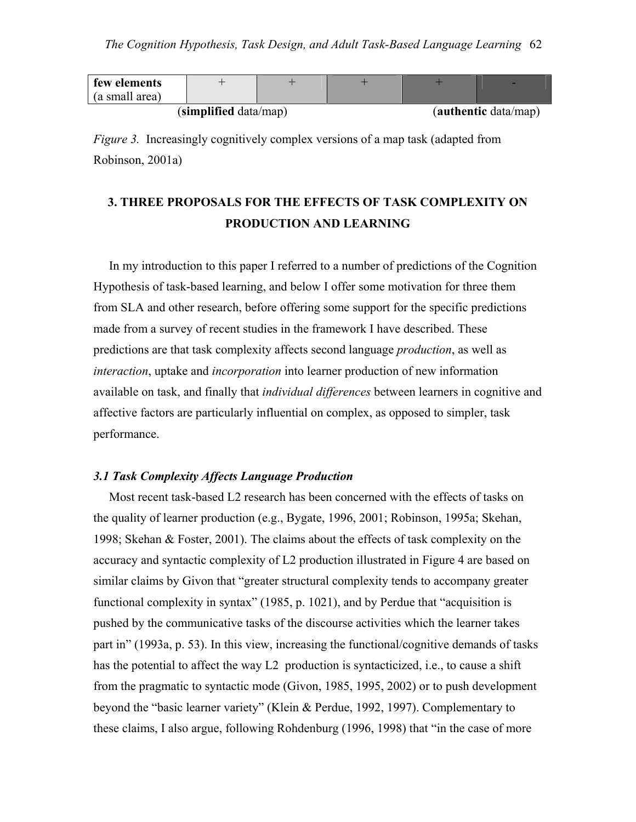| few elements   |                       |  |                      |
|----------------|-----------------------|--|----------------------|
| (a small area) |                       |  |                      |
|                | (simplified data/map) |  | (authentic data/map) |

*Figure 3.* Increasingly cognitively complex versions of a map task (adapted from Robinson, 2001a)

## **3. THREE PROPOSALS FOR THE EFFECTS OF TASK COMPLEXITY ON PRODUCTION AND LEARNING**

 In my introduction to this paper I referred to a number of predictions of the Cognition Hypothesis of task-based learning, and below I offer some motivation for three them from SLA and other research, before offering some support for the specific predictions made from a survey of recent studies in the framework I have described. These predictions are that task complexity affects second language *production*, as well as *interaction*, uptake and *incorporation* into learner production of new information available on task, and finally that *individual differences* between learners in cognitive and affective factors are particularly influential on complex, as opposed to simpler, task performance.

### *3.1 Task Complexity Affects Language Production*

 Most recent task-based L2 research has been concerned with the effects of tasks on the quality of learner production (e.g., Bygate, 1996, 2001; Robinson, 1995a; Skehan, 1998; Skehan & Foster, 2001). The claims about the effects of task complexity on the accuracy and syntactic complexity of L2 production illustrated in Figure 4 are based on similar claims by Givon that "greater structural complexity tends to accompany greater functional complexity in syntax" (1985, p. 1021), and by Perdue that "acquisition is pushed by the communicative tasks of the discourse activities which the learner takes part in" (1993a, p. 53). In this view, increasing the functional/cognitive demands of tasks has the potential to affect the way L2 production is syntacticized, i.e., to cause a shift from the pragmatic to syntactic mode (Givon, 1985, 1995, 2002) or to push development beyond the "basic learner variety" (Klein & Perdue, 1992, 1997). Complementary to these claims, I also argue, following Rohdenburg (1996, 1998) that "in the case of more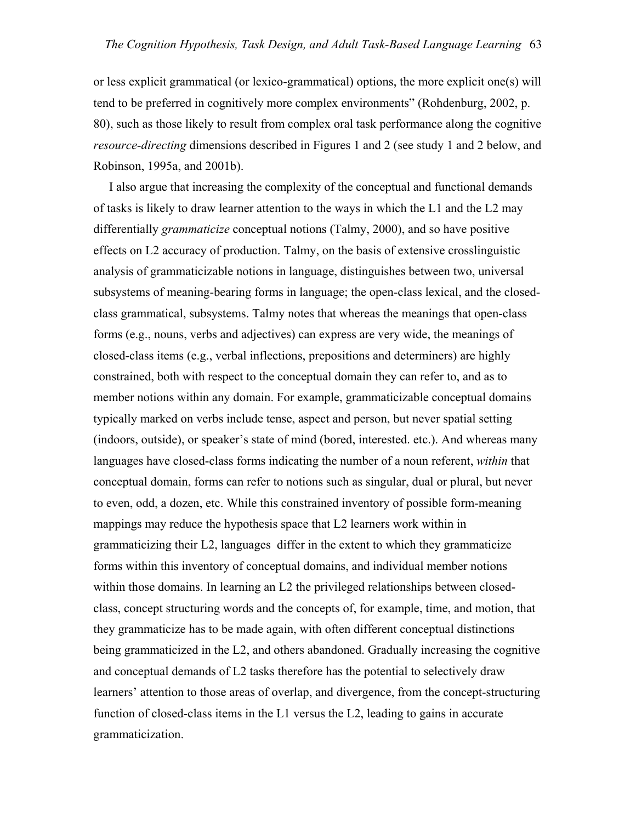or less explicit grammatical (or lexico-grammatical) options, the more explicit one(s) will tend to be preferred in cognitively more complex environments" (Rohdenburg, 2002, p. 80), such as those likely to result from complex oral task performance along the cognitive *resource-directing* dimensions described in Figures 1 and 2 (see study 1 and 2 below, and Robinson, 1995a, and 2001b).

 I also argue that increasing the complexity of the conceptual and functional demands of tasks is likely to draw learner attention to the ways in which the L1 and the L2 may differentially *grammaticize* conceptual notions (Talmy, 2000), and so have positive effects on L2 accuracy of production. Talmy, on the basis of extensive crosslinguistic analysis of grammaticizable notions in language, distinguishes between two, universal subsystems of meaning-bearing forms in language; the open-class lexical, and the closedclass grammatical, subsystems. Talmy notes that whereas the meanings that open-class forms (e.g., nouns, verbs and adjectives) can express are very wide, the meanings of closed-class items (e.g., verbal inflections, prepositions and determiners) are highly constrained, both with respect to the conceptual domain they can refer to, and as to member notions within any domain. For example, grammaticizable conceptual domains typically marked on verbs include tense, aspect and person, but never spatial setting (indoors, outside), or speaker's state of mind (bored, interested. etc.). And whereas many languages have closed-class forms indicating the number of a noun referent, *within* that conceptual domain, forms can refer to notions such as singular, dual or plural, but never to even, odd, a dozen, etc. While this constrained inventory of possible form-meaning mappings may reduce the hypothesis space that L2 learners work within in grammaticizing their L2, languages differ in the extent to which they grammaticize forms within this inventory of conceptual domains, and individual member notions within those domains. In learning an L2 the privileged relationships between closedclass, concept structuring words and the concepts of, for example, time, and motion, that they grammaticize has to be made again, with often different conceptual distinctions being grammaticized in the L2, and others abandoned. Gradually increasing the cognitive and conceptual demands of L2 tasks therefore has the potential to selectively draw learners' attention to those areas of overlap, and divergence, from the concept-structuring function of closed-class items in the L1 versus the L2, leading to gains in accurate grammaticization.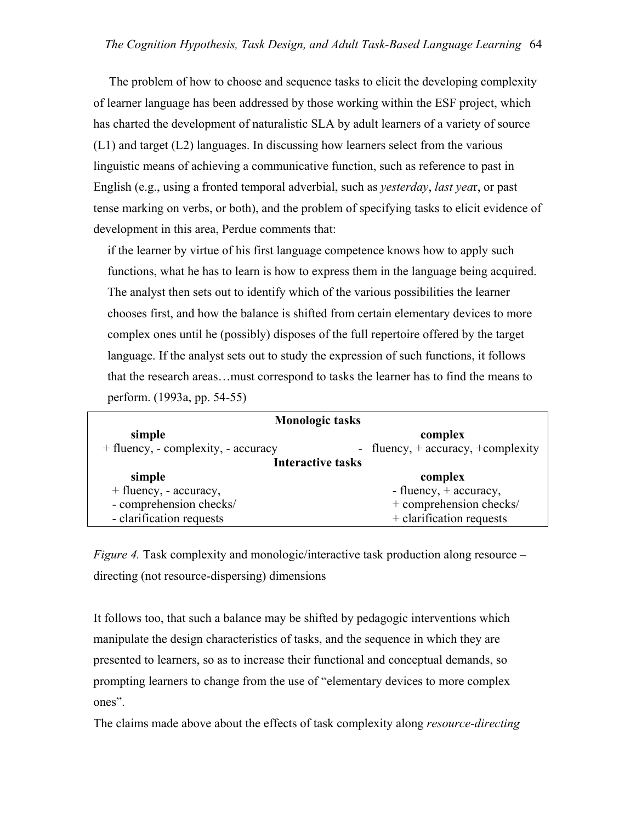The problem of how to choose and sequence tasks to elicit the developing complexity of learner language has been addressed by those working within the ESF project, which has charted the development of naturalistic SLA by adult learners of a variety of source (L1) and target (L2) languages. In discussing how learners select from the various linguistic means of achieving a communicative function, such as reference to past in English (e.g., using a fronted temporal adverbial, such as *yesterday*, *last yea*r, or past tense marking on verbs, or both), and the problem of specifying tasks to elicit evidence of development in this area, Perdue comments that:

if the learner by virtue of his first language competence knows how to apply such functions, what he has to learn is how to express them in the language being acquired. The analyst then sets out to identify which of the various possibilities the learner chooses first, and how the balance is shifted from certain elementary devices to more complex ones until he (possibly) disposes of the full repertoire offered by the target language. If the analyst sets out to study the expression of such functions, it follows that the research areas…must correspond to tasks the learner has to find the means to perform. (1993a, pp. 54-55)

| <b>Monologic tasks</b>              |                                         |  |  |  |  |  |  |
|-------------------------------------|-----------------------------------------|--|--|--|--|--|--|
| simple                              | complex                                 |  |  |  |  |  |  |
| + fluency, - complexity, - accuracy | - fluency, $+$ accuracy, $+$ complexity |  |  |  |  |  |  |
| <b>Interactive tasks</b>            |                                         |  |  |  |  |  |  |
| simple                              | complex                                 |  |  |  |  |  |  |
| + fluency, - accuracy,              | - fluency, $+$ accuracy,                |  |  |  |  |  |  |
| - comprehension checks/             | + comprehension checks/                 |  |  |  |  |  |  |
| - clarification requests            | + clarification requests                |  |  |  |  |  |  |

*Figure 4.* Task complexity and monologic/interactive task production along resource – directing (not resource-dispersing) dimensions

It follows too, that such a balance may be shifted by pedagogic interventions which manipulate the design characteristics of tasks, and the sequence in which they are presented to learners, so as to increase their functional and conceptual demands, so prompting learners to change from the use of "elementary devices to more complex ones".

The claims made above about the effects of task complexity along *resource-directing*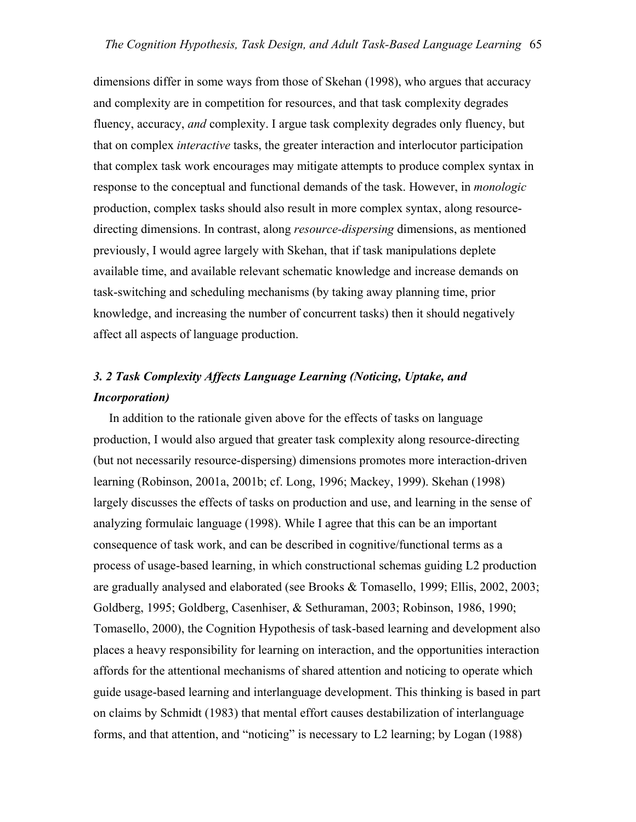dimensions differ in some ways from those of Skehan (1998), who argues that accuracy and complexity are in competition for resources, and that task complexity degrades fluency, accuracy, *and* complexity. I argue task complexity degrades only fluency, but that on complex *interactive* tasks, the greater interaction and interlocutor participation that complex task work encourages may mitigate attempts to produce complex syntax in response to the conceptual and functional demands of the task. However, in *monologic* production, complex tasks should also result in more complex syntax, along resourcedirecting dimensions. In contrast, along *resource-dispersing* dimensions, as mentioned previously, I would agree largely with Skehan, that if task manipulations deplete available time, and available relevant schematic knowledge and increase demands on task-switching and scheduling mechanisms (by taking away planning time, prior knowledge, and increasing the number of concurrent tasks) then it should negatively affect all aspects of language production.

## *3. 2 Task Complexity Affects Language Learning (Noticing, Uptake, and Incorporation)*

 In addition to the rationale given above for the effects of tasks on language production, I would also argued that greater task complexity along resource-directing (but not necessarily resource-dispersing) dimensions promotes more interaction-driven learning (Robinson, 2001a, 2001b; cf. Long, 1996; Mackey, 1999). Skehan (1998) largely discusses the effects of tasks on production and use, and learning in the sense of analyzing formulaic language (1998). While I agree that this can be an important consequence of task work, and can be described in cognitive/functional terms as a process of usage-based learning, in which constructional schemas guiding L2 production are gradually analysed and elaborated (see Brooks & Tomasello, 1999; Ellis, 2002, 2003; Goldberg, 1995; Goldberg, Casenhiser, & Sethuraman, 2003; Robinson, 1986, 1990; Tomasello, 2000), the Cognition Hypothesis of task-based learning and development also places a heavy responsibility for learning on interaction, and the opportunities interaction affords for the attentional mechanisms of shared attention and noticing to operate which guide usage-based learning and interlanguage development. This thinking is based in part on claims by Schmidt (1983) that mental effort causes destabilization of interlanguage forms, and that attention, and "noticing" is necessary to L2 learning; by Logan (1988)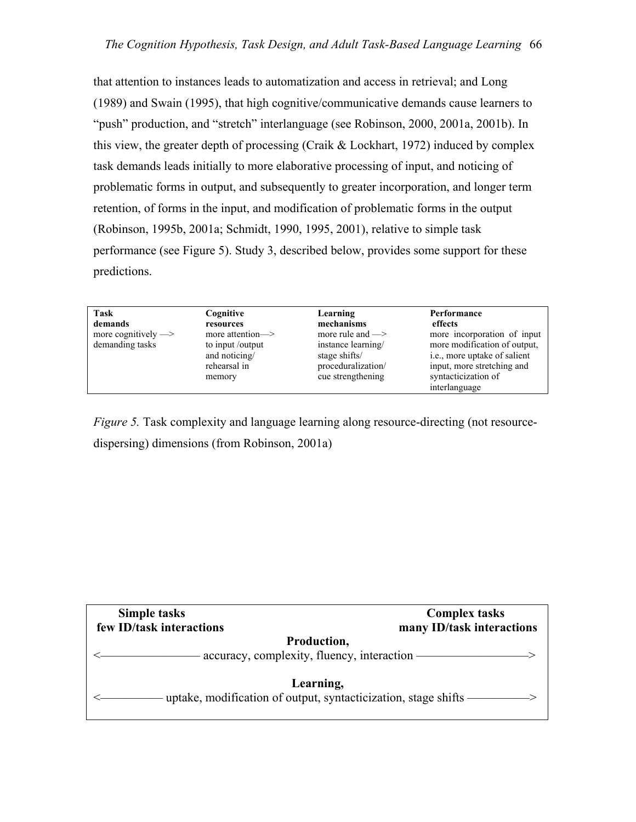that attention to instances leads to automatization and access in retrieval; and Long (1989) and Swain (1995), that high cognitive/communicative demands cause learners to "push" production, and "stretch" interlanguage (see Robinson, 2000, 2001a, 2001b). In this view, the greater depth of processing (Craik  $& Lockhart, 1972$ ) induced by complex task demands leads initially to more elaborative processing of input, and noticing of problematic forms in output, and subsequently to greater incorporation, and longer term retention, of forms in the input, and modification of problematic forms in the output (Robinson, 1995b, 2001a; Schmidt, 1990, 1995, 2001), relative to simple task performance (see Figure 5). Study 3, described below, provides some support for these predictions.

Task Cognitive Learning Performance demands resources mechanisms effects<br>more cognitively —> more attention —> more rule and —> more in

memory cue strengthening

more attention— $>$  more rule and — $>$  more incorporation of input demanding tasks to input /output instance learning more modification of output, and noticing/ stage shifts/ i.e., more uptake of salient rehearsal in proceduralization/ input, more stretching and memory cue strengthening syntacticization of interlanguage

*Figure 5.* Task complexity and language learning along resource-directing (not resourcedispersing) dimensions (from Robinson, 2001a)

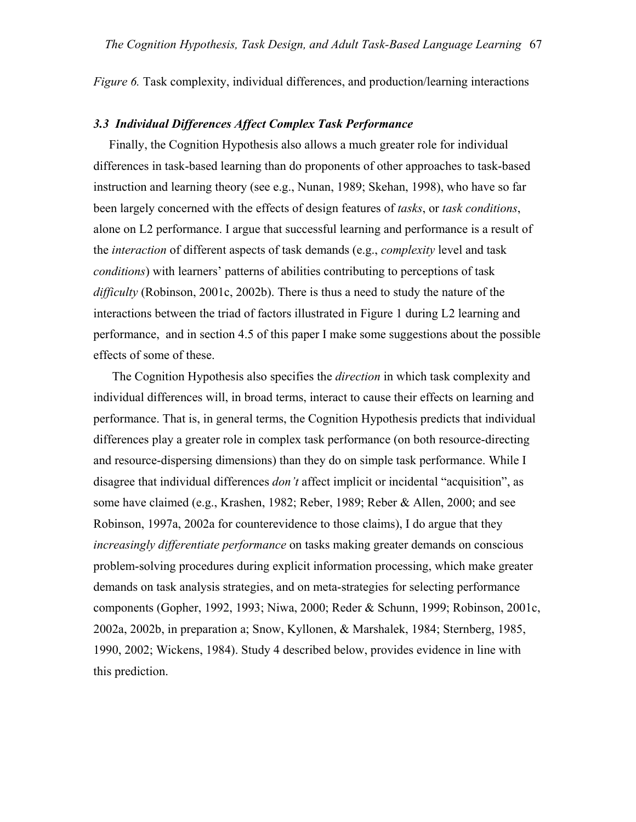*Figure 6.* Task complexity, individual differences, and production/learning interactions

### *3.3 Individual Differences Affect Complex Task Performance*

 Finally, the Cognition Hypothesis also allows a much greater role for individual differences in task-based learning than do proponents of other approaches to task-based instruction and learning theory (see e.g., Nunan, 1989; Skehan, 1998), who have so far been largely concerned with the effects of design features of *tasks*, or *task conditions*, alone on L2 performance. I argue that successful learning and performance is a result of the *interaction* of different aspects of task demands (e.g., *complexity* level and task *conditions*) with learners' patterns of abilities contributing to perceptions of task *difficulty* (Robinson, 2001c, 2002b). There is thus a need to study the nature of the interactions between the triad of factors illustrated in Figure 1 during L2 learning and performance, and in section 4.5 of this paper I make some suggestions about the possible effects of some of these.

 The Cognition Hypothesis also specifies the *direction* in which task complexity and individual differences will, in broad terms, interact to cause their effects on learning and performance. That is, in general terms, the Cognition Hypothesis predicts that individual differences play a greater role in complex task performance (on both resource-directing and resource-dispersing dimensions) than they do on simple task performance. While I disagree that individual differences *don't* affect implicit or incidental "acquisition", as some have claimed (e.g., Krashen, 1982; Reber, 1989; Reber & Allen, 2000; and see Robinson, 1997a, 2002a for counterevidence to those claims), I do argue that they *increasingly differentiate performance* on tasks making greater demands on conscious problem-solving procedures during explicit information processing, which make greater demands on task analysis strategies, and on meta-strategies for selecting performance components (Gopher, 1992, 1993; Niwa, 2000; Reder & Schunn, 1999; Robinson, 2001c, 2002a, 2002b, in preparation a; Snow, Kyllonen, & Marshalek, 1984; Sternberg, 1985, 1990, 2002; Wickens, 1984). Study 4 described below, provides evidence in line with this prediction.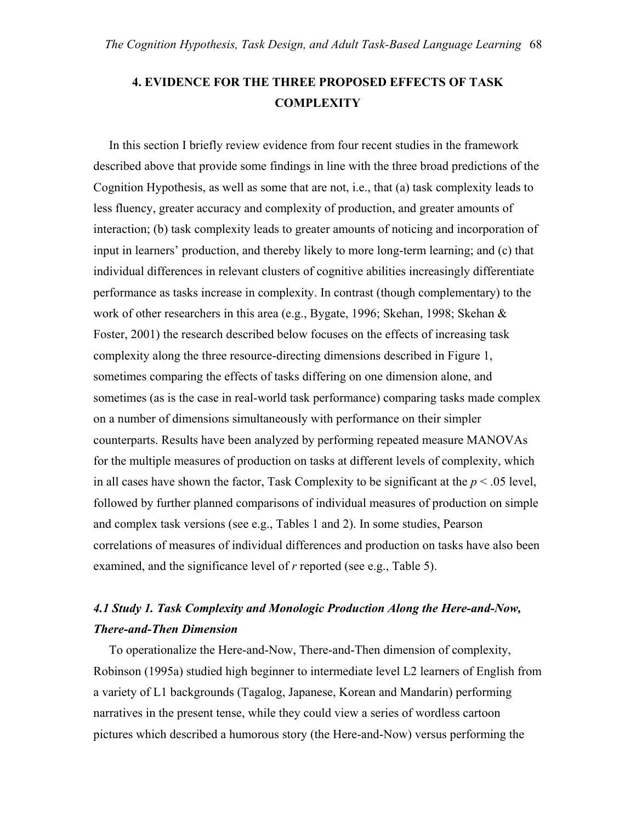## **4. EVIDENCE FOR THE THREE PROPOSED EFFECTS OF TASK COMPLEXITY**

 In this section I briefly review evidence from four recent studies in the framework described above that provide some findings in line with the three broad predictions of the Cognition Hypothesis, as well as some that are not, i.e., that (a) task complexity leads to less fluency, greater accuracy and complexity of production, and greater amounts of interaction; (b) task complexity leads to greater amounts of noticing and incorporation of input in learners' production, and thereby likely to more long-term learning; and (c) that individual differences in relevant clusters of cognitive abilities increasingly differentiate performance as tasks increase in complexity. In contrast (though complementary) to the work of other researchers in this area (e.g., Bygate, 1996; Skehan, 1998; Skehan & Foster, 2001) the research described below focuses on the effects of increasing task complexity along the three resource-directing dimensions described in Figure 1, sometimes comparing the effects of tasks differing on one dimension alone, and sometimes (as is the case in real-world task performance) comparing tasks made complex on a number of dimensions simultaneously with performance on their simpler counterparts. Results have been analyzed by performing repeated measure MANOVAs for the multiple measures of production on tasks at different levels of complexity, which in all cases have shown the factor, Task Complexity to be significant at the  $p < .05$  level, followed by further planned comparisons of individual measures of production on simple and complex task versions (see e.g., Tables 1 and 2). In some studies, Pearson correlations of measures of individual differences and production on tasks have also been examined, and the significance level of *r* reported (see e.g., Table 5).

### *4.1 Study 1. Task Complexity and Monologic Production Along the Here-and-Now, There-and-Then Dimension*

 To operationalize the Here-and-Now, There-and-Then dimension of complexity, Robinson (1995a) studied high beginner to intermediate level L2 learners of English from a variety of L1 backgrounds (Tagalog, Japanese, Korean and Mandarin) performing narratives in the present tense, while they could view a series of wordless cartoon pictures which described a humorous story (the Here-and-Now) versus performing the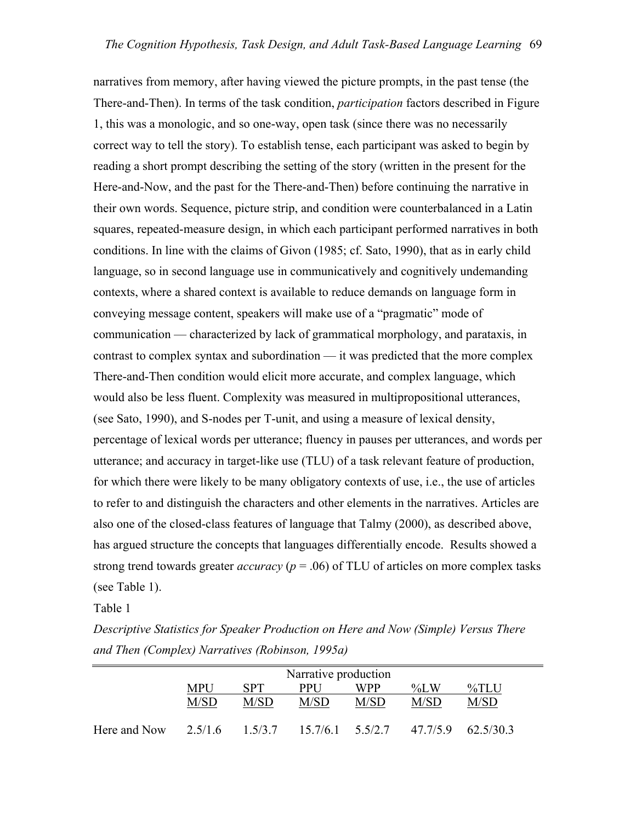narratives from memory, after having viewed the picture prompts, in the past tense (the There-and-Then). In terms of the task condition, *participation* factors described in Figure 1, this was a monologic, and so one-way, open task (since there was no necessarily correct way to tell the story). To establish tense, each participant was asked to begin by reading a short prompt describing the setting of the story (written in the present for the Here-and-Now, and the past for the There-and-Then) before continuing the narrative in their own words. Sequence, picture strip, and condition were counterbalanced in a Latin squares, repeated-measure design, in which each participant performed narratives in both conditions. In line with the claims of Givon (1985; cf. Sato, 1990), that as in early child language, so in second language use in communicatively and cognitively undemanding contexts, where a shared context is available to reduce demands on language form in conveying message content, speakers will make use of a "pragmatic" mode of communication — characterized by lack of grammatical morphology, and parataxis, in contrast to complex syntax and subordination — it was predicted that the more complex There-and-Then condition would elicit more accurate, and complex language, which would also be less fluent. Complexity was measured in multipropositional utterances, (see Sato, 1990), and S-nodes per T-unit, and using a measure of lexical density, percentage of lexical words per utterance; fluency in pauses per utterances, and words per utterance; and accuracy in target-like use (TLU) of a task relevant feature of production, for which there were likely to be many obligatory contexts of use, i.e., the use of articles to refer to and distinguish the characters and other elements in the narratives. Articles are also one of the closed-class features of language that Talmy (2000), as described above, has argued structure the concepts that languages differentially encode. Results showed a strong trend towards greater *accuracy* (*p* = .06) of TLU of articles on more complex tasks (see Table 1).

Table 1

*Descriptive Statistics for Speaker Production on Here and Now (Simple) Versus There and Then (Complex) Narratives (Robinson, 1995a)* 

|              | Narrative production |             |                      |         |          |           |  |  |
|--------------|----------------------|-------------|----------------------|---------|----------|-----------|--|--|
|              | <b>MPU</b>           | SPT         | <b>PPI</b> J         | $\%$ LW | $\%$ TLU |           |  |  |
|              | M/SD                 | M/SD        | M/SD                 | M/SD    | M/SD     | M/SD      |  |  |
| Here and Now | 2.5/16               | $1\,5/3\,7$ | $15.7/6.1$ $5.5/2.7$ |         | 47.7/5.9 | 62.5/30.3 |  |  |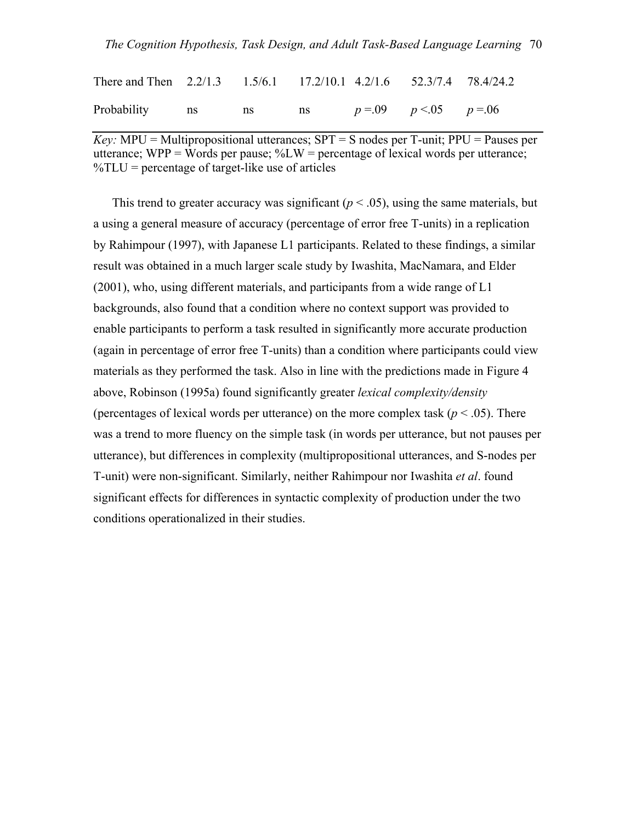### *The Cognition Hypothesis, Task Design, and Adult Task-Based Language Learning* 70

| There and Then 2.2/1.3 1.5/6.1 17.2/10.1 4.2/1.6 52.3/7.4 78.4/24.2 |  |  |  |
|---------------------------------------------------------------------|--|--|--|
| Probability ns ns ns $p=0.09$ $p<0.05$ $p=0.06$                     |  |  |  |

*Key:* MPU = Multipropositional utterances;  $SPT = S$  nodes per T-unit;  $PPU = P$  auses per utterance; WPP = Words per pause;  $\%LW$  = percentage of lexical words per utterance;  $\%TLU$  = percentage of target-like use of articles

This trend to greater accuracy was significant  $(p < .05)$ , using the same materials, but a using a general measure of accuracy (percentage of error free T-units) in a replication by Rahimpour (1997), with Japanese L1 participants. Related to these findings, a similar result was obtained in a much larger scale study by Iwashita, MacNamara, and Elder (2001), who, using different materials, and participants from a wide range of L1 backgrounds, also found that a condition where no context support was provided to enable participants to perform a task resulted in significantly more accurate production (again in percentage of error free T-units) than a condition where participants could view materials as they performed the task. Also in line with the predictions made in Figure 4 above, Robinson (1995a) found significantly greater *lexical complexity/density* (percentages of lexical words per utterance) on the more complex task ( $p < .05$ ). There was a trend to more fluency on the simple task (in words per utterance, but not pauses per utterance), but differences in complexity (multipropositional utterances, and S-nodes per T-unit) were non-significant. Similarly, neither Rahimpour nor Iwashita *et al*. found significant effects for differences in syntactic complexity of production under the two conditions operationalized in their studies.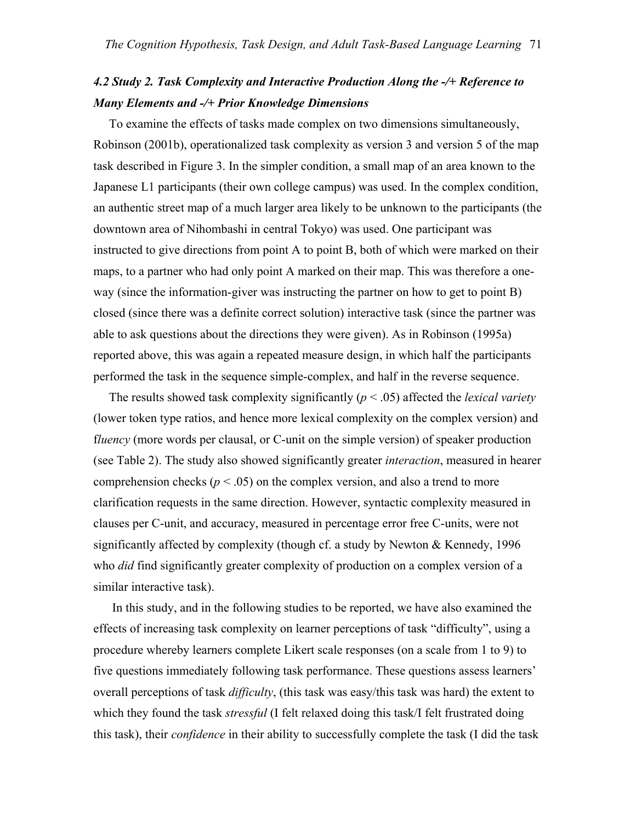## *4.2 Study 2. Task Complexity and Interactive Production Along the -/+ Reference to Many Elements and -/+ Prior Knowledge Dimensions*

 To examine the effects of tasks made complex on two dimensions simultaneously, Robinson (2001b), operationalized task complexity as version 3 and version 5 of the map task described in Figure 3. In the simpler condition, a small map of an area known to the Japanese L1 participants (their own college campus) was used. In the complex condition, an authentic street map of a much larger area likely to be unknown to the participants (the downtown area of Nihombashi in central Tokyo) was used. One participant was instructed to give directions from point A to point B, both of which were marked on their maps, to a partner who had only point A marked on their map. This was therefore a oneway (since the information-giver was instructing the partner on how to get to point B) closed (since there was a definite correct solution) interactive task (since the partner was able to ask questions about the directions they were given). As in Robinson (1995a) reported above, this was again a repeated measure design, in which half the participants performed the task in the sequence simple-complex, and half in the reverse sequence.

The results showed task complexity significantly  $(p < .05)$  affected the *lexical variety* (lower token type ratios, and hence more lexical complexity on the complex version) and f*luency* (more words per clausal, or C-unit on the simple version) of speaker production (see Table 2). The study also showed significantly greater *interaction*, measured in hearer comprehension checks ( $p < .05$ ) on the complex version, and also a trend to more clarification requests in the same direction. However, syntactic complexity measured in clauses per C-unit, and accuracy, measured in percentage error free C-units, were not significantly affected by complexity (though cf. a study by Newton & Kennedy, 1996 who *did* find significantly greater complexity of production on a complex version of a similar interactive task).

 In this study, and in the following studies to be reported, we have also examined the effects of increasing task complexity on learner perceptions of task "difficulty", using a procedure whereby learners complete Likert scale responses (on a scale from 1 to 9) to five questions immediately following task performance. These questions assess learners' overall perceptions of task *difficulty*, (this task was easy/this task was hard) the extent to which they found the task *stressful* (I felt relaxed doing this task/I felt frustrated doing this task), their *confidence* in their ability to successfully complete the task (I did the task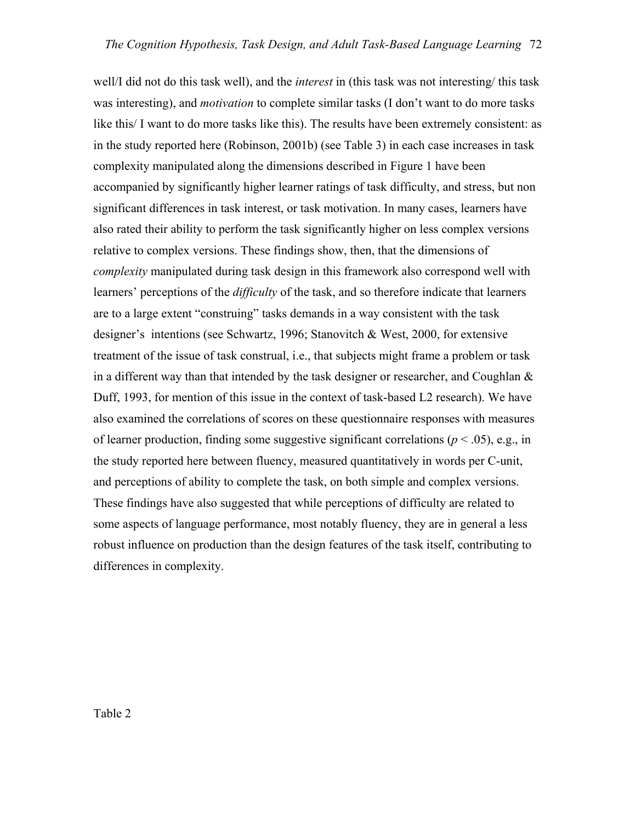well/I did not do this task well), and the *interest* in (this task was not interesting/ this task was interesting), and *motivation* to complete similar tasks (I don't want to do more tasks like this/ I want to do more tasks like this). The results have been extremely consistent: as in the study reported here (Robinson, 2001b) (see Table 3) in each case increases in task complexity manipulated along the dimensions described in Figure 1 have been accompanied by significantly higher learner ratings of task difficulty, and stress, but non significant differences in task interest, or task motivation. In many cases, learners have also rated their ability to perform the task significantly higher on less complex versions relative to complex versions. These findings show, then, that the dimensions of *complexity* manipulated during task design in this framework also correspond well with learners' perceptions of the *difficulty* of the task, and so therefore indicate that learners are to a large extent "construing" tasks demands in a way consistent with the task designer's intentions (see Schwartz, 1996; Stanovitch & West, 2000, for extensive treatment of the issue of task construal, i.e., that subjects might frame a problem or task in a different way than that intended by the task designer or researcher, and Coughlan & Duff, 1993, for mention of this issue in the context of task-based L2 research). We have also examined the correlations of scores on these questionnaire responses with measures of learner production, finding some suggestive significant correlations ( $p < .05$ ), e.g., in the study reported here between fluency, measured quantitatively in words per C-unit, and perceptions of ability to complete the task, on both simple and complex versions. These findings have also suggested that while perceptions of difficulty are related to some aspects of language performance, most notably fluency, they are in general a less robust influence on production than the design features of the task itself, contributing to differences in complexity.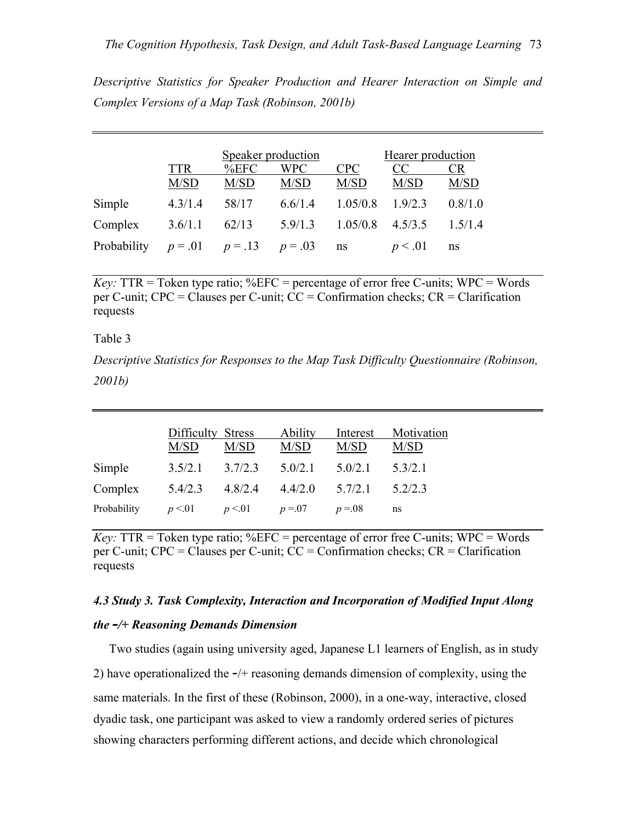*Descriptive Statistics for Speaker Production and Hearer Interaction on Simple and Complex Versions of a Map Task (Robinson, 2001b)* 

|             |            | Speaker production |           |            | Hearer production |           |  |
|-------------|------------|--------------------|-----------|------------|-------------------|-----------|--|
|             | <b>TTR</b> | %EFC               | WPC       | <b>CPC</b> | CC                | <b>CR</b> |  |
|             | M/SD       | M/SD               | M/SD      | M/SD       | M/SD              | M/SD      |  |
| Simple      | 4.3/1.4    | 58/17              | 6.6/1.4   | 1.05/0.8   | 1.9/2.3           | 0.8/1.0   |  |
| Complex     | 3.6/1.1    | 62/13              | 5.9/1.3   | 1.05/0.8   | 4.5/3.5           | 15/14     |  |
| Probability | $p = .01$  | $p = .13$          | $p = .03$ | ns         | p < 0.01          | ns        |  |

*Key:*  $TTR = \text{Token type ratio; } \%EFC = \text{percentage of error free } C\text{-units; } WPC = \text{Words}$ per C-unit; CPC = Clauses per C-unit; CC = Confirmation checks; CR = Clarification requests

### Table 3

*Descriptive Statistics for Responses to the Map Task Difficulty Questionnaire (Robinson, 2001b)*

|             | Difficulty Stress<br>M/SD | M/SD    | <b>Ability</b><br>M/SD | Interest<br>M/SD | Motivation<br>M/SD |
|-------------|---------------------------|---------|------------------------|------------------|--------------------|
| Simple      | 3.5/2.1                   | 3.7/2.3 | 5.0/2.1                | 5.0/2.1          | 53/21              |
| Complex     | 5.4/2.3                   | 4.8/2.4 | 4.4/2.0                | 5.7/2.1          | 52/23              |
| Probability | p < 01                    | p < 01  | $p = 07$               | $p = 0.08$       | ns                 |

*Key:*  $TTR = \text{Token type ratio; %EFC = percentage of error free C-units; WPC = Words$ per C-unit; CPC = Clauses per C-unit; CC = Confirmation checks; CR = Clarification requests

## *4.3 Study 3. Task Complexity, Interaction and Incorporation of Modified Input Along the -/+ Reasoning Demands Dimension*

 Two studies (again using university aged, Japanese L1 learners of English, as in study 2) have operationalized the -/+ reasoning demands dimension of complexity, using the same materials. In the first of these (Robinson, 2000), in a one-way, interactive, closed dyadic task, one participant was asked to view a randomly ordered series of pictures showing characters performing different actions, and decide which chronological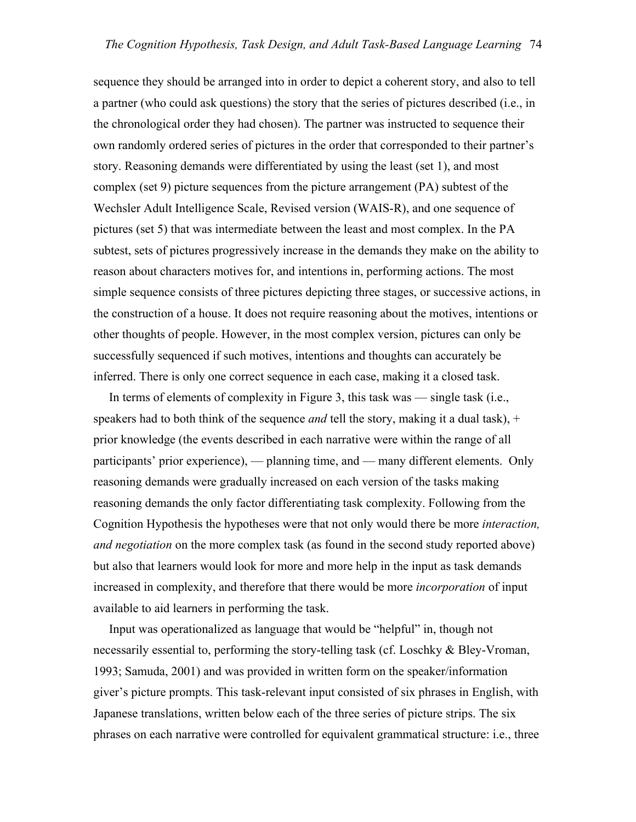sequence they should be arranged into in order to depict a coherent story, and also to tell a partner (who could ask questions) the story that the series of pictures described (i.e., in the chronological order they had chosen). The partner was instructed to sequence their own randomly ordered series of pictures in the order that corresponded to their partner's story. Reasoning demands were differentiated by using the least (set 1), and most complex (set 9) picture sequences from the picture arrangement (PA) subtest of the Wechsler Adult Intelligence Scale, Revised version (WAIS-R), and one sequence of pictures (set 5) that was intermediate between the least and most complex. In the PA subtest, sets of pictures progressively increase in the demands they make on the ability to reason about characters motives for, and intentions in, performing actions. The most simple sequence consists of three pictures depicting three stages, or successive actions, in the construction of a house. It does not require reasoning about the motives, intentions or other thoughts of people. However, in the most complex version, pictures can only be successfully sequenced if such motives, intentions and thoughts can accurately be inferred. There is only one correct sequence in each case, making it a closed task.

 In terms of elements of complexity in Figure 3, this task was — single task (i.e., speakers had to both think of the sequence *and* tell the story, making it a dual task), + prior knowledge (the events described in each narrative were within the range of all participants' prior experience), — planning time, and — many different elements. Only reasoning demands were gradually increased on each version of the tasks making reasoning demands the only factor differentiating task complexity. Following from the Cognition Hypothesis the hypotheses were that not only would there be more *interaction, and negotiation* on the more complex task (as found in the second study reported above) but also that learners would look for more and more help in the input as task demands increased in complexity, and therefore that there would be more *incorporation* of input available to aid learners in performing the task.

 Input was operationalized as language that would be "helpful" in, though not necessarily essential to, performing the story-telling task (cf. Loschky & Bley-Vroman, 1993; Samuda, 2001) and was provided in written form on the speaker/information giver's picture prompts. This task-relevant input consisted of six phrases in English, with Japanese translations, written below each of the three series of picture strips. The six phrases on each narrative were controlled for equivalent grammatical structure: i.e., three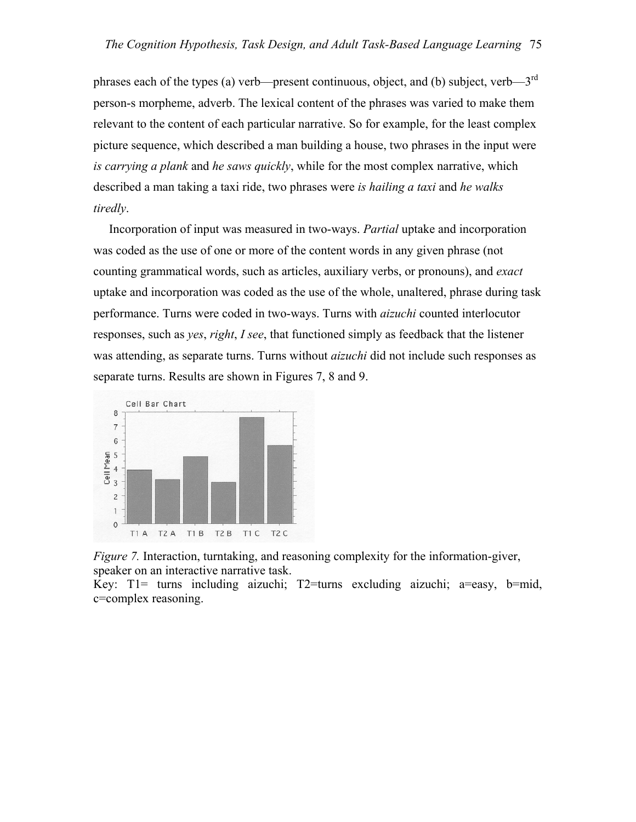phrases each of the types (a) verb—present continuous, object, and (b) subject, verb— $3<sup>rd</sup>$ person-s morpheme, adverb. The lexical content of the phrases was varied to make them relevant to the content of each particular narrative. So for example, for the least complex picture sequence, which described a man building a house, two phrases in the input were *is carrying a plank* and *he saws quickly*, while for the most complex narrative, which described a man taking a taxi ride, two phrases were *is hailing a taxi* and *he walks tiredly*.

 Incorporation of input was measured in two-ways. *Partial* uptake and incorporation was coded as the use of one or more of the content words in any given phrase (not counting grammatical words, such as articles, auxiliary verbs, or pronouns), and *exact* uptake and incorporation was coded as the use of the whole, unaltered, phrase during task performance. Turns were coded in two-ways. Turns with *aizuchi* counted interlocutor responses, such as *yes*, *right*, *I see*, that functioned simply as feedback that the listener was attending, as separate turns. Turns without *aizuchi* did not include such responses as separate turns. Results are shown in Figures 7, 8 and 9.



*Figure 7.* Interaction, turntaking, and reasoning complexity for the information-giver, speaker on an interactive narrative task.

Key: T1= turns including aizuchi; T2=turns excluding aizuchi; a=easy, b=mid, c=complex reasoning.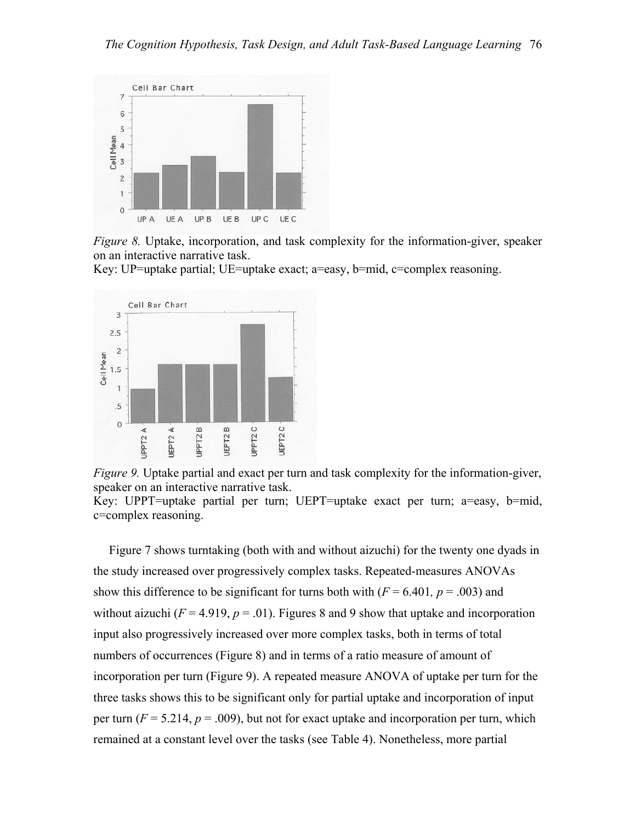

*Figure 8.* Uptake, incorporation, and task complexity for the information-giver, speaker on an interactive narrative task.

Key: UP=uptake partial; UE=uptake exact; a=easy, b=mid, c=complex reasoning.



*Figure 9.* Uptake partial and exact per turn and task complexity for the information-giver, speaker on an interactive narrative task.

Key: UPPT=uptake partial per turn; UEPT=uptake exact per turn; a=easy, b=mid, c=complex reasoning.

 Figure 7 shows turntaking (both with and without aizuchi) for the twenty one dyads in the study increased over progressively complex tasks. Repeated-measures ANOVAs show this difference to be significant for turns both with  $(F = 6.401, p = .003)$  and without aizuchi  $(F = 4.919, p = .01)$ . Figures 8 and 9 show that uptake and incorporation input also progressively increased over more complex tasks, both in terms of total numbers of occurrences (Figure 8) and in terms of a ratio measure of amount of incorporation per turn (Figure 9). A repeated measure ANOVA of uptake per turn for the three tasks shows this to be significant only for partial uptake and incorporation of input per turn  $(F = 5.214, p = .009)$ , but not for exact uptake and incorporation per turn, which remained at a constant level over the tasks (see Table 4). Nonetheless, more partial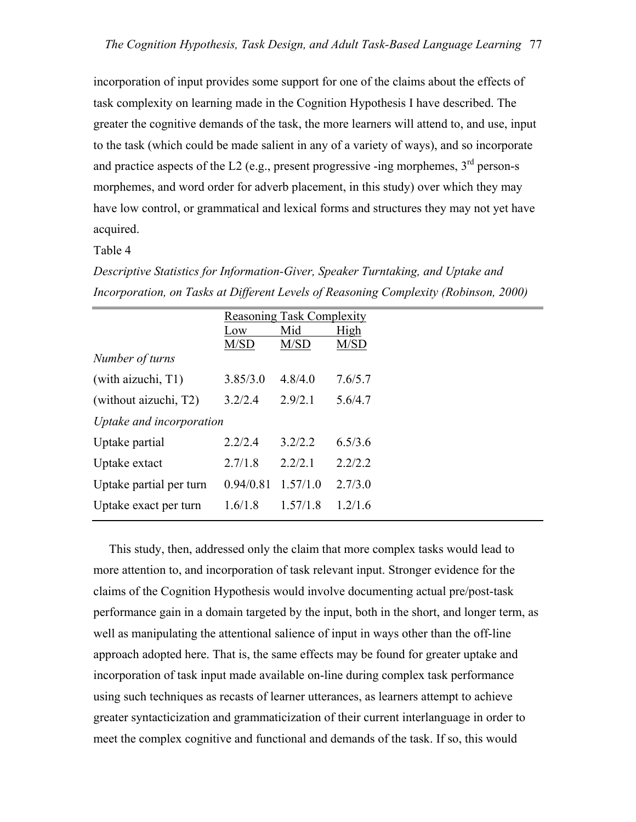incorporation of input provides some support for one of the claims about the effects of task complexity on learning made in the Cognition Hypothesis I have described. The greater the cognitive demands of the task, the more learners will attend to, and use, input to the task (which could be made salient in any of a variety of ways), and so incorporate and practice aspects of the L2 (e.g., present progressive -ing morphemes,  $3<sup>rd</sup>$  person-s morphemes, and word order for adverb placement, in this study) over which they may have low control, or grammatical and lexical forms and structures they may not yet have acquired.

#### Table 4

*Descriptive Statistics for Information-Giver, Speaker Turntaking, and Uptake and Incorporation, on Tasks at Different Levels of Reasoning Complexity (Robinson, 2000)* 

|                          |           | <b>Reasoning Task Complexity</b> |         |  |  |  |  |  |
|--------------------------|-----------|----------------------------------|---------|--|--|--|--|--|
|                          | Low       | Mid                              | High    |  |  |  |  |  |
|                          | M/SD      | M/SD                             | M/SD    |  |  |  |  |  |
| Number of turns          |           |                                  |         |  |  |  |  |  |
| (with aizuchi, T1)       | 3.85/3.0  | 4.8/4.0                          | 7.6/5.7 |  |  |  |  |  |
| (without aizuchi, T2)    | 3.2/2.4   | 2.9/2.1                          | 5.6/4.7 |  |  |  |  |  |
| Uptake and incorporation |           |                                  |         |  |  |  |  |  |
| Uptake partial           | 2.2/2.4   | 3.2/2.2                          | 6.5/3.6 |  |  |  |  |  |
| Uptake extact            | 2.7/1.8   | 2.2/2.1                          | 2.2/2.2 |  |  |  |  |  |
| Uptake partial per turn  | 0.94/0.81 | 1.57/1.0                         | 2.7/3.0 |  |  |  |  |  |
| Uptake exact per turn    | 1.6/1.8   | 1.57/1.8                         | 1.2/1.6 |  |  |  |  |  |
|                          |           |                                  |         |  |  |  |  |  |

 This study, then, addressed only the claim that more complex tasks would lead to more attention to, and incorporation of task relevant input. Stronger evidence for the claims of the Cognition Hypothesis would involve documenting actual pre/post-task performance gain in a domain targeted by the input, both in the short, and longer term, as well as manipulating the attentional salience of input in ways other than the off-line approach adopted here. That is, the same effects may be found for greater uptake and incorporation of task input made available on-line during complex task performance using such techniques as recasts of learner utterances, as learners attempt to achieve greater syntacticization and grammaticization of their current interlanguage in order to meet the complex cognitive and functional and demands of the task. If so, this would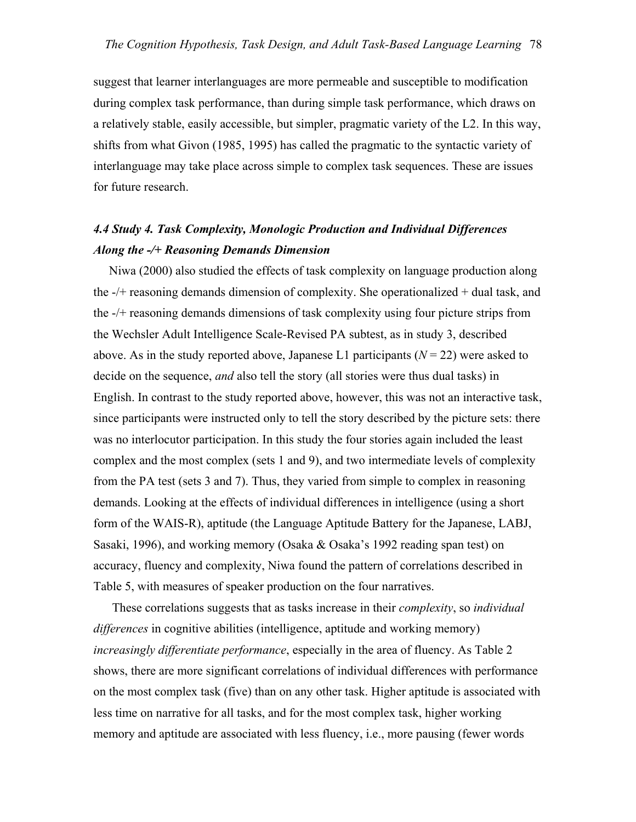suggest that learner interlanguages are more permeable and susceptible to modification during complex task performance, than during simple task performance, which draws on a relatively stable, easily accessible, but simpler, pragmatic variety of the L2. In this way, shifts from what Givon (1985, 1995) has called the pragmatic to the syntactic variety of interlanguage may take place across simple to complex task sequences. These are issues for future research.

## *4.4 Study 4. Task Complexity, Monologic Production and Individual Differences Along the -/+ Reasoning Demands Dimension*

Niwa (2000) also studied the effects of task complexity on language production along the -/+ reasoning demands dimension of complexity. She operationalized + dual task, and the -/+ reasoning demands dimensions of task complexity using four picture strips from the Wechsler Adult Intelligence Scale-Revised PA subtest, as in study 3, described above. As in the study reported above, Japanese L1 participants  $(N = 22)$  were asked to decide on the sequence, *and* also tell the story (all stories were thus dual tasks) in English. In contrast to the study reported above, however, this was not an interactive task, since participants were instructed only to tell the story described by the picture sets: there was no interlocutor participation. In this study the four stories again included the least complex and the most complex (sets 1 and 9), and two intermediate levels of complexity from the PA test (sets 3 and 7). Thus, they varied from simple to complex in reasoning demands. Looking at the effects of individual differences in intelligence (using a short form of the WAIS-R), aptitude (the Language Aptitude Battery for the Japanese, LABJ, Sasaki, 1996), and working memory (Osaka & Osaka's 1992 reading span test) on accuracy, fluency and complexity, Niwa found the pattern of correlations described in Table 5, with measures of speaker production on the four narratives.

 These correlations suggests that as tasks increase in their *complexity*, so *individual differences* in cognitive abilities (intelligence, aptitude and working memory) *increasingly differentiate performance*, especially in the area of fluency. As Table 2 shows, there are more significant correlations of individual differences with performance on the most complex task (five) than on any other task. Higher aptitude is associated with less time on narrative for all tasks, and for the most complex task, higher working memory and aptitude are associated with less fluency, i.e., more pausing (fewer words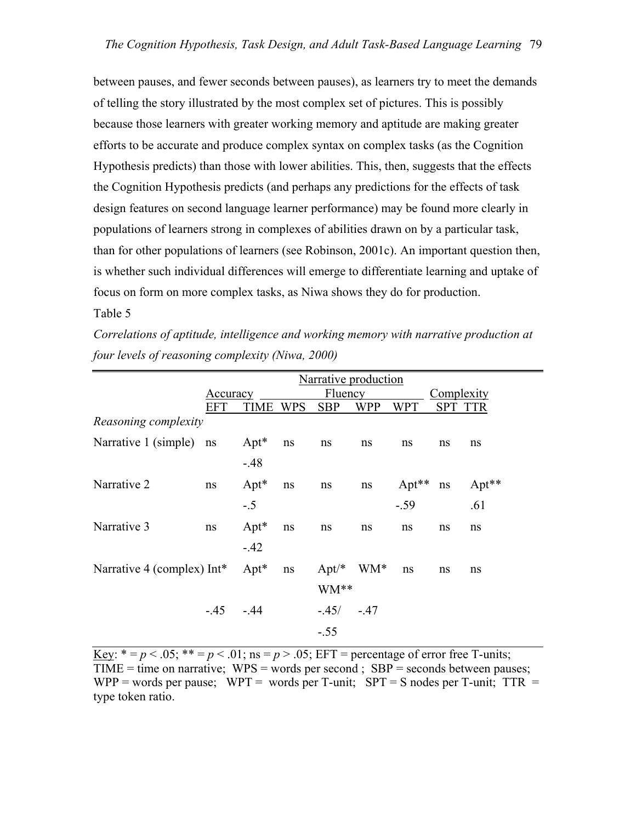between pauses, and fewer seconds between pauses), as learners try to meet the demands of telling the story illustrated by the most complex set of pictures. This is possibly because those learners with greater working memory and aptitude are making greater efforts to be accurate and produce complex syntax on complex tasks (as the Cognition Hypothesis predicts) than those with lower abilities. This, then, suggests that the effects the Cognition Hypothesis predicts (and perhaps any predictions for the effects of task design features on second language learner performance) may be found more clearly in populations of learners strong in complexes of abilities drawn on by a particular task, than for other populations of learners (see Robinson, 2001c). An important question then, is whether such individual differences will emerge to differentiate learning and uptake of focus on form on more complex tasks, as Niwa shows they do for production.

### Table 5

*Correlations of aptitude, intelligence and working memory with narrative production at four levels of reasoning complexity (Niwa, 2000)* 

|                               |            | Narrative production |            |                |            |            |                |       |
|-------------------------------|------------|----------------------|------------|----------------|------------|------------|----------------|-------|
|                               | Accuracy   |                      |            | <b>Fluency</b> |            |            | Complexity     |       |
|                               | EFT        | TIME                 | <b>WPS</b> | <b>SBP</b>     | <b>WPP</b> | <b>WPT</b> | <b>SPT TTR</b> |       |
| Reasoning complexity          |            |                      |            |                |            |            |                |       |
| Narrative 1 (simple) ns       |            | $Apt^*$              | $\rm ns$   | ns             | ns         | ns         | ns             | ns    |
|                               |            | $-.48$               |            |                |            |            |                |       |
| Narrative 2                   | ns         | $Apt^*$              | $\rm ns$   | ns             | ns         | $Apt**$    | ns             | Apt** |
|                               |            | $-.5$                |            |                |            | $-.59$     |                | .61   |
| Narrative 3                   | ns         | $Apt^*$              | ns         | ns             | ns         | ns         | ns             | ns    |
|                               |            | $-.42$               |            |                |            |            |                |       |
| Narrative 4 (complex) $Int^*$ |            | $Apt^*$              | ns         | $Apt/*$ WM*    |            | ns         | ns             | ns    |
|                               |            |                      |            | WM**           |            |            |                |       |
|                               | $-.45-.44$ |                      |            | $-.45/-.47$    |            |            |                |       |
|                               |            |                      |            | $-.55$         |            |            |                |       |

Key:  $* = p < .05$ ;  $** = p < .01$ ; ns  $= p > .05$ ; EFT  $=$  percentage of error free T-units;  $TIME = time on narrative; WPS = words per second; SBP = seconds between pauses;$ WPP = words per pause; WPT = words per T-unit;  $SPT = S$  nodes per T-unit;  $TTR =$ type token ratio.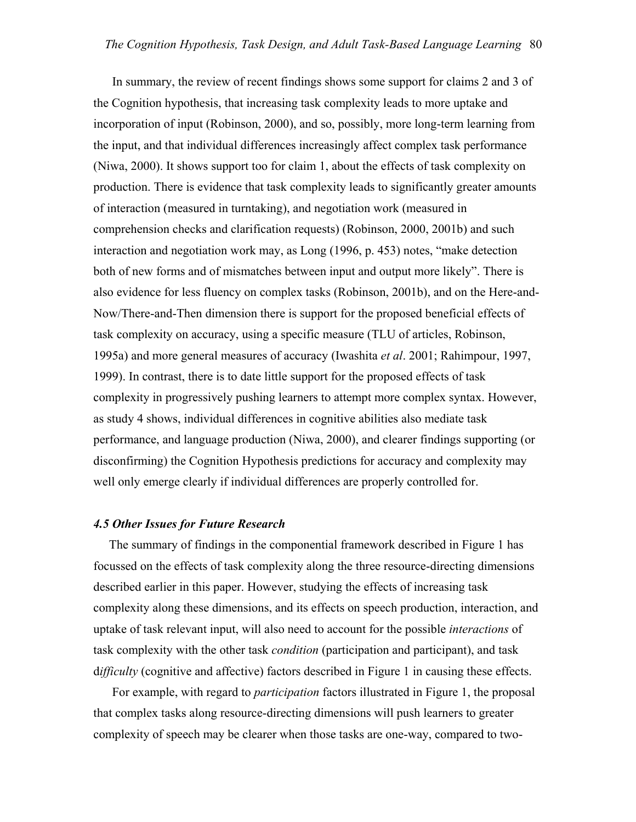In summary, the review of recent findings shows some support for claims 2 and 3 of the Cognition hypothesis, that increasing task complexity leads to more uptake and incorporation of input (Robinson, 2000), and so, possibly, more long-term learning from the input, and that individual differences increasingly affect complex task performance (Niwa, 2000). It shows support too for claim 1, about the effects of task complexity on production. There is evidence that task complexity leads to significantly greater amounts of interaction (measured in turntaking), and negotiation work (measured in comprehension checks and clarification requests) (Robinson, 2000, 2001b) and such interaction and negotiation work may, as Long (1996, p. 453) notes, "make detection both of new forms and of mismatches between input and output more likely". There is also evidence for less fluency on complex tasks (Robinson, 2001b), and on the Here-and-Now/There-and-Then dimension there is support for the proposed beneficial effects of task complexity on accuracy, using a specific measure (TLU of articles, Robinson, 1995a) and more general measures of accuracy (Iwashita *et al*. 2001; Rahimpour, 1997, 1999). In contrast, there is to date little support for the proposed effects of task complexity in progressively pushing learners to attempt more complex syntax. However, as study 4 shows, individual differences in cognitive abilities also mediate task performance, and language production (Niwa, 2000), and clearer findings supporting (or disconfirming) the Cognition Hypothesis predictions for accuracy and complexity may well only emerge clearly if individual differences are properly controlled for.

#### *4.5 Other Issues for Future Research*

 The summary of findings in the componential framework described in Figure 1 has focussed on the effects of task complexity along the three resource-directing dimensions described earlier in this paper. However, studying the effects of increasing task complexity along these dimensions, and its effects on speech production, interaction, and uptake of task relevant input, will also need to account for the possible *interactions* of task complexity with the other task *condition* (participation and participant), and task d*ifficulty* (cognitive and affective) factors described in Figure 1 in causing these effects.

 For example, with regard to *participation* factors illustrated in Figure 1, the proposal that complex tasks along resource-directing dimensions will push learners to greater complexity of speech may be clearer when those tasks are one-way, compared to two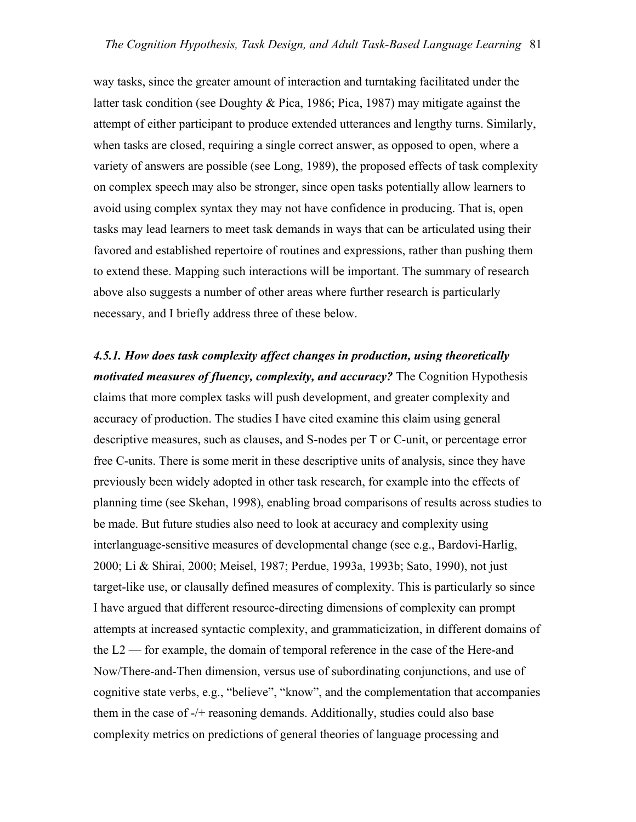way tasks, since the greater amount of interaction and turntaking facilitated under the latter task condition (see Doughty & Pica, 1986; Pica, 1987) may mitigate against the attempt of either participant to produce extended utterances and lengthy turns. Similarly, when tasks are closed, requiring a single correct answer, as opposed to open, where a variety of answers are possible (see Long, 1989), the proposed effects of task complexity on complex speech may also be stronger, since open tasks potentially allow learners to avoid using complex syntax they may not have confidence in producing. That is, open tasks may lead learners to meet task demands in ways that can be articulated using their favored and established repertoire of routines and expressions, rather than pushing them to extend these. Mapping such interactions will be important. The summary of research above also suggests a number of other areas where further research is particularly necessary, and I briefly address three of these below.

*4.5.1. How does task complexity affect changes in production, using theoretically motivated measures of fluency, complexity, and accuracy?* The Cognition Hypothesis claims that more complex tasks will push development, and greater complexity and accuracy of production. The studies I have cited examine this claim using general descriptive measures, such as clauses, and S-nodes per T or C-unit, or percentage error free C-units. There is some merit in these descriptive units of analysis, since they have previously been widely adopted in other task research, for example into the effects of planning time (see Skehan, 1998), enabling broad comparisons of results across studies to be made. But future studies also need to look at accuracy and complexity using interlanguage-sensitive measures of developmental change (see e.g., Bardovi-Harlig, 2000; Li & Shirai, 2000; Meisel, 1987; Perdue, 1993a, 1993b; Sato, 1990), not just target-like use, or clausally defined measures of complexity. This is particularly so since I have argued that different resource-directing dimensions of complexity can prompt attempts at increased syntactic complexity, and grammaticization, in different domains of the L2 — for example, the domain of temporal reference in the case of the Here-and Now/There-and-Then dimension, versus use of subordinating conjunctions, and use of cognitive state verbs, e.g., "believe", "know", and the complementation that accompanies them in the case of -/+ reasoning demands. Additionally, studies could also base complexity metrics on predictions of general theories of language processing and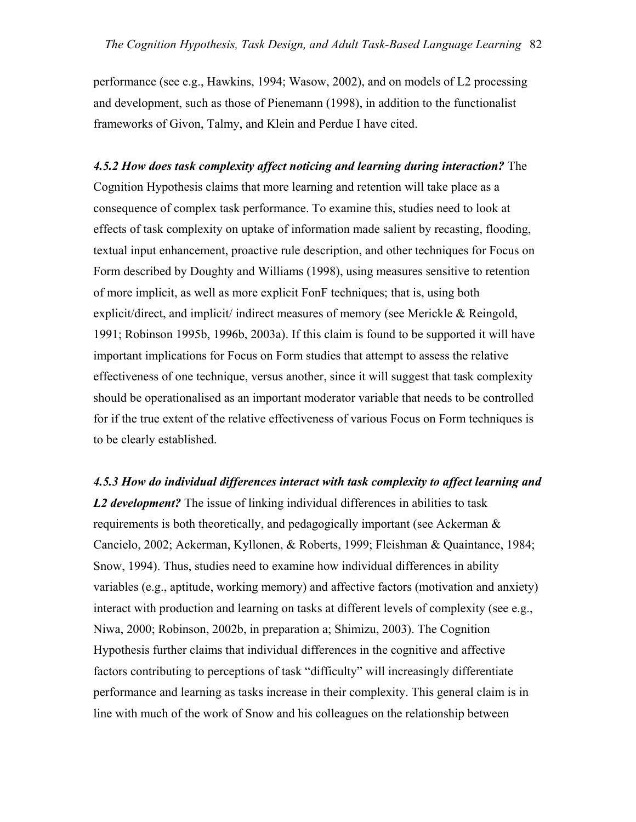performance (see e.g., Hawkins, 1994; Wasow, 2002), and on models of L2 processing and development, such as those of Pienemann (1998), in addition to the functionalist frameworks of Givon, Talmy, and Klein and Perdue I have cited.

*4.5.2 How does task complexity affect noticing and learning during interaction?* The Cognition Hypothesis claims that more learning and retention will take place as a consequence of complex task performance. To examine this, studies need to look at effects of task complexity on uptake of information made salient by recasting, flooding, textual input enhancement, proactive rule description, and other techniques for Focus on Form described by Doughty and Williams (1998), using measures sensitive to retention of more implicit, as well as more explicit FonF techniques; that is, using both explicit/direct, and implicit/ indirect measures of memory (see Merickle & Reingold, 1991; Robinson 1995b, 1996b, 2003a). If this claim is found to be supported it will have important implications for Focus on Form studies that attempt to assess the relative effectiveness of one technique, versus another, since it will suggest that task complexity should be operationalised as an important moderator variable that needs to be controlled for if the true extent of the relative effectiveness of various Focus on Form techniques is to be clearly established.

*4.5.3 How do individual differences interact with task complexity to affect learning and L2 development?* The issue of linking individual differences in abilities to task requirements is both theoretically, and pedagogically important (see Ackerman  $\&$ Cancielo, 2002; Ackerman, Kyllonen, & Roberts, 1999; Fleishman & Quaintance, 1984; Snow, 1994). Thus, studies need to examine how individual differences in ability variables (e.g., aptitude, working memory) and affective factors (motivation and anxiety) interact with production and learning on tasks at different levels of complexity (see e.g., Niwa, 2000; Robinson, 2002b, in preparation a; Shimizu, 2003). The Cognition Hypothesis further claims that individual differences in the cognitive and affective factors contributing to perceptions of task "difficulty" will increasingly differentiate performance and learning as tasks increase in their complexity. This general claim is in line with much of the work of Snow and his colleagues on the relationship between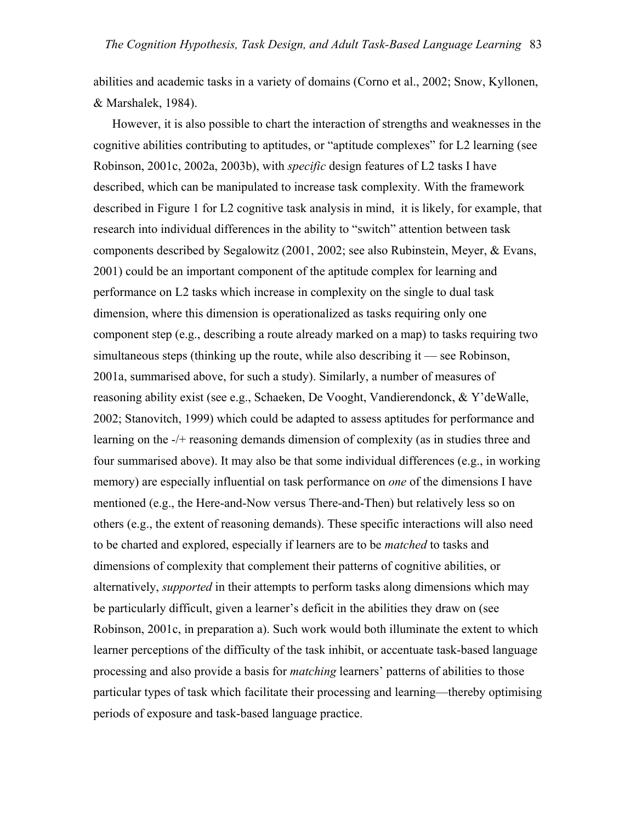abilities and academic tasks in a variety of domains (Corno et al., 2002; Snow, Kyllonen, & Marshalek, 1984).

 However, it is also possible to chart the interaction of strengths and weaknesses in the cognitive abilities contributing to aptitudes, or "aptitude complexes" for L2 learning (see Robinson, 2001c, 2002a, 2003b), with *specific* design features of L2 tasks I have described, which can be manipulated to increase task complexity. With the framework described in Figure 1 for L2 cognitive task analysis in mind, it is likely, for example, that research into individual differences in the ability to "switch" attention between task components described by Segalowitz (2001, 2002; see also Rubinstein, Meyer, & Evans, 2001) could be an important component of the aptitude complex for learning and performance on L2 tasks which increase in complexity on the single to dual task dimension, where this dimension is operationalized as tasks requiring only one component step (e.g., describing a route already marked on a map) to tasks requiring two simultaneous steps (thinking up the route, while also describing it — see Robinson, 2001a, summarised above, for such a study). Similarly, a number of measures of reasoning ability exist (see e.g., Schaeken, De Vooght, Vandierendonck, & Y'deWalle, 2002; Stanovitch, 1999) which could be adapted to assess aptitudes for performance and learning on the -/+ reasoning demands dimension of complexity (as in studies three and four summarised above). It may also be that some individual differences (e.g., in working memory) are especially influential on task performance on *one* of the dimensions I have mentioned (e.g., the Here-and-Now versus There-and-Then) but relatively less so on others (e.g., the extent of reasoning demands). These specific interactions will also need to be charted and explored, especially if learners are to be *matched* to tasks and dimensions of complexity that complement their patterns of cognitive abilities, or alternatively, *supported* in their attempts to perform tasks along dimensions which may be particularly difficult, given a learner's deficit in the abilities they draw on (see Robinson, 2001c, in preparation a). Such work would both illuminate the extent to which learner perceptions of the difficulty of the task inhibit, or accentuate task-based language processing and also provide a basis for *matching* learners' patterns of abilities to those particular types of task which facilitate their processing and learning—thereby optimising periods of exposure and task-based language practice.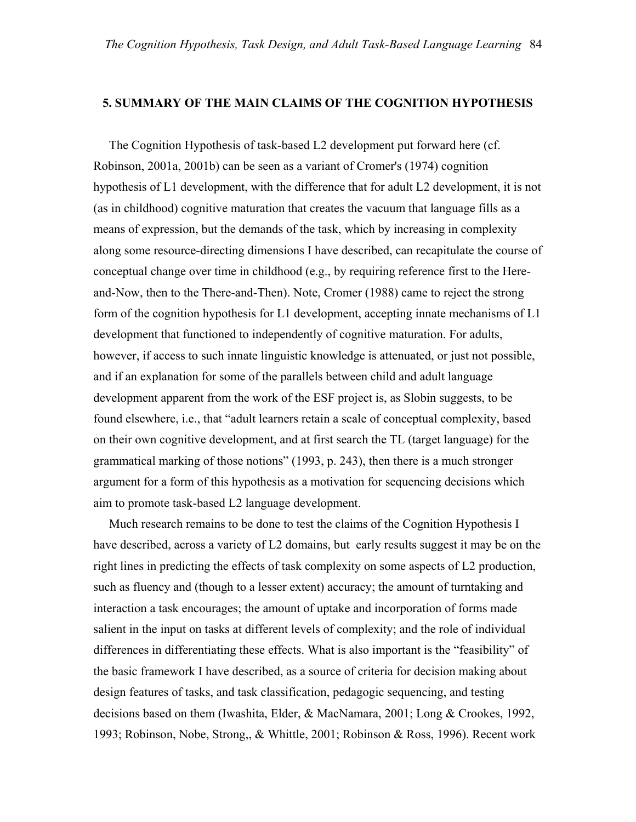### **5. SUMMARY OF THE MAIN CLAIMS OF THE COGNITION HYPOTHESIS**

 The Cognition Hypothesis of task-based L2 development put forward here (cf. Robinson, 2001a, 2001b) can be seen as a variant of Cromer's (1974) cognition hypothesis of L1 development, with the difference that for adult L2 development, it is not (as in childhood) cognitive maturation that creates the vacuum that language fills as a means of expression, but the demands of the task, which by increasing in complexity along some resource-directing dimensions I have described, can recapitulate the course of conceptual change over time in childhood (e.g., by requiring reference first to the Hereand-Now, then to the There-and-Then). Note, Cromer (1988) came to reject the strong form of the cognition hypothesis for L1 development, accepting innate mechanisms of L1 development that functioned to independently of cognitive maturation. For adults, however, if access to such innate linguistic knowledge is attenuated, or just not possible, and if an explanation for some of the parallels between child and adult language development apparent from the work of the ESF project is, as Slobin suggests, to be found elsewhere, i.e., that "adult learners retain a scale of conceptual complexity, based on their own cognitive development, and at first search the TL (target language) for the grammatical marking of those notions" (1993, p. 243), then there is a much stronger argument for a form of this hypothesis as a motivation for sequencing decisions which aim to promote task-based L2 language development.

 Much research remains to be done to test the claims of the Cognition Hypothesis I have described, across a variety of L2 domains, but early results suggest it may be on the right lines in predicting the effects of task complexity on some aspects of L2 production, such as fluency and (though to a lesser extent) accuracy; the amount of turntaking and interaction a task encourages; the amount of uptake and incorporation of forms made salient in the input on tasks at different levels of complexity; and the role of individual differences in differentiating these effects. What is also important is the "feasibility" of the basic framework I have described, as a source of criteria for decision making about design features of tasks, and task classification, pedagogic sequencing, and testing decisions based on them (Iwashita, Elder, & MacNamara, 2001; Long & Crookes, 1992, 1993; Robinson, Nobe, Strong,, & Whittle, 2001; Robinson & Ross, 1996). Recent work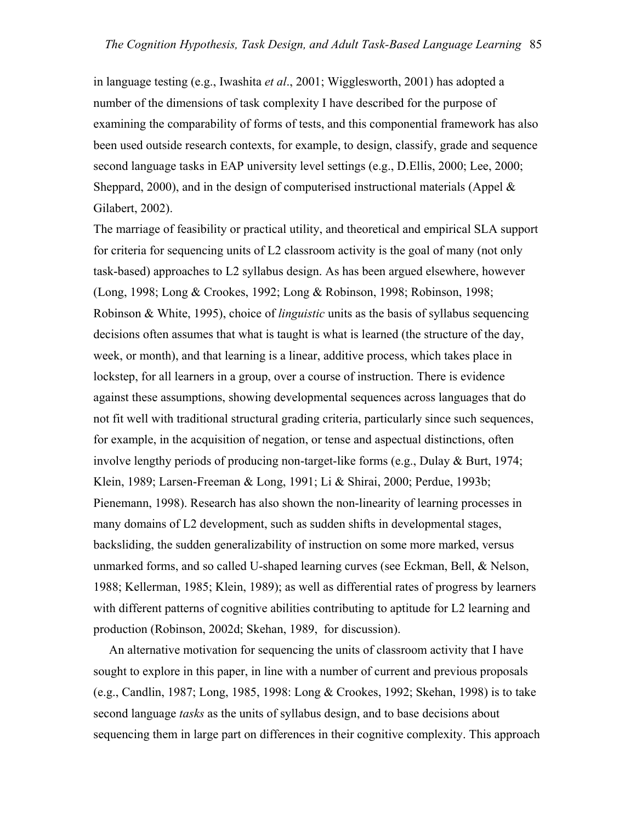in language testing (e.g., Iwashita *et al*., 2001; Wigglesworth, 2001) has adopted a number of the dimensions of task complexity I have described for the purpose of examining the comparability of forms of tests, and this componential framework has also been used outside research contexts, for example, to design, classify, grade and sequence second language tasks in EAP university level settings (e.g., D.Ellis, 2000; Lee, 2000; Sheppard, 2000), and in the design of computerised instructional materials (Appel  $\&$ Gilabert, 2002).

The marriage of feasibility or practical utility, and theoretical and empirical SLA support for criteria for sequencing units of L2 classroom activity is the goal of many (not only task-based) approaches to L2 syllabus design. As has been argued elsewhere, however (Long, 1998; Long & Crookes, 1992; Long & Robinson, 1998; Robinson, 1998; Robinson & White, 1995), choice of *linguistic* units as the basis of syllabus sequencing decisions often assumes that what is taught is what is learned (the structure of the day, week, or month), and that learning is a linear, additive process, which takes place in lockstep, for all learners in a group, over a course of instruction. There is evidence against these assumptions, showing developmental sequences across languages that do not fit well with traditional structural grading criteria, particularly since such sequences, for example, in the acquisition of negation, or tense and aspectual distinctions, often involve lengthy periods of producing non-target-like forms (e.g., Dulay & Burt, 1974; Klein, 1989; Larsen-Freeman & Long, 1991; Li & Shirai, 2000; Perdue, 1993b; Pienemann, 1998). Research has also shown the non-linearity of learning processes in many domains of L2 development, such as sudden shifts in developmental stages, backsliding, the sudden generalizability of instruction on some more marked, versus unmarked forms, and so called U-shaped learning curves (see Eckman, Bell, & Nelson, 1988; Kellerman, 1985; Klein, 1989); as well as differential rates of progress by learners with different patterns of cognitive abilities contributing to aptitude for L2 learning and production (Robinson, 2002d; Skehan, 1989, for discussion).

 An alternative motivation for sequencing the units of classroom activity that I have sought to explore in this paper, in line with a number of current and previous proposals (e.g., Candlin, 1987; Long, 1985, 1998: Long & Crookes, 1992; Skehan, 1998) is to take second language *tasks* as the units of syllabus design, and to base decisions about sequencing them in large part on differences in their cognitive complexity. This approach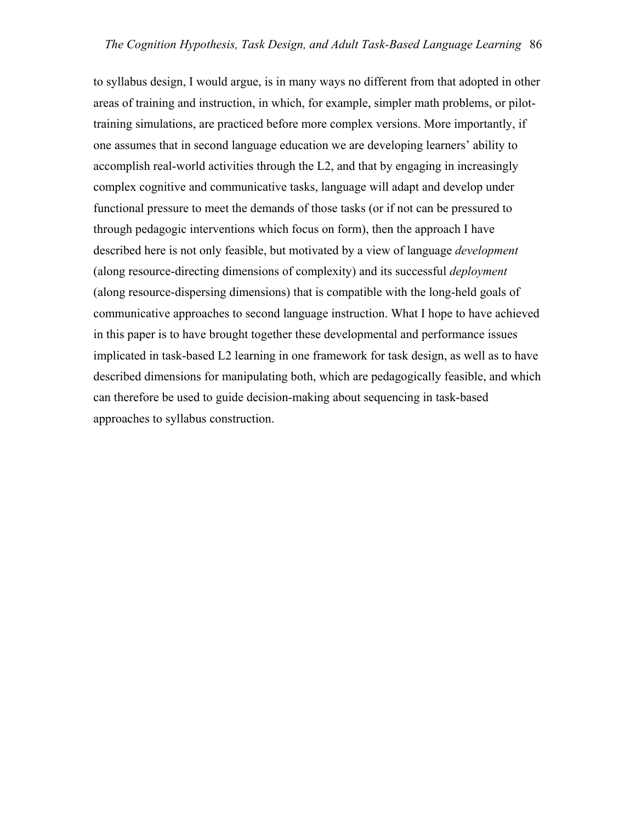to syllabus design, I would argue, is in many ways no different from that adopted in other areas of training and instruction, in which, for example, simpler math problems, or pilottraining simulations, are practiced before more complex versions. More importantly, if one assumes that in second language education we are developing learners' ability to accomplish real-world activities through the L2, and that by engaging in increasingly complex cognitive and communicative tasks, language will adapt and develop under functional pressure to meet the demands of those tasks (or if not can be pressured to through pedagogic interventions which focus on form), then the approach I have described here is not only feasible, but motivated by a view of language *development* (along resource-directing dimensions of complexity) and its successful *deployment* (along resource-dispersing dimensions) that is compatible with the long-held goals of communicative approaches to second language instruction. What I hope to have achieved in this paper is to have brought together these developmental and performance issues implicated in task-based L2 learning in one framework for task design, as well as to have described dimensions for manipulating both, which are pedagogically feasible, and which can therefore be used to guide decision-making about sequencing in task-based approaches to syllabus construction.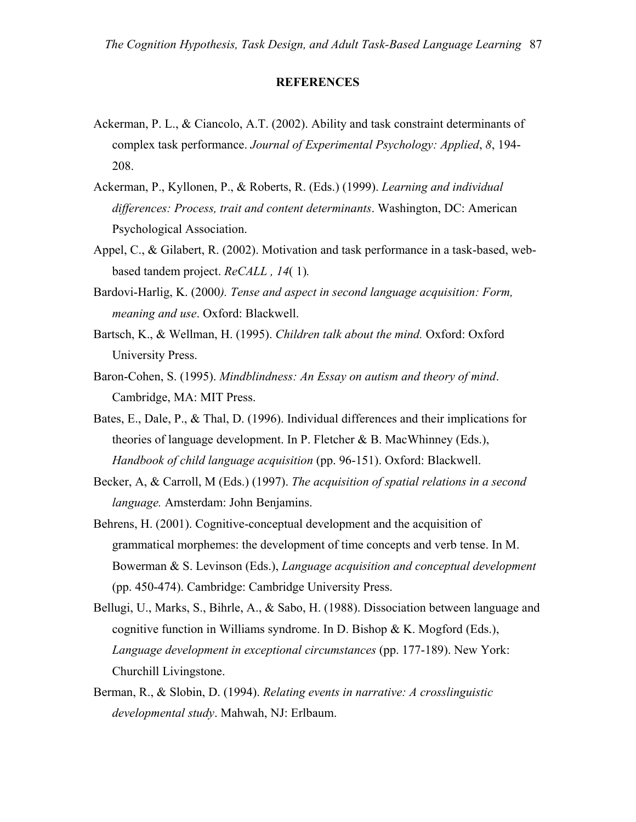### **REFERENCES**

- Ackerman, P. L., & Ciancolo, A.T. (2002). Ability and task constraint determinants of complex task performance. *Journal of Experimental Psychology: Applied*, *8*, 194- 208.
- Ackerman, P., Kyllonen, P., & Roberts, R. (Eds.) (1999). *Learning and individual differences: Process, trait and content determinants*. Washington, DC: American Psychological Association.
- Appel, C., & Gilabert, R. (2002). Motivation and task performance in a task-based, webbased tandem project. *ReCALL , 14*( 1)*.*
- Bardovi-Harlig, K. (2000*). Tense and aspect in second language acquisition: Form, meaning and use*. Oxford: Blackwell.
- Bartsch, K., & Wellman, H. (1995). *Children talk about the mind.* Oxford: Oxford University Press.
- Baron-Cohen, S. (1995). *Mindblindness: An Essay on autism and theory of mind*. Cambridge, MA: MIT Press.
- Bates, E., Dale, P., & Thal, D. (1996). Individual differences and their implications for theories of language development. In P. Fletcher & B. MacWhinney (Eds.), *Handbook of child language acquisition* (pp. 96-151). Oxford: Blackwell.
- Becker, A, & Carroll, M (Eds.) (1997). *The acquisition of spatial relations in a second language.* Amsterdam: John Benjamins.
- Behrens, H. (2001). Cognitive-conceptual development and the acquisition of grammatical morphemes: the development of time concepts and verb tense. In M. Bowerman & S. Levinson (Eds.), *Language acquisition and conceptual development* (pp. 450-474). Cambridge: Cambridge University Press.
- Bellugi, U., Marks, S., Bihrle, A., & Sabo, H. (1988). Dissociation between language and cognitive function in Williams syndrome. In D. Bishop & K. Mogford (Eds.), *Language development in exceptional circumstances* (pp. 177-189). New York: Churchill Livingstone.
- Berman, R., & Slobin, D. (1994). *Relating events in narrative: A crosslinguistic developmental study*. Mahwah, NJ: Erlbaum.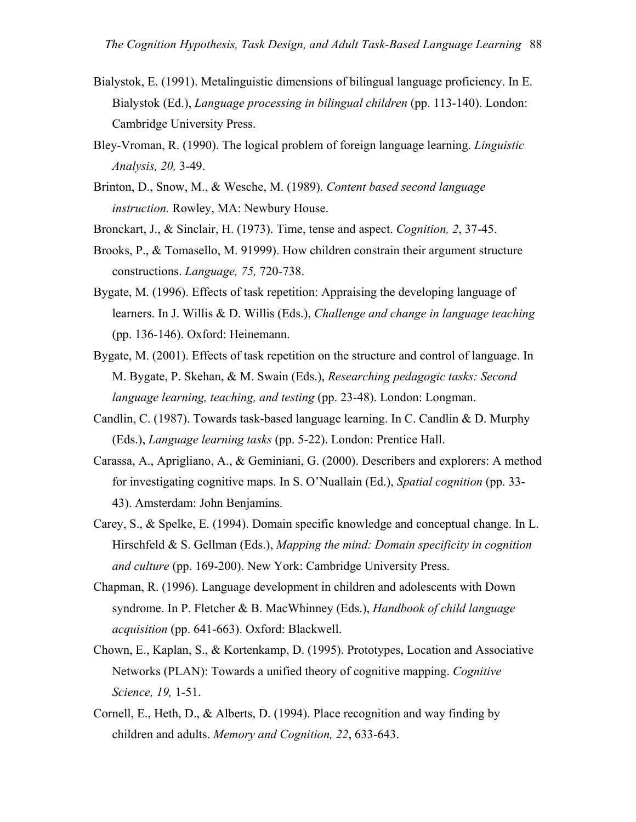- Bialystok, E. (1991). Metalinguistic dimensions of bilingual language proficiency. In E. Bialystok (Ed.), *Language processing in bilingual children* (pp. 113-140). London: Cambridge University Press.
- Bley-Vroman, R. (1990). The logical problem of foreign language learning. *Linguistic Analysis, 20,* 3-49.
- Brinton, D., Snow, M., & Wesche, M. (1989). *Content based second language instruction.* Rowley, MA: Newbury House.
- Bronckart, J., & Sinclair, H. (1973). Time, tense and aspect. *Cognition, 2*, 37-45.
- Brooks, P., & Tomasello, M. 91999). How children constrain their argument structure constructions. *Language, 75,* 720-738.
- Bygate, M. (1996). Effects of task repetition: Appraising the developing language of learners. In J. Willis & D. Willis (Eds.), *Challenge and change in language teaching* (pp. 136-146). Oxford: Heinemann.
- Bygate, M. (2001). Effects of task repetition on the structure and control of language. In M. Bygate, P. Skehan, & M. Swain (Eds.), *Researching pedagogic tasks: Second language learning, teaching, and testing* (pp. 23-48). London: Longman.
- Candlin, C. (1987). Towards task-based language learning. In C. Candlin & D. Murphy (Eds.), *Language learning tasks* (pp. 5-22). London: Prentice Hall.
- Carassa, A., Aprigliano, A., & Geminiani, G. (2000). Describers and explorers: A method for investigating cognitive maps. In S. O'Nuallain (Ed.), *Spatial cognition* (pp. 33- 43). Amsterdam: John Benjamins.
- Carey, S., & Spelke, E. (1994). Domain specific knowledge and conceptual change. In L. Hirschfeld & S. Gellman (Eds.), *Mapping the mind: Domain specificity in cognition and culture* (pp. 169-200). New York: Cambridge University Press.
- Chapman, R. (1996). Language development in children and adolescents with Down syndrome. In P. Fletcher & B. MacWhinney (Eds.), *Handbook of child language acquisition* (pp. 641-663). Oxford: Blackwell.
- Chown, E., Kaplan, S., & Kortenkamp, D. (1995). Prototypes, Location and Associative Networks (PLAN): Towards a unified theory of cognitive mapping. *Cognitive Science, 19,* 1-51.
- Cornell, E., Heth, D., & Alberts, D. (1994). Place recognition and way finding by children and adults. *Memory and Cognition, 22*, 633-643.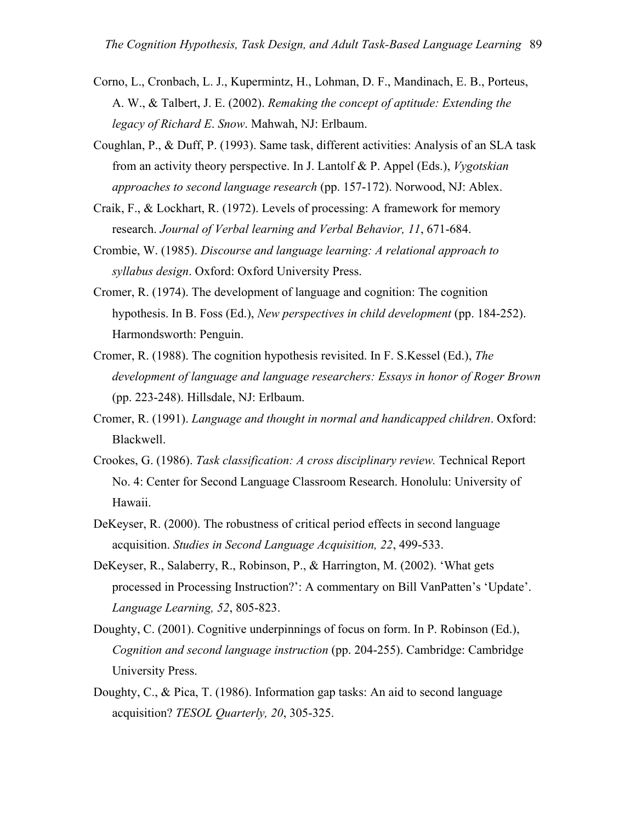- Corno, L., Cronbach, L. J., Kupermintz, H., Lohman, D. F., Mandinach, E. B., Porteus, A. W., & Talbert, J. E. (2002). *Remaking the concept of aptitude: Extending the legacy of Richard E*. *Snow*. Mahwah, NJ: Erlbaum.
- Coughlan, P., & Duff, P. (1993). Same task, different activities: Analysis of an SLA task from an activity theory perspective. In J. Lantolf & P. Appel (Eds.), *Vygotskian approaches to second language research* (pp. 157-172). Norwood, NJ: Ablex.
- Craik, F., & Lockhart, R. (1972). Levels of processing: A framework for memory research. *Journal of Verbal learning and Verbal Behavior, 11*, 671-684.
- Crombie, W. (1985). *Discourse and language learning: A relational approach to syllabus design*. Oxford: Oxford University Press.
- Cromer, R. (1974). The development of language and cognition: The cognition hypothesis. In B. Foss (Ed.), *New perspectives in child development* (pp. 184-252). Harmondsworth: Penguin.
- Cromer, R. (1988). The cognition hypothesis revisited. In F. S.Kessel (Ed.), *The development of language and language researchers: Essays in honor of Roger Brown* (pp. 223-248). Hillsdale, NJ: Erlbaum.
- Cromer, R. (1991). *Language and thought in normal and handicapped children*. Oxford: Blackwell.
- Crookes, G. (1986). *Task classification: A cross disciplinary review.* Technical Report No. 4: Center for Second Language Classroom Research. Honolulu: University of Hawaii.
- DeKeyser, R. (2000). The robustness of critical period effects in second language acquisition. *Studies in Second Language Acquisition, 22*, 499-533.
- DeKeyser, R., Salaberry, R., Robinson, P., & Harrington, M. (2002). 'What gets processed in Processing Instruction?': A commentary on Bill VanPatten's 'Update'. *Language Learning, 52*, 805-823.
- Doughty, C. (2001). Cognitive underpinnings of focus on form. In P. Robinson (Ed.), *Cognition and second language instruction* (pp. 204-255). Cambridge: Cambridge University Press.
- Doughty, C., & Pica, T. (1986). Information gap tasks: An aid to second language acquisition? *TESOL Quarterly, 20*, 305-325.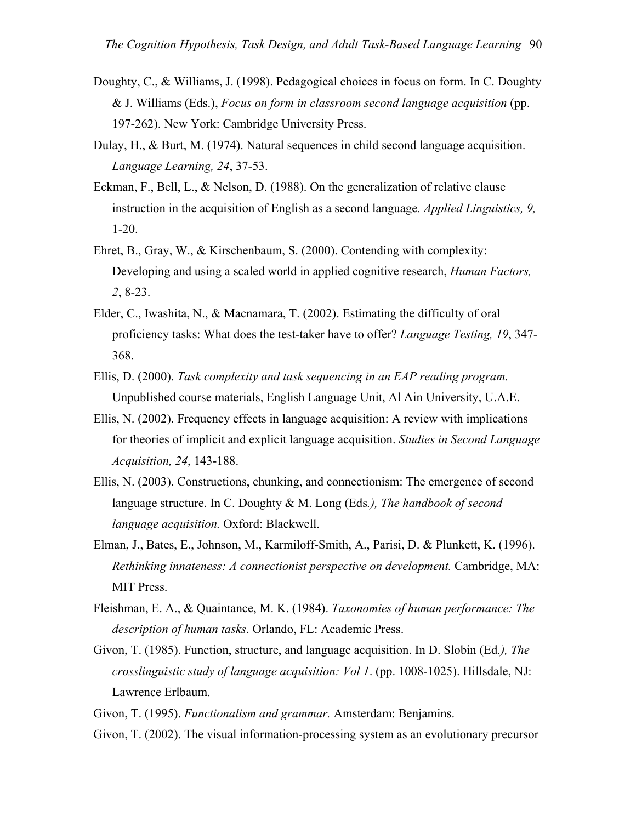- Doughty, C., & Williams, J. (1998). Pedagogical choices in focus on form. In C. Doughty & J. Williams (Eds.), *Focus on form in classroom second language acquisition* (pp. 197-262). New York: Cambridge University Press.
- Dulay, H., & Burt, M. (1974). Natural sequences in child second language acquisition. *Language Learning, 24*, 37-53.
- Eckman, F., Bell, L., & Nelson, D. (1988). On the generalization of relative clause instruction in the acquisition of English as a second language*. Applied Linguistics, 9,*  1-20.
- Ehret, B., Gray, W., & Kirschenbaum, S. (2000). Contending with complexity: Developing and using a scaled world in applied cognitive research, *Human Factors, 2*, 8-23.
- Elder, C., Iwashita, N., & Macnamara, T. (2002). Estimating the difficulty of oral proficiency tasks: What does the test-taker have to offer? *Language Testing, 19*, 347- 368.
- Ellis, D. (2000). *Task complexity and task sequencing in an EAP reading program.* Unpublished course materials, English Language Unit, Al Ain University, U.A.E.
- Ellis, N. (2002). Frequency effects in language acquisition: A review with implications for theories of implicit and explicit language acquisition. *Studies in Second Language Acquisition, 24*, 143-188.
- Ellis, N. (2003). Constructions, chunking, and connectionism: The emergence of second language structure. In C. Doughty & M. Long (Eds*.), The handbook of second language acquisition.* Oxford: Blackwell.
- Elman, J., Bates, E., Johnson, M., Karmiloff-Smith, A., Parisi, D. & Plunkett, K. (1996). *Rethinking innateness: A connectionist perspective on development.* Cambridge, MA: MIT Press.
- Fleishman, E. A., & Quaintance, M. K. (1984). *Taxonomies of human performance: The description of human tasks*. Orlando, FL: Academic Press.
- Givon, T. (1985). Function, structure, and language acquisition. In D. Slobin (Ed*.), The crosslinguistic study of language acquisition: Vol 1*. (pp. 1008-1025). Hillsdale, NJ: Lawrence Erlbaum.

Givon, T. (1995). *Functionalism and grammar.* Amsterdam: Benjamins.

Givon, T. (2002). The visual information-processing system as an evolutionary precursor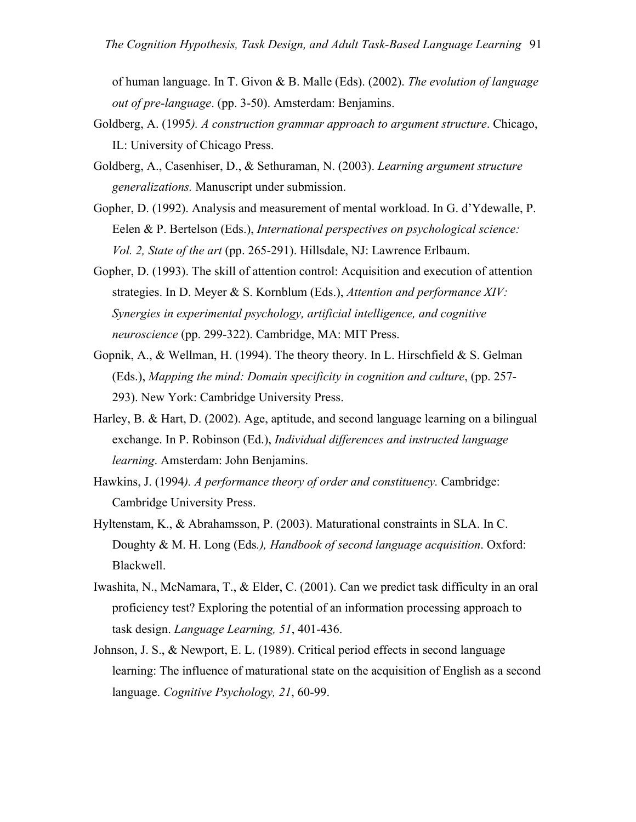of human language. In T. Givon & B. Malle (Eds). (2002). *The evolution of language out of pre-language*. (pp. 3-50). Amsterdam: Benjamins.

- Goldberg, A. (1995*). A construction grammar approach to argument structure*. Chicago, IL: University of Chicago Press.
- Goldberg, A., Casenhiser, D., & Sethuraman, N. (2003). *Learning argument structure generalizations.* Manuscript under submission.

Gopher, D. (1992). Analysis and measurement of mental workload. In G. d'Ydewalle, P. Eelen & P. Bertelson (Eds.), *International perspectives on psychological science: Vol. 2, State of the art* (pp. 265-291). Hillsdale, NJ: Lawrence Erlbaum.

- Gopher, D. (1993). The skill of attention control: Acquisition and execution of attention strategies. In D. Meyer & S. Kornblum (Eds.), *Attention and performance XIV: Synergies in experimental psychology, artificial intelligence, and cognitive neuroscience* (pp. 299-322). Cambridge, MA: MIT Press.
- Gopnik, A., & Wellman, H. (1994). The theory theory. In L. Hirschfield & S. Gelman (Eds.), *Mapping the mind: Domain specificity in cognition and culture*, (pp. 257- 293). New York: Cambridge University Press.
- Harley, B. & Hart, D. (2002). Age, aptitude, and second language learning on a bilingual exchange. In P. Robinson (Ed.), *Individual differences and instructed language learning*. Amsterdam: John Benjamins.
- Hawkins, J. (1994*). A performance theory of order and constituency.* Cambridge: Cambridge University Press.
- Hyltenstam, K., & Abrahamsson, P. (2003). Maturational constraints in SLA. In C. Doughty & M. H. Long (Eds*.), Handbook of second language acquisition*. Oxford: Blackwell.
- Iwashita, N., McNamara, T., & Elder, C. (2001). Can we predict task difficulty in an oral proficiency test? Exploring the potential of an information processing approach to task design. *Language Learning, 51*, 401-436.
- Johnson, J. S., & Newport, E. L. (1989). Critical period effects in second language learning: The influence of maturational state on the acquisition of English as a second language. *Cognitive Psychology, 21*, 60-99.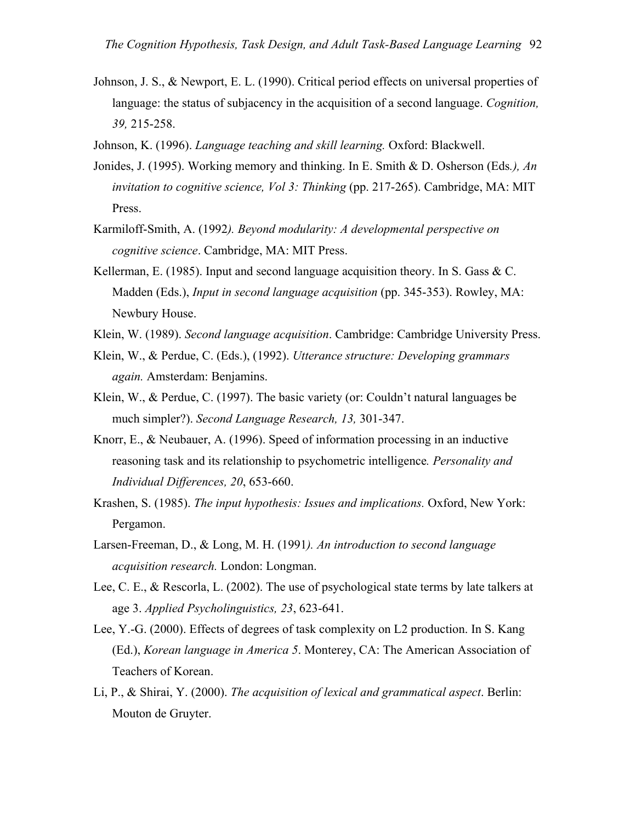- Johnson, J. S., & Newport, E. L. (1990). Critical period effects on universal properties of language: the status of subjacency in the acquisition of a second language. *Cognition, 39,* 215-258.
- Johnson, K. (1996). *Language teaching and skill learning.* Oxford: Blackwell.
- Jonides, J. (1995). Working memory and thinking. In E. Smith & D. Osherson (Eds*.), An invitation to cognitive science, Vol 3: Thinking* (pp. 217-265). Cambridge, MA: MIT Press.
- Karmiloff-Smith, A. (1992*). Beyond modularity: A developmental perspective on cognitive science*. Cambridge, MA: MIT Press.
- Kellerman, E. (1985). Input and second language acquisition theory. In S. Gass  $&C$ . Madden (Eds.), *Input in second language acquisition* (pp. 345-353). Rowley, MA: Newbury House.
- Klein, W. (1989). *Second language acquisition*. Cambridge: Cambridge University Press.
- Klein, W., & Perdue, C. (Eds.), (1992). *Utterance structure: Developing grammars again.* Amsterdam: Benjamins.
- Klein, W., & Perdue, C. (1997). The basic variety (or: Couldn't natural languages be much simpler?). *Second Language Research, 13,* 301-347.
- Knorr, E., & Neubauer, A. (1996). Speed of information processing in an inductive reasoning task and its relationship to psychometric intelligence*. Personality and Individual Differences, 20*, 653-660.
- Krashen, S. (1985). *The input hypothesis: Issues and implications.* Oxford, New York: Pergamon.
- Larsen-Freeman, D., & Long, M. H. (1991*). An introduction to second language acquisition research.* London: Longman.
- Lee, C. E., & Rescorla, L. (2002). The use of psychological state terms by late talkers at age 3. *Applied Psycholinguistics, 23*, 623-641.
- Lee, Y.-G. (2000). Effects of degrees of task complexity on L2 production. In S. Kang (Ed.), *Korean language in America 5*. Monterey, CA: The American Association of Teachers of Korean.
- Li, P., & Shirai, Y. (2000). *The acquisition of lexical and grammatical aspect*. Berlin: Mouton de Gruyter.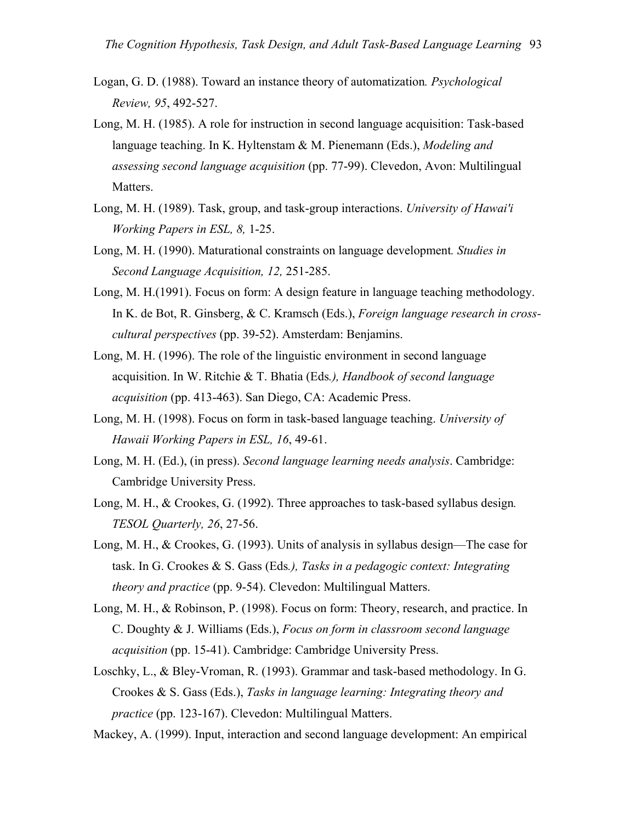- Logan, G. D. (1988). Toward an instance theory of automatization*. Psychological Review, 95*, 492-527.
- Long, M. H. (1985). A role for instruction in second language acquisition: Task-based language teaching. In K. Hyltenstam & M. Pienemann (Eds.), *Modeling and assessing second language acquisition* (pp. 77-99). Clevedon, Avon: Multilingual Matters.
- Long, M. H. (1989). Task, group, and task-group interactions. *University of Hawai'i Working Papers in ESL, 8,* 1-25.
- Long, M. H. (1990). Maturational constraints on language development*. Studies in Second Language Acquisition, 12,* 251-285.
- Long, M. H.(1991). Focus on form: A design feature in language teaching methodology. In K. de Bot, R. Ginsberg, & C. Kramsch (Eds.), *Foreign language research in crosscultural perspectives* (pp. 39-52). Amsterdam: Benjamins.
- Long, M. H. (1996). The role of the linguistic environment in second language acquisition. In W. Ritchie & T. Bhatia (Eds*.), Handbook of second language acquisition* (pp. 413-463). San Diego, CA: Academic Press.
- Long, M. H. (1998). Focus on form in task-based language teaching. *University of Hawaii Working Papers in ESL, 16*, 49-61.
- Long, M. H. (Ed.), (in press). *Second language learning needs analysis*. Cambridge: Cambridge University Press.
- Long, M. H., & Crookes, G. (1992). Three approaches to task-based syllabus design*. TESOL Quarterly, 26*, 27-56.
- Long, M. H., & Crookes, G. (1993). Units of analysis in syllabus design—The case for task. In G. Crookes & S. Gass (Eds*.), Tasks in a pedagogic context: Integrating theory and practice* (pp. 9-54). Clevedon: Multilingual Matters.
- Long, M. H., & Robinson, P. (1998). Focus on form: Theory, research, and practice. In C. Doughty & J. Williams (Eds.), *Focus on form in classroom second language acquisition* (pp. 15-41). Cambridge: Cambridge University Press.
- Loschky, L., & Bley-Vroman, R. (1993). Grammar and task-based methodology. In G. Crookes & S. Gass (Eds.), *Tasks in language learning: Integrating theory and practice* (pp. 123-167). Clevedon: Multilingual Matters.

Mackey, A. (1999). Input, interaction and second language development: An empirical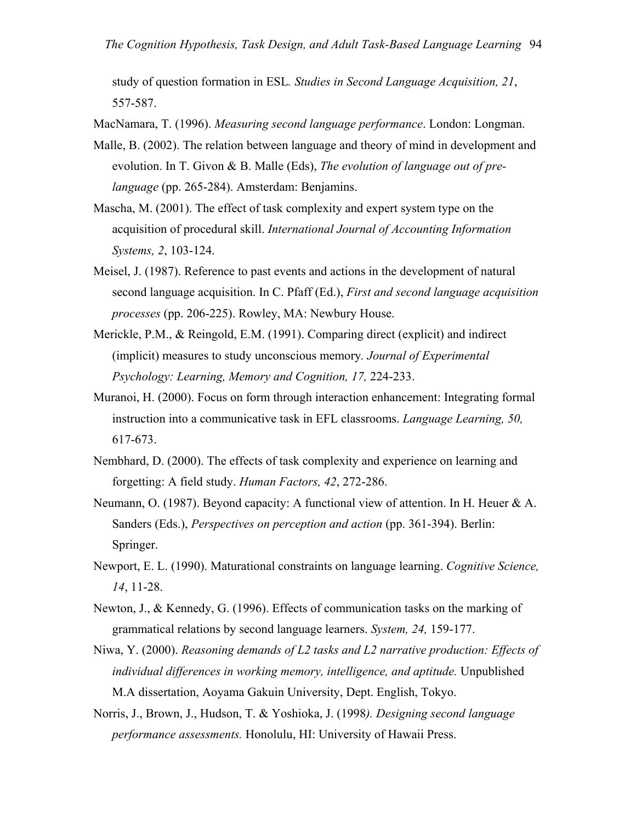study of question formation in ESL*. Studies in Second Language Acquisition, 21*, 557-587.

MacNamara, T. (1996). *Measuring second language performance*. London: Longman.

- Malle, B. (2002). The relation between language and theory of mind in development and evolution. In T. Givon & B. Malle (Eds), *The evolution of language out of prelanguage* (pp. 265-284). Amsterdam: Benjamins.
- Mascha, M. (2001). The effect of task complexity and expert system type on the acquisition of procedural skill. *International Journal of Accounting Information Systems, 2*, 103-124.
- Meisel, J. (1987). Reference to past events and actions in the development of natural second language acquisition. In C. Pfaff (Ed.), *First and second language acquisition processes* (pp. 206-225). Rowley, MA: Newbury House.
- Merickle, P.M., & Reingold, E.M. (1991). Comparing direct (explicit) and indirect (implicit) measures to study unconscious memory*. Journal of Experimental Psychology: Learning, Memory and Cognition, 17,* 224-233.
- Muranoi, H. (2000). Focus on form through interaction enhancement: Integrating formal instruction into a communicative task in EFL classrooms. *Language Learning, 50,*  617-673.
- Nembhard, D. (2000). The effects of task complexity and experience on learning and forgetting: A field study. *Human Factors, 42*, 272-286.
- Neumann, O. (1987). Beyond capacity: A functional view of attention. In H. Heuer & A. Sanders (Eds.), *Perspectives on perception and action* (pp. 361-394). Berlin: Springer.
- Newport, E. L. (1990). Maturational constraints on language learning. *Cognitive Science, 14*, 11-28.
- Newton, J., & Kennedy, G. (1996). Effects of communication tasks on the marking of grammatical relations by second language learners. *System, 24,* 159-177.
- Niwa, Y. (2000). *Reasoning demands of L2 tasks and L2 narrative production: Effects of individual differences in working memory, intelligence, and aptitude.* Unpublished M.A dissertation, Aoyama Gakuin University, Dept. English, Tokyo.
- Norris, J., Brown, J., Hudson, T. & Yoshioka, J. (1998*). Designing second language performance assessments.* Honolulu, HI: University of Hawaii Press.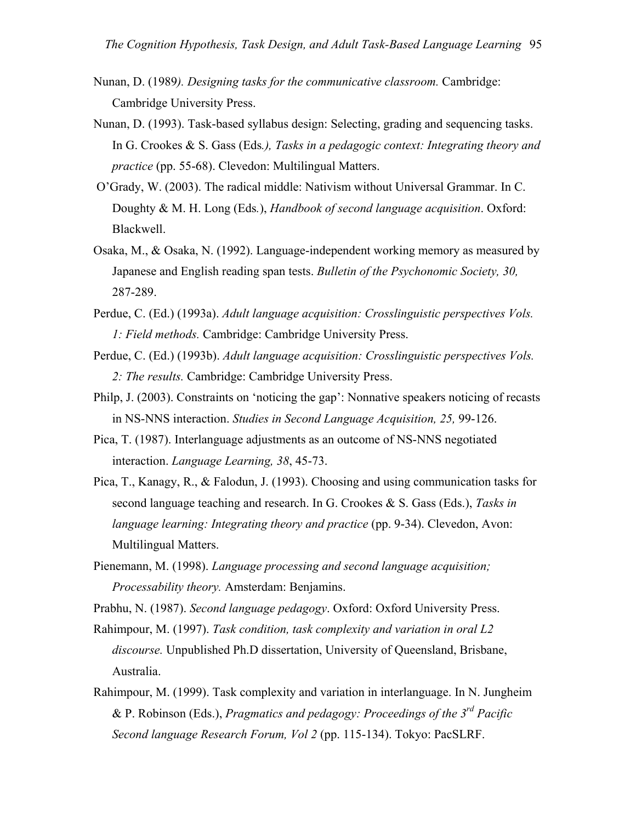- Nunan, D. (1989*). Designing tasks for the communicative classroom.* Cambridge: Cambridge University Press.
- Nunan, D. (1993). Task-based syllabus design: Selecting, grading and sequencing tasks. In G. Crookes & S. Gass (Eds*.), Tasks in a pedagogic context: Integrating theory and practice* (pp. 55-68). Clevedon: Multilingual Matters.
- O'Grady, W. (2003). The radical middle: Nativism without Universal Grammar. In C. Doughty & M. H. Long (Eds*.*), *Handbook of second language acquisition*. Oxford: Blackwell.
- Osaka, M., & Osaka, N. (1992). Language-independent working memory as measured by Japanese and English reading span tests. *Bulletin of the Psychonomic Society, 30,*  287-289.
- Perdue, C. (Ed.) (1993a). *Adult language acquisition: Crosslinguistic perspectives Vols. 1: Field methods.* Cambridge: Cambridge University Press.
- Perdue, C. (Ed.) (1993b). *Adult language acquisition: Crosslinguistic perspectives Vols. 2: The results.* Cambridge: Cambridge University Press.
- Philp, J. (2003). Constraints on 'noticing the gap': Nonnative speakers noticing of recasts in NS-NNS interaction. *Studies in Second Language Acquisition, 25,* 99-126.
- Pica, T. (1987). Interlanguage adjustments as an outcome of NS-NNS negotiated interaction. *Language Learning, 38*, 45-73.
- Pica, T., Kanagy, R., & Falodun, J. (1993). Choosing and using communication tasks for second language teaching and research. In G. Crookes & S. Gass (Eds.), *Tasks in language learning: Integrating theory and practice* (pp. 9-34). Clevedon, Avon: Multilingual Matters.
- Pienemann, M. (1998). *Language processing and second language acquisition; Processability theory.* Amsterdam: Benjamins.
- Prabhu, N. (1987). *Second language pedagogy*. Oxford: Oxford University Press.
- Rahimpour, M. (1997). *Task condition, task complexity and variation in oral L2 discourse.* Unpublished Ph.D dissertation, University of Queensland, Brisbane, Australia.
- Rahimpour, M. (1999). Task complexity and variation in interlanguage. In N. Jungheim & P. Robinson (Eds.), *Pragmatics and pedagogy: Proceedings of the 3rd Pacific Second language Research Forum, Vol 2* (pp. 115-134). Tokyo: PacSLRF.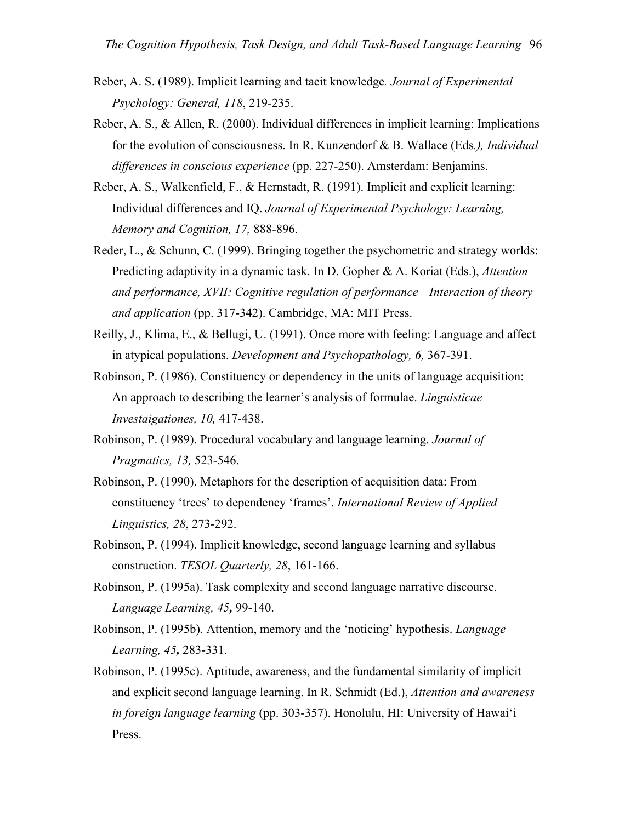- Reber, A. S. (1989). Implicit learning and tacit knowledge*. Journal of Experimental Psychology: General, 118*, 219-235.
- Reber, A. S., & Allen, R. (2000). Individual differences in implicit learning: Implications for the evolution of consciousness. In R. Kunzendorf & B. Wallace (Eds*.), Individual differences in conscious experience* (pp. 227-250). Amsterdam: Benjamins.
- Reber, A. S., Walkenfield, F., & Hernstadt, R. (1991). Implicit and explicit learning: Individual differences and IQ. *Journal of Experimental Psychology: Learning, Memory and Cognition, 17,* 888-896.
- Reder, L., & Schunn, C. (1999). Bringing together the psychometric and strategy worlds: Predicting adaptivity in a dynamic task. In D. Gopher & A. Koriat (Eds.), *Attention and performance, XVII: Cognitive regulation of performance—Interaction of theory and application* (pp. 317-342). Cambridge, MA: MIT Press.
- Reilly, J., Klima, E., & Bellugi, U. (1991). Once more with feeling: Language and affect in atypical populations. *Development and Psychopathology, 6,* 367-391.
- Robinson, P. (1986). Constituency or dependency in the units of language acquisition: An approach to describing the learner's analysis of formulae. *Linguisticae Investaigationes, 10,* 417-438.
- Robinson, P. (1989). Procedural vocabulary and language learning. *Journal of Pragmatics, 13,* 523-546.
- Robinson, P. (1990). Metaphors for the description of acquisition data: From constituency 'trees' to dependency 'frames'. *International Review of Applied Linguistics, 28*, 273-292.
- Robinson, P. (1994). Implicit knowledge, second language learning and syllabus construction. *TESOL Quarterly, 28*, 161-166.
- Robinson, P. (1995a). Task complexity and second language narrative discourse. *Language Learning, 45,* 99-140.
- Robinson, P. (1995b). Attention, memory and the 'noticing' hypothesis. *Language Learning, 45,* 283-331.
- Robinson, P. (1995c). Aptitude, awareness, and the fundamental similarity of implicit and explicit second language learning. In R. Schmidt (Ed.), *Attention and awareness in foreign language learning* (pp. 303-357). Honolulu, HI: University of Hawai'i Press.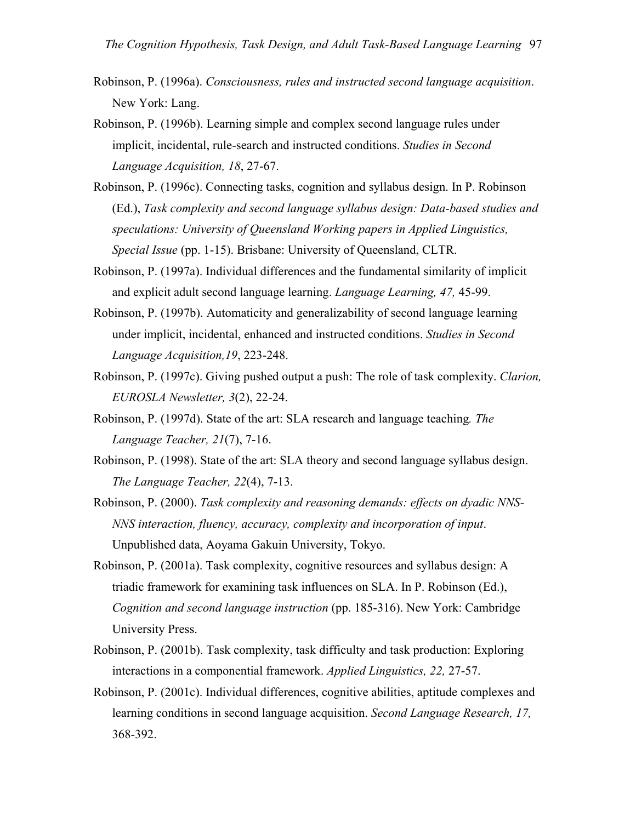- Robinson, P. (1996a). *Consciousness, rules and instructed second language acquisition*. New York: Lang.
- Robinson, P. (1996b). Learning simple and complex second language rules under implicit, incidental, rule-search and instructed conditions. *Studies in Second Language Acquisition, 18*, 27-67.
- Robinson, P. (1996c). Connecting tasks, cognition and syllabus design. In P. Robinson (Ed.), *Task complexity and second language syllabus design: Data-based studies and speculations: University of Queensland Working papers in Applied Linguistics, Special Issue* (pp. 1-15). Brisbane: University of Queensland, CLTR.
- Robinson, P. (1997a). Individual differences and the fundamental similarity of implicit and explicit adult second language learning. *Language Learning, 47,* 45-99.
- Robinson, P. (1997b). Automaticity and generalizability of second language learning under implicit, incidental, enhanced and instructed conditions. *Studies in Second Language Acquisition,19*, 223-248.
- Robinson, P. (1997c). Giving pushed output a push: The role of task complexity. *Clarion, EUROSLA Newsletter, 3*(2), 22-24.
- Robinson, P. (1997d). State of the art: SLA research and language teaching*. The Language Teacher, 21*(7), 7-16.
- Robinson, P. (1998). State of the art: SLA theory and second language syllabus design. *The Language Teacher, 22*(4), 7-13.
- Robinson, P. (2000). *Task complexity and reasoning demands: effects on dyadic NNS-NNS interaction, fluency, accuracy, complexity and incorporation of input*. Unpublished data, Aoyama Gakuin University, Tokyo.
- Robinson, P. (2001a). Task complexity, cognitive resources and syllabus design: A triadic framework for examining task influences on SLA. In P. Robinson (Ed.), *Cognition and second language instruction* (pp. 185-316). New York: Cambridge University Press.
- Robinson, P. (2001b). Task complexity, task difficulty and task production: Exploring interactions in a componential framework. *Applied Linguistics, 22,* 27-57.
- Robinson, P. (2001c). Individual differences, cognitive abilities, aptitude complexes and learning conditions in second language acquisition. *Second Language Research, 17,*  368-392.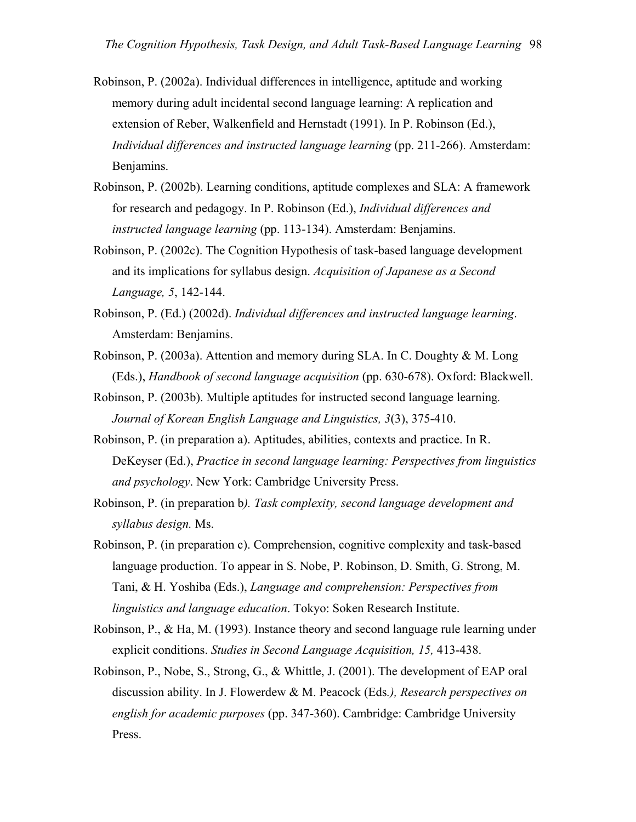- Robinson, P. (2002a). Individual differences in intelligence, aptitude and working memory during adult incidental second language learning: A replication and extension of Reber, Walkenfield and Hernstadt (1991). In P. Robinson (Ed.), *Individual differences and instructed language learning* (pp. 211-266). Amsterdam: Benjamins.
- Robinson, P. (2002b). Learning conditions, aptitude complexes and SLA: A framework for research and pedagogy. In P. Robinson (Ed.), *Individual differences and instructed language learning* (pp. 113-134). Amsterdam: Benjamins.
- Robinson, P. (2002c). The Cognition Hypothesis of task-based language development and its implications for syllabus design. *Acquisition of Japanese as a Second Language, 5*, 142-144.
- Robinson, P. (Ed.) (2002d). *Individual differences and instructed language learning*. Amsterdam: Benjamins.
- Robinson, P. (2003a). Attention and memory during SLA. In C. Doughty & M. Long (Eds.), *Handbook of second language acquisition* (pp. 630-678). Oxford: Blackwell.
- Robinson, P. (2003b). Multiple aptitudes for instructed second language learning*. Journal of Korean English Language and Linguistics, 3*(3), 375-410.
- Robinson, P. (in preparation a). Aptitudes, abilities, contexts and practice. In R. DeKeyser (Ed.), *Practice in second language learning: Perspectives from linguistics and psychology*. New York: Cambridge University Press.
- Robinson, P. (in preparation b*). Task complexity, second language development and syllabus design.* Ms.
- Robinson, P. (in preparation c). Comprehension, cognitive complexity and task-based language production. To appear in S. Nobe, P. Robinson, D. Smith, G. Strong, M. Tani, & H. Yoshiba (Eds.), *Language and comprehension: Perspectives from linguistics and language education*. Tokyo: Soken Research Institute.
- Robinson, P., & Ha, M. (1993). Instance theory and second language rule learning under explicit conditions. *Studies in Second Language Acquisition, 15,* 413-438.
- Robinson, P., Nobe, S., Strong, G., & Whittle, J. (2001). The development of EAP oral discussion ability. In J. Flowerdew & M. Peacock (Eds*.), Research perspectives on english for academic purposes* (pp. 347-360). Cambridge: Cambridge University Press.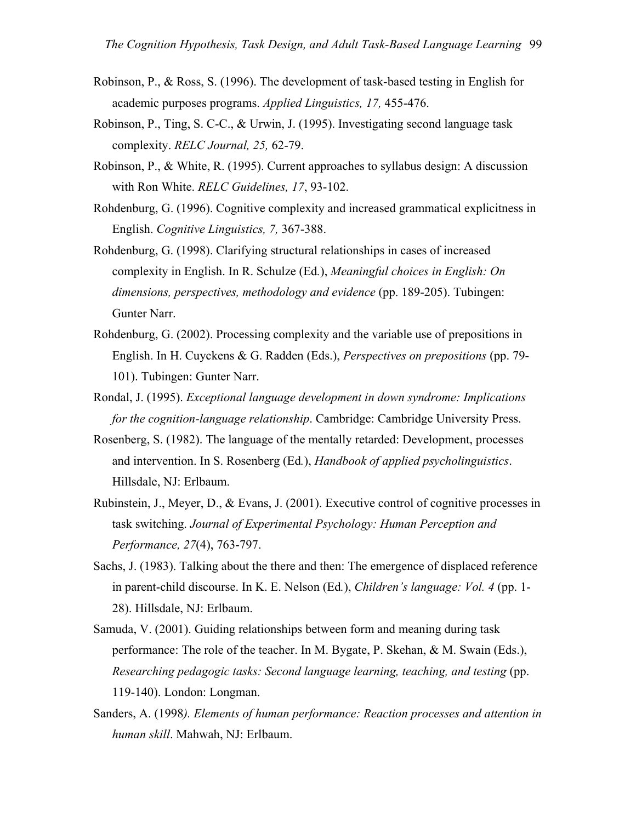- Robinson, P., & Ross, S. (1996). The development of task-based testing in English for academic purposes programs. *Applied Linguistics, 17,* 455-476.
- Robinson, P., Ting, S. C-C., & Urwin, J. (1995). Investigating second language task complexity. *RELC Journal, 25,* 62-79.
- Robinson, P., & White, R. (1995). Current approaches to syllabus design: A discussion with Ron White. *RELC Guidelines, 17*, 93-102.
- Rohdenburg, G. (1996). Cognitive complexity and increased grammatical explicitness in English. *Cognitive Linguistics, 7,* 367-388.
- Rohdenburg, G. (1998). Clarifying structural relationships in cases of increased complexity in English. In R. Schulze (Ed*.*), *Meaningful choices in English: On dimensions, perspectives, methodology and evidence* (pp. 189-205). Tubingen: Gunter Narr.
- Rohdenburg, G. (2002). Processing complexity and the variable use of prepositions in English. In H. Cuyckens & G. Radden (Eds.), *Perspectives on prepositions* (pp. 79- 101). Tubingen: Gunter Narr.
- Rondal, J. (1995). *Exceptional language development in down syndrome: Implications for the cognition-language relationship*. Cambridge: Cambridge University Press.
- Rosenberg, S. (1982). The language of the mentally retarded: Development, processes and intervention. In S. Rosenberg (Ed*.*), *Handbook of applied psycholinguistics*. Hillsdale, NJ: Erlbaum.
- Rubinstein, J., Meyer, D., & Evans, J. (2001). Executive control of cognitive processes in task switching. *Journal of Experimental Psychology: Human Perception and Performance, 27*(4), 763-797.
- Sachs, J. (1983). Talking about the there and then: The emergence of displaced reference in parent-child discourse. In K. E. Nelson (Ed*.*), *Children's language: Vol. 4* (pp. 1- 28). Hillsdale, NJ: Erlbaum.
- Samuda, V. (2001). Guiding relationships between form and meaning during task performance: The role of the teacher. In M. Bygate, P. Skehan, & M. Swain (Eds.), *Researching pedagogic tasks: Second language learning, teaching, and testing* (pp. 119-140). London: Longman.
- Sanders, A. (1998*). Elements of human performance: Reaction processes and attention in human skill*. Mahwah, NJ: Erlbaum.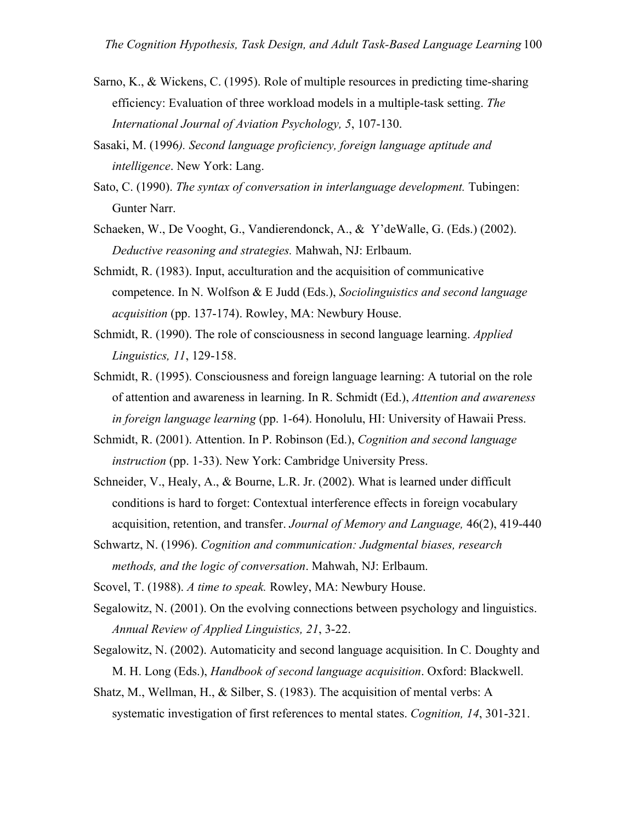- Sarno, K., & Wickens, C. (1995). Role of multiple resources in predicting time-sharing efficiency: Evaluation of three workload models in a multiple-task setting. *The International Journal of Aviation Psychology, 5*, 107-130.
- Sasaki, M. (1996*). Second language proficiency, foreign language aptitude and intelligence*. New York: Lang.
- Sato, C. (1990). *The syntax of conversation in interlanguage development.* Tubingen: Gunter Narr.
- Schaeken, W., De Vooght, G., Vandierendonck, A., & Y'deWalle, G. (Eds.) (2002). *Deductive reasoning and strategies.* Mahwah, NJ: Erlbaum.
- Schmidt, R. (1983). Input, acculturation and the acquisition of communicative competence. In N. Wolfson & E Judd (Eds.), *Sociolinguistics and second language acquisition* (pp. 137-174). Rowley, MA: Newbury House.
- Schmidt, R. (1990). The role of consciousness in second language learning. *Applied Linguistics, 11*, 129-158.
- Schmidt, R. (1995). Consciousness and foreign language learning: A tutorial on the role of attention and awareness in learning. In R. Schmidt (Ed.), *Attention and awareness in foreign language learning* (pp. 1-64). Honolulu, HI: University of Hawaii Press.
- Schmidt, R. (2001). Attention. In P. Robinson (Ed.), *Cognition and second language instruction* (pp. 1-33). New York: Cambridge University Press.
- Schneider, V., Healy, A., & Bourne, L.R. Jr. (2002). What is learned under difficult conditions is hard to forget: Contextual interference effects in foreign vocabulary acquisition, retention, and transfer. *Journal of Memory and Language,* 46(2), 419-440
- Schwartz, N. (1996). *Cognition and communication: Judgmental biases, research methods, and the logic of conversation*. Mahwah, NJ: Erlbaum.
- Scovel, T. (1988). *A time to speak.* Rowley, MA: Newbury House.
- Segalowitz, N. (2001). On the evolving connections between psychology and linguistics. *Annual Review of Applied Linguistics, 21*, 3-22.
- Segalowitz, N. (2002). Automaticity and second language acquisition. In C. Doughty and M. H. Long (Eds.), *Handbook of second language acquisition*. Oxford: Blackwell.
- Shatz, M., Wellman, H., & Silber, S. (1983). The acquisition of mental verbs: A systematic investigation of first references to mental states. *Cognition, 14*, 301-321.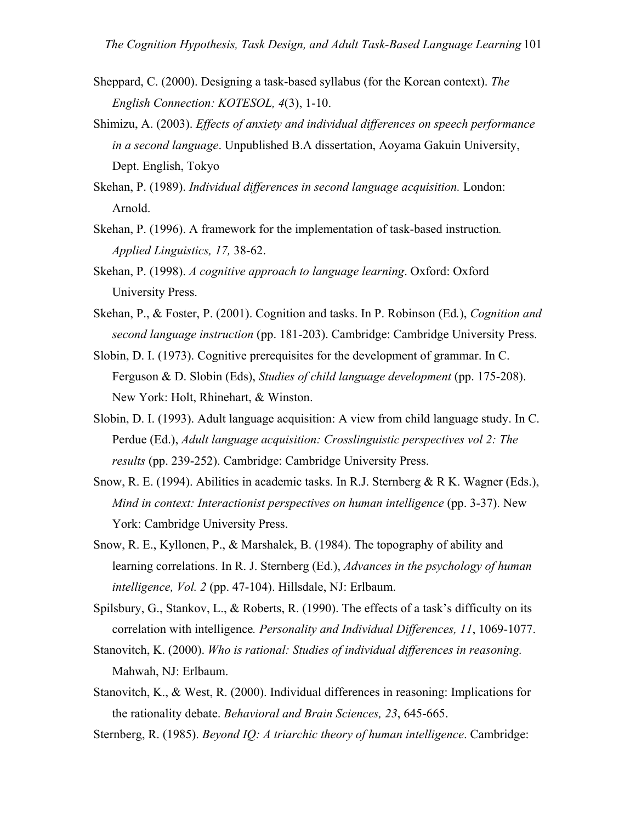- Sheppard, C. (2000). Designing a task-based syllabus (for the Korean context). *The English Connection: KOTESOL, 4*(3), 1-10.
- Shimizu, A. (2003). *Effects of anxiety and individual differences on speech performance in a second language*. Unpublished B.A dissertation, Aoyama Gakuin University, Dept. English, Tokyo
- Skehan, P. (1989). *Individual differences in second language acquisition.* London: Arnold.
- Skehan, P. (1996). A framework for the implementation of task-based instruction*. Applied Linguistics, 17,* 38-62.
- Skehan, P. (1998). *A cognitive approach to language learning*. Oxford: Oxford University Press.
- Skehan, P., & Foster, P. (2001). Cognition and tasks. In P. Robinson (Ed*.*), *Cognition and second language instruction* (pp. 181-203). Cambridge: Cambridge University Press.
- Slobin, D. I. (1973). Cognitive prerequisites for the development of grammar. In C. Ferguson & D. Slobin (Eds), *Studies of child language development* (pp. 175-208). New York: Holt, Rhinehart, & Winston.
- Slobin, D. I. (1993). Adult language acquisition: A view from child language study. In C. Perdue (Ed.), *Adult language acquisition: Crosslinguistic perspectives vol 2: The results* (pp. 239-252). Cambridge: Cambridge University Press.
- Snow, R. E. (1994). Abilities in academic tasks. In R.J. Sternberg & R K. Wagner (Eds.), *Mind in context: Interactionist perspectives on human intelligence* (pp. 3-37). New York: Cambridge University Press.
- Snow, R. E., Kyllonen, P., & Marshalek, B. (1984). The topography of ability and learning correlations. In R. J. Sternberg (Ed.), *Advances in the psychology of human intelligence, Vol. 2* (pp. 47-104). Hillsdale, NJ: Erlbaum.
- Spilsbury, G., Stankov, L., & Roberts, R. (1990). The effects of a task's difficulty on its correlation with intelligence*. Personality and Individual Differences, 11*, 1069-1077.
- Stanovitch, K. (2000). *Who is rational: Studies of individual differences in reasoning.*  Mahwah, NJ: Erlbaum.
- Stanovitch, K., & West, R. (2000). Individual differences in reasoning: Implications for the rationality debate. *Behavioral and Brain Sciences, 23*, 645-665.

Sternberg, R. (1985). *Beyond IQ: A triarchic theory of human intelligence*. Cambridge: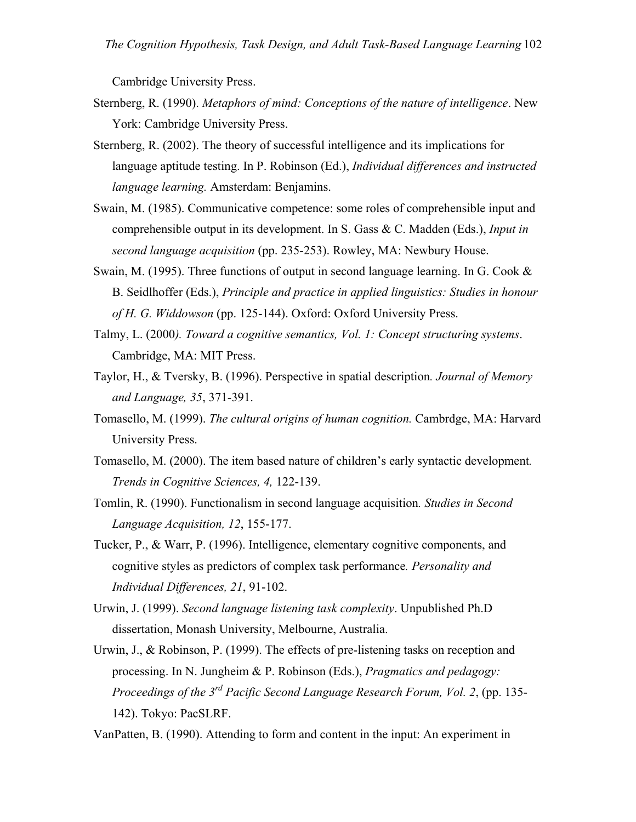Cambridge University Press.

- Sternberg, R. (1990). *Metaphors of mind: Conceptions of the nature of intelligence*. New York: Cambridge University Press.
- Sternberg, R. (2002). The theory of successful intelligence and its implications for language aptitude testing. In P. Robinson (Ed.), *Individual differences and instructed language learning.* Amsterdam: Benjamins.
- Swain, M. (1985). Communicative competence: some roles of comprehensible input and comprehensible output in its development. In S. Gass & C. Madden (Eds.), *Input in second language acquisition* (pp. 235-253). Rowley, MA: Newbury House.
- Swain, M. (1995). Three functions of output in second language learning. In G. Cook  $\&$ B. Seidlhoffer (Eds.), *Principle and practice in applied linguistics: Studies in honour of H. G. Widdowson* (pp. 125-144). Oxford: Oxford University Press.
- Talmy, L. (2000*). Toward a cognitive semantics, Vol. 1: Concept structuring systems*. Cambridge, MA: MIT Press.
- Taylor, H., & Tversky, B. (1996). Perspective in spatial description*. Journal of Memory and Language, 35*, 371-391.
- Tomasello, M. (1999). *The cultural origins of human cognition.* Cambrdge, MA: Harvard University Press.
- Tomasello, M. (2000). The item based nature of children's early syntactic development*. Trends in Cognitive Sciences, 4,* 122-139.
- Tomlin, R. (1990). Functionalism in second language acquisition*. Studies in Second Language Acquisition, 12*, 155-177.
- Tucker, P., & Warr, P. (1996). Intelligence, elementary cognitive components, and cognitive styles as predictors of complex task performance*. Personality and Individual Differences, 21*, 91-102.
- Urwin, J. (1999). *Second language listening task complexity*. Unpublished Ph.D dissertation, Monash University, Melbourne, Australia.
- Urwin, J., & Robinson, P. (1999). The effects of pre-listening tasks on reception and processing. In N. Jungheim & P. Robinson (Eds.), *Pragmatics and pedagogy: Proceedings of the 3rd Pacific Second Language Research Forum, Vol. 2*, (pp. 135- 142). Tokyo: PacSLRF.
- VanPatten, B. (1990). Attending to form and content in the input: An experiment in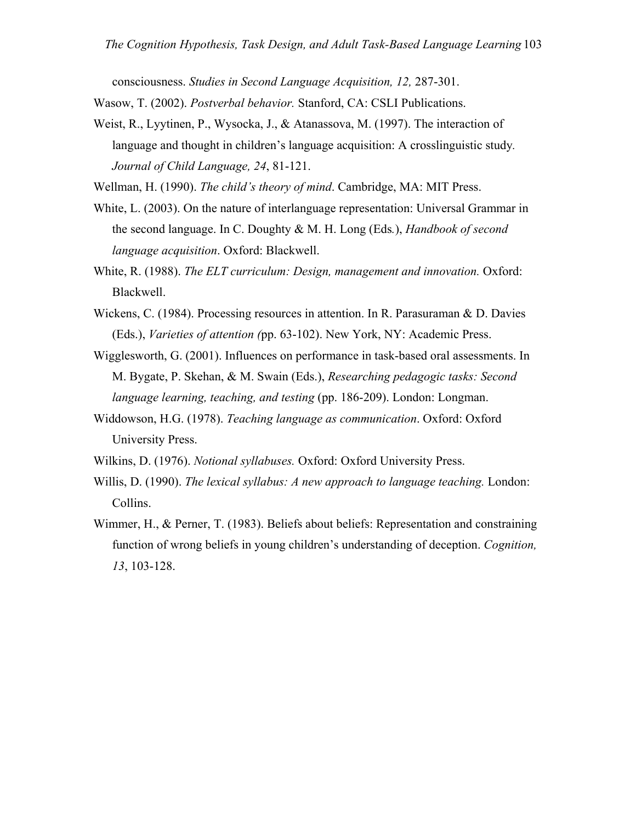consciousness. *Studies in Second Language Acquisition, 12,* 287-301.

Wasow, T. (2002). *Postverbal behavior.* Stanford, CA: CSLI Publications.

Weist, R., Lyytinen, P., Wysocka, J., & Atanassova, M. (1997). The interaction of language and thought in children's language acquisition: A crosslinguistic study*. Journal of Child Language, 24*, 81-121.

Wellman, H. (1990). *The child's theory of mind*. Cambridge, MA: MIT Press.

- White, L. (2003). On the nature of interlanguage representation: Universal Grammar in the second language. In C. Doughty & M. H. Long (Eds*.*), *Handbook of second language acquisition*. Oxford: Blackwell.
- White, R. (1988). *The ELT curriculum: Design, management and innovation.* Oxford: Blackwell.
- Wickens, C. (1984). Processing resources in attention. In R. Parasuraman & D. Davies (Eds.), *Varieties of attention (*pp. 63-102). New York, NY: Academic Press.
- Wigglesworth, G. (2001). Influences on performance in task-based oral assessments. In M. Bygate, P. Skehan, & M. Swain (Eds.), *Researching pedagogic tasks: Second language learning, teaching, and testing* (pp. 186-209). London: Longman.
- Widdowson, H.G. (1978). *Teaching language as communication*. Oxford: Oxford University Press.
- Wilkins, D. (1976). *Notional syllabuses.* Oxford: Oxford University Press.
- Willis, D. (1990). *The lexical syllabus: A new approach to language teaching.* London: Collins.
- Wimmer, H., & Perner, T. (1983). Beliefs about beliefs: Representation and constraining function of wrong beliefs in young children's understanding of deception. *Cognition, 13*, 103-128.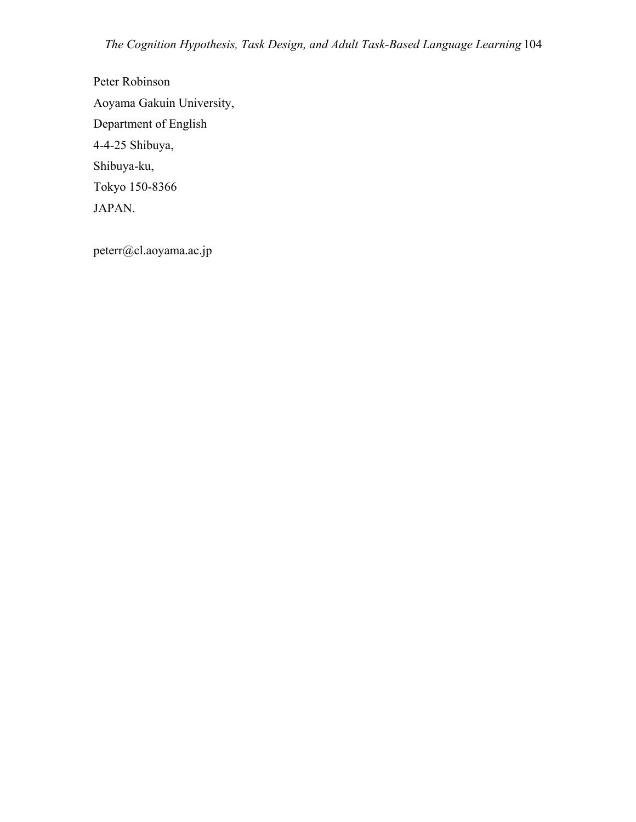Peter Robinson Aoyama Gakuin University, Department of English 4-4-25 Shibuya, Shibuya-ku, Tokyo 150-8366 JAPAN.

peterr@cl.aoyama.ac.jp